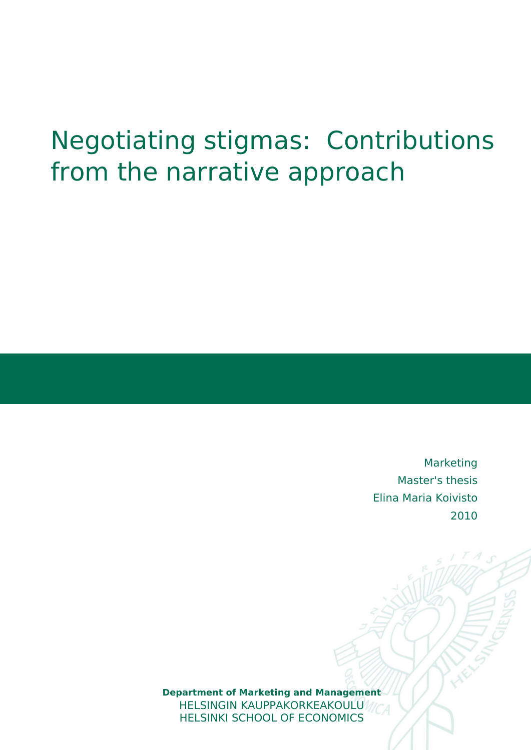# Negotiating stigmas: Contributions from the narrative approach

Marketing Master's thesis Elina Maria Koivisto 2010

**Department of Marketing and Ma[nagement](http://hsepubl.lib.hse.fi)** HELSINGIN KAUPPAKORKEAKOULU HELSINKI SCHOOL OF ECONOMICS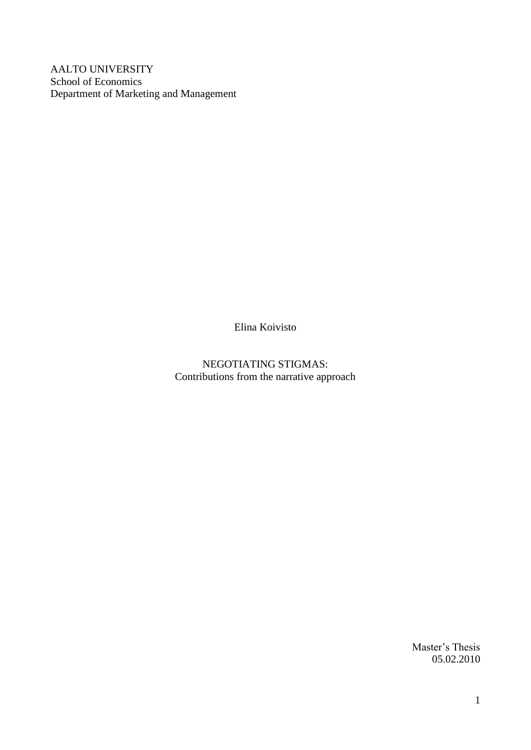AALTO UNIVERSITY School of Economics Department of Marketing and Management

Elina Koivisto

NEGOTIATING STIGMAS: Contributions from the narrative approach

> Master's Thesis 05.02.2010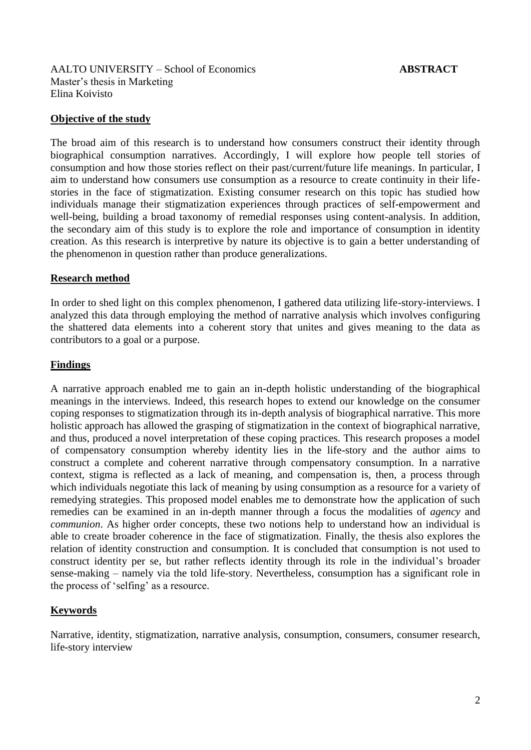AALTO UNIVERSITY – School of Economics **ABSTRACT** Master"s thesis in Marketing Elina Koivisto

#### **Objective of the study**

The broad aim of this research is to understand how consumers construct their identity through biographical consumption narratives. Accordingly, I will explore how people tell stories of consumption and how those stories reflect on their past/current/future life meanings. In particular, I aim to understand how consumers use consumption as a resource to create continuity in their lifestories in the face of stigmatization. Existing consumer research on this topic has studied how individuals manage their stigmatization experiences through practices of self-empowerment and well-being, building a broad taxonomy of remedial responses using content-analysis. In addition, the secondary aim of this study is to explore the role and importance of consumption in identity creation. As this research is interpretive by nature its objective is to gain a better understanding of the phenomenon in question rather than produce generalizations.

# **Research method**

In order to shed light on this complex phenomenon, I gathered data utilizing life-story-interviews. I analyzed this data through employing the method of narrative analysis which involves configuring the shattered data elements into a coherent story that unites and gives meaning to the data as contributors to a goal or a purpose.

# **Findings**

A narrative approach enabled me to gain an in-depth holistic understanding of the biographical meanings in the interviews. Indeed, this research hopes to extend our knowledge on the consumer coping responses to stigmatization through its in-depth analysis of biographical narrative. This more holistic approach has allowed the grasping of stigmatization in the context of biographical narrative, and thus, produced a novel interpretation of these coping practices. This research proposes a model of compensatory consumption whereby identity lies in the life-story and the author aims to construct a complete and coherent narrative through compensatory consumption. In a narrative context, stigma is reflected as a lack of meaning, and compensation is, then, a process through which individuals negotiate this lack of meaning by using consumption as a resource for a variety of remedying strategies. This proposed model enables me to demonstrate how the application of such remedies can be examined in an in-depth manner through a focus the modalities of *agency* and *communion*. As higher order concepts, these two notions help to understand how an individual is able to create broader coherence in the face of stigmatization. Finally, the thesis also explores the relation of identity construction and consumption. It is concluded that consumption is not used to construct identity per se, but rather reflects identity through its role in the individual"s broader sense-making – namely via the told life-story. Nevertheless, consumption has a significant role in the process of 'selfing' as a resource.

#### **Keywords**

Narrative, identity, stigmatization, narrative analysis, consumption, consumers, consumer research, life-story interview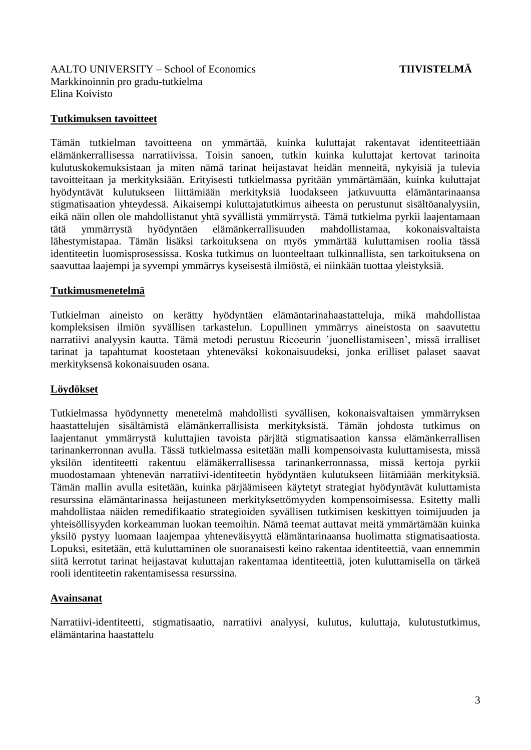<span id="page-3-0"></span>AALTO UNIVERSITY – School of Economics **TIIVISTELMÄ** Markkinoinnin pro gradu-tutkielma Elina Koivisto

# **Tutkimuksen tavoitteet**

Tämän tutkielman tavoitteena on ymmärtää, kuinka kuluttajat rakentavat identiteettiään elämänkerrallisessa narratiivissa. Toisin sanoen, tutkin kuinka kuluttajat kertovat tarinoita kulutuskokemuksistaan ja miten nämä tarinat heijastavat heidän menneitä, nykyisiä ja tulevia tavoitteitaan ja merkityksiään. Erityisesti tutkielmassa pyritään ymmärtämään, kuinka kuluttajat hyödyntävät kulutukseen liittämiään merkityksiä luodakseen jatkuvuutta elämäntarinaansa stigmatisaation yhteydessä. Aikaisempi kuluttajatutkimus aiheesta on perustunut sisältöanalyysiin, eikä näin ollen ole mahdollistanut yhtä syvällistä ymmärrystä. Tämä tutkielma pyrkii laajentamaan tätä ymmärrystä hyödyntäen elämänkerrallisuuden mahdollistamaa, kokonaisvaltaista lähestymistapaa. Tämän lisäksi tarkoituksena on myös ymmärtää kuluttamisen roolia tässä identiteetin luomisprosessissa. Koska tutkimus on luonteeltaan tulkinnallista, sen tarkoituksena on saavuttaa laajempi ja syvempi ymmärrys kyseisestä ilmiöstä, ei niinkään tuottaa yleistyksiä.

# **Tutkimusmenetelmä**

Tutkielman aineisto on kerätty hyödyntäen elämäntarinahaastatteluja, mikä mahdollistaa kompleksisen ilmiön syvällisen tarkastelun. Lopullinen ymmärrys aineistosta on saavutettu narratiivi analyysin kautta. Tämä metodi perustuu Ricoeurin "juonellistamiseen", missä irralliset tarinat ja tapahtumat koostetaan yhteneväksi kokonaisuudeksi, jonka erilliset palaset saavat merkityksensä kokonaisuuden osana.

# **Löydökset**

Tutkielmassa hyödynnetty menetelmä mahdollisti syvällisen, kokonaisvaltaisen ymmärryksen haastattelujen sisältämistä elämänkerrallisista merkityksistä. Tämän johdosta tutkimus on laajentanut ymmärrystä kuluttajien tavoista pärjätä stigmatisaation kanssa elämänkerrallisen tarinankerronnan avulla. Tässä tutkielmassa esitetään malli kompensoivasta kuluttamisesta, missä yksilön identiteetti rakentuu elämäkerrallisessa tarinankerronnassa, missä kertoja pyrkii muodostamaan yhtenevän narratiivi-identiteetin hyödyntäen kulutukseen liitämiään merkityksiä. Tämän mallin avulla esitetään, kuinka pärjäämiseen käytetyt strategiat hyödyntävät kuluttamista resurssina elämäntarinassa heijastuneen merkityksettömyyden kompensoimisessa. Esitetty malli mahdollistaa näiden remedifikaatio strategioiden syvällisen tutkimisen keskittyen toimijuuden ja yhteisöllisyyden korkeamman luokan teemoihin. Nämä teemat auttavat meitä ymmärtämään kuinka yksilö pystyy luomaan laajempaa yhteneväisyyttä elämäntarinaansa huolimatta stigmatisaatiosta. Lopuksi, esitetään, että kuluttaminen ole suoranaisesti keino rakentaa identiteettiä, vaan ennemmin siitä kerrotut tarinat heijastavat kuluttajan rakentamaa identiteettiä, joten kuluttamisella on tärkeä rooli identiteetin rakentamisessa resurssina.

# **Avainsanat**

Narratiivi-identiteetti, stigmatisaatio, narratiivi analyysi, kulutus, kuluttaja, kulutustutkimus, elämäntarina haastattelu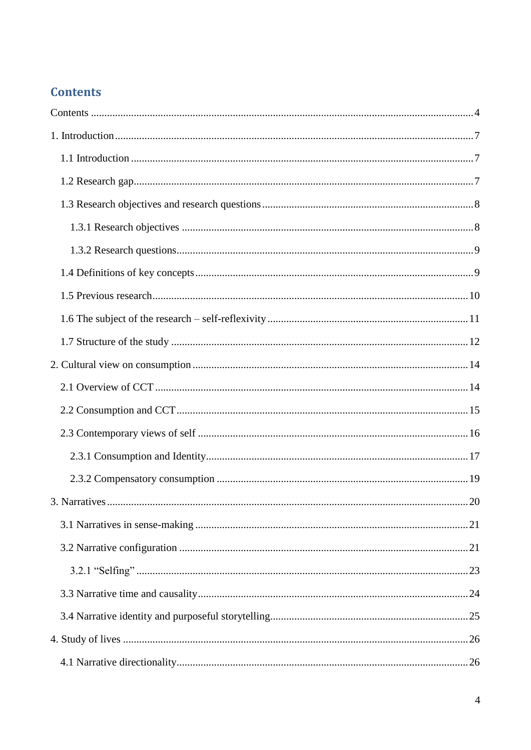# **Contents**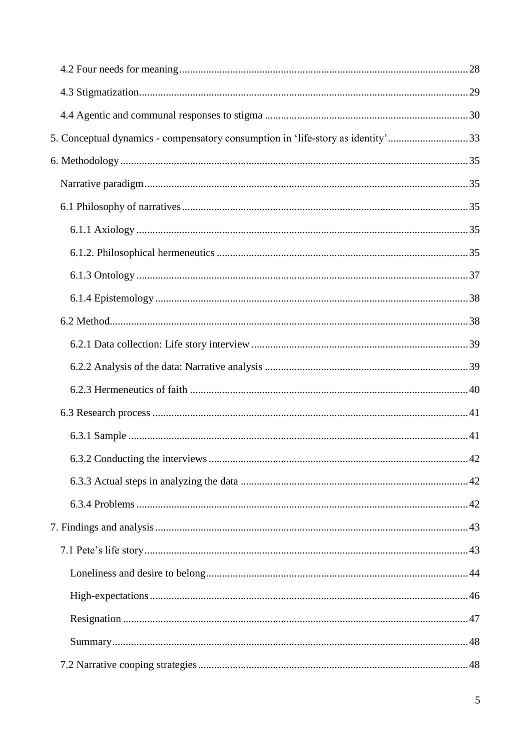| 5. Conceptual dynamics - compensatory consumption in 'life-story as identity'33 |  |
|---------------------------------------------------------------------------------|--|
|                                                                                 |  |
|                                                                                 |  |
|                                                                                 |  |
|                                                                                 |  |
|                                                                                 |  |
|                                                                                 |  |
|                                                                                 |  |
|                                                                                 |  |
|                                                                                 |  |
|                                                                                 |  |
|                                                                                 |  |
|                                                                                 |  |
|                                                                                 |  |
|                                                                                 |  |
|                                                                                 |  |
|                                                                                 |  |
|                                                                                 |  |
|                                                                                 |  |
|                                                                                 |  |
|                                                                                 |  |
|                                                                                 |  |
|                                                                                 |  |
|                                                                                 |  |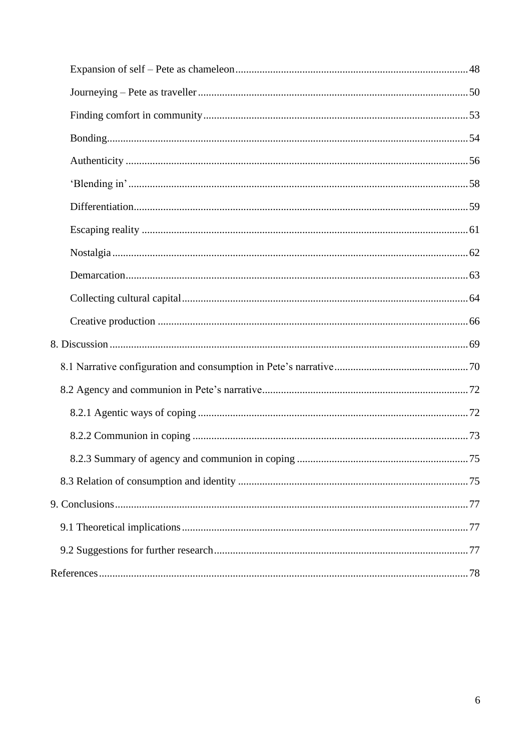<span id="page-6-2"></span><span id="page-6-1"></span><span id="page-6-0"></span>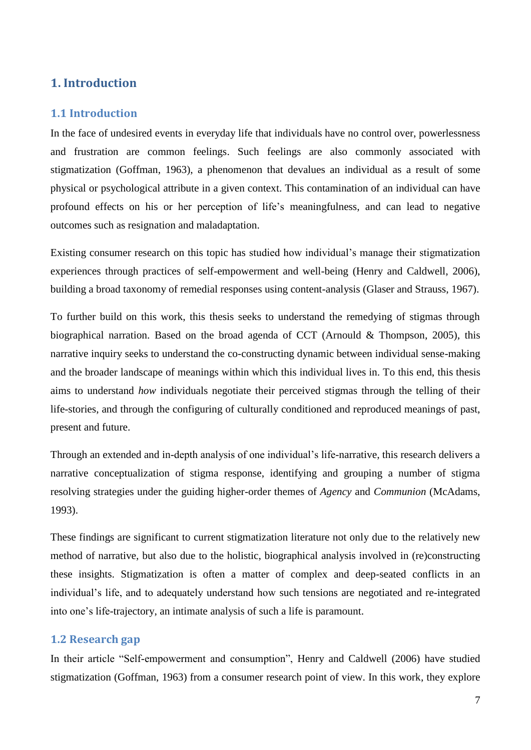# **1. Introduction**

# **1.1 Introduction**

In the face of undesired events in everyday life that individuals have no control over, powerlessness and frustration are common feelings. Such feelings are also commonly associated with stigmatization (Goffman, 1963), a phenomenon that devalues an individual as a result of some physical or psychological attribute in a given context. This contamination of an individual can have profound effects on his or her perception of life"s meaningfulness, and can lead to negative outcomes such as resignation and maladaptation.

<span id="page-7-1"></span><span id="page-7-0"></span>Existing consumer research on this topic has studied how individual"s manage their stigmatization experiences through practices of self-empowerment and well-being (Henry and Caldwell, 2006), building a broad taxonomy of remedial responses using content-analysis (Glaser and Strauss, 1967).

To further build on this work, this thesis seeks to understand the remedying of stigmas through biographical narration. Based on the broad agenda of CCT (Arnould & Thompson, 2005), this narrative inquiry seeks to understand the co-constructing dynamic between individual sense-making and the broader landscape of meanings within which this individual lives in. To this end, this thesis aims to understand *how* individuals negotiate their perceived stigmas through the telling of their life-stories, and through the configuring of culturally conditioned and reproduced meanings of past, present and future.

Through an extended and in-depth analysis of one individual"s life-narrative, this research delivers a narrative conceptualization of stigma response, identifying and grouping a number of stigma resolving strategies under the guiding higher-order themes of *Agency* and *Communion* (McAdams, 1993).

These findings are significant to current stigmatization literature not only due to the relatively new method of narrative, but also due to the holistic, biographical analysis involved in (re)constructing these insights. Stigmatization is often a matter of complex and deep-seated conflicts in an individual"s life, and to adequately understand how such tensions are negotiated and re-integrated into one"s life-trajectory, an intimate analysis of such a life is paramount.

# **1.2 Research gap**

In their article "Self-empowerment and consumption", Henry and Caldwell (2006) have studied stigmatization (Goffman, 1963) from a consumer research point of view. In this work, they explore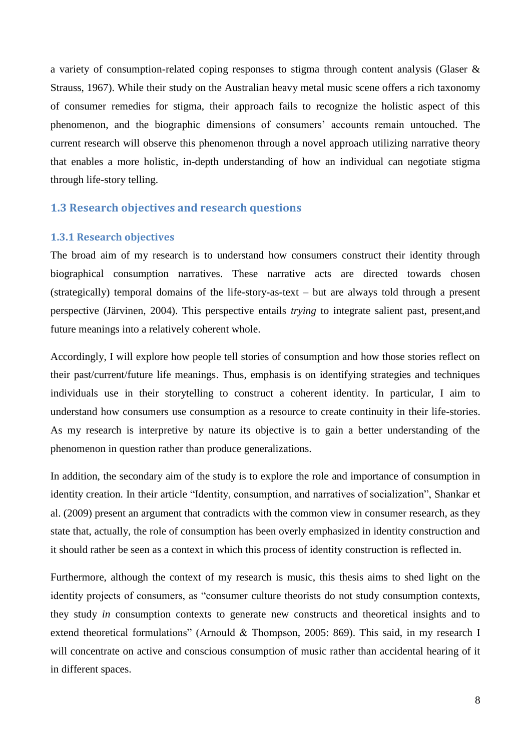<span id="page-8-0"></span>a variety of consumption-related coping responses to stigma through content analysis (Glaser & Strauss, 1967). While their study on the Australian heavy metal music scene offers a rich taxonomy of consumer remedies for stigma, their approach fails to recognize the holistic aspect of this phenomenon, and the biographic dimensions of consumers' accounts remain untouched. The current research will observe this phenomenon through a novel approach utilizing narrative theory that enables a more holistic, in-depth understanding of how an individual can negotiate stigma through life-story telling.

# **1.3 Research objectives and research questions**

#### **1.3.1 Research objectives**

<span id="page-8-1"></span>The broad aim of my research is to understand how consumers construct their identity through biographical consumption narratives. These narrative acts are directed towards chosen (strategically) temporal domains of the life-story-as-text – but are always told through a present perspective (Järvinen, 2004). This perspective entails *trying* to integrate salient past, present,and future meanings into a relatively coherent whole.

Accordingly, I will explore how people tell stories of consumption and how those stories reflect on their past/current/future life meanings. Thus, emphasis is on identifying strategies and techniques individuals use in their storytelling to construct a coherent identity. In particular, I aim to understand how consumers use consumption as a resource to create continuity in their life-stories. As my research is interpretive by nature its objective is to gain a better understanding of the phenomenon in question rather than produce generalizations.

In addition, the secondary aim of the study is to explore the role and importance of consumption in identity creation. In their article "Identity, consumption, and narratives of socialization", Shankar et al. (2009) present an argument that contradicts with the common view in consumer research, as they state that, actually, the role of consumption has been overly emphasized in identity construction and it should rather be seen as a context in which this process of identity construction is reflected in.

Furthermore, although the context of my research is music, this thesis aims to shed light on the identity projects of consumers, as "consumer culture theorists do not study consumption contexts, they study *in* consumption contexts to generate new constructs and theoretical insights and to extend theoretical formulations" (Arnould & Thompson, 2005: 869). This said, in my research I will concentrate on active and conscious consumption of music rather than accidental hearing of it in different spaces.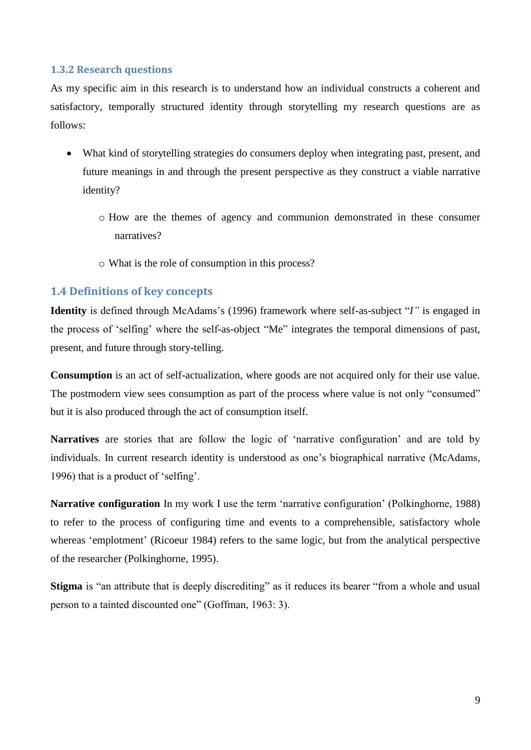# <span id="page-9-0"></span>**1.3.2 Research questions**

As my specific aim in this research is to understand how an individual constructs a coherent and satisfactory, temporally structured identity through storytelling my research questions are as follows:

- What kind of storytelling strategies do consumers deploy when integrating past, present, and future meanings in and through the present perspective as they construct a viable narrative identity?
	- o How are the themes of agency and communion demonstrated in these consumer narratives?
	- o What is the role of consumption in this process?

# **1.4 Definitions of key concepts**

**Identity** is defined through McAdams's (1996) framework where self-as-subject "*I*" is engaged in the process of "selfing" where the self-as-object "Me" integrates the temporal dimensions of past, present, and future through story-telling.

**Consumption** is an act of self-actualization, where goods are not acquired only for their use value. The postmodern view sees consumption as part of the process where value is not only "consumed" but it is also produced through the act of consumption itself.

**Narratives** are stories that are follow the logic of "narrative configuration" and are told by individuals. In current research identity is understood as one's biographical narrative (McAdams, 1996) that is a product of "selfing".

**Narrative configuration** In my work I use the term "narrative configuration" (Polkinghorne, 1988) to refer to the process of configuring time and events to a comprehensible, satisfactory whole whereas 'emplotment' (Ricoeur 1984) refers to the same logic, but from the analytical perspective of the researcher (Polkinghorne, 1995).

**Stigma** is "an attribute that is deeply discrediting" as it reduces its bearer "from a whole and usual person to a tainted discounted one" (Goffman, 1963: 3).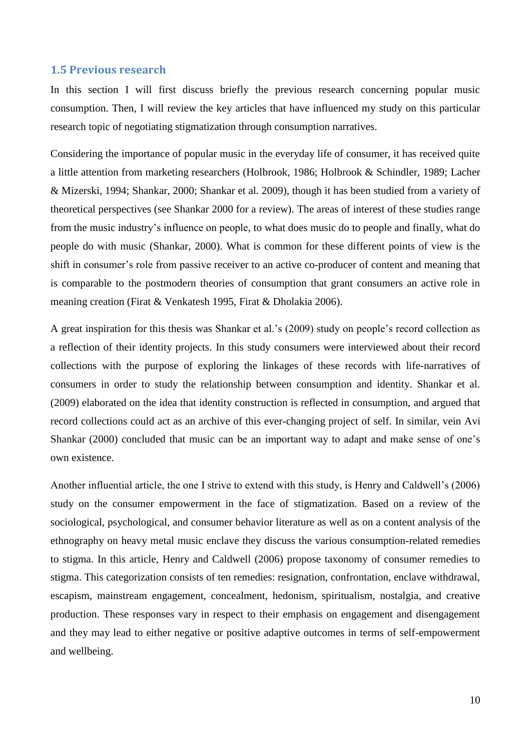#### <span id="page-10-0"></span>**1.5 Previous research**

In this section I will first discuss briefly the previous research concerning popular music consumption. Then, I will review the key articles that have influenced my study on this particular research topic of negotiating stigmatization through consumption narratives.

Considering the importance of popular music in the everyday life of consumer, it has received quite a little attention from marketing researchers (Holbrook, 1986; Holbrook & Schindler, 1989; Lacher & Mizerski, 1994; Shankar, 2000; Shankar et al. 2009), though it has been studied from a variety of theoretical perspectives (see Shankar 2000 for a review). The areas of interest of these studies range from the music industry"s influence on people, to what does music do to people and finally, what do people do with music (Shankar, 2000). What is common for these different points of view is the shift in consumer's role from passive receiver to an active co-producer of content and meaning that is comparable to the postmodern theories of consumption that grant consumers an active role in meaning creation (Firat & Venkatesh 1995, Firat & Dholakia 2006).

A great inspiration for this thesis was Shankar et al."s (2009) study on people"s record collection as a reflection of their identity projects. In this study consumers were interviewed about their record collections with the purpose of exploring the linkages of these records with life-narratives of consumers in order to study the relationship between consumption and identity. Shankar et al. (2009) elaborated on the idea that identity construction is reflected in consumption, and argued that record collections could act as an archive of this ever-changing project of self. In similar, vein Avi Shankar (2000) concluded that music can be an important way to adapt and make sense of one"s own existence.

Another influential article, the one I strive to extend with this study, is Henry and Caldwell"s (2006) study on the consumer empowerment in the face of stigmatization. Based on a review of the sociological, psychological, and consumer behavior literature as well as on a content analysis of the ethnography on heavy metal music enclave they discuss the various consumption-related remedies to stigma. In this article, Henry and Caldwell (2006) propose taxonomy of consumer remedies to stigma. This categorization consists of ten remedies: resignation, confrontation, enclave withdrawal, escapism, mainstream engagement, concealment, hedonism, spiritualism, nostalgia, and creative production. These responses vary in respect to their emphasis on engagement and disengagement and they may lead to either negative or positive adaptive outcomes in terms of self-empowerment and wellbeing.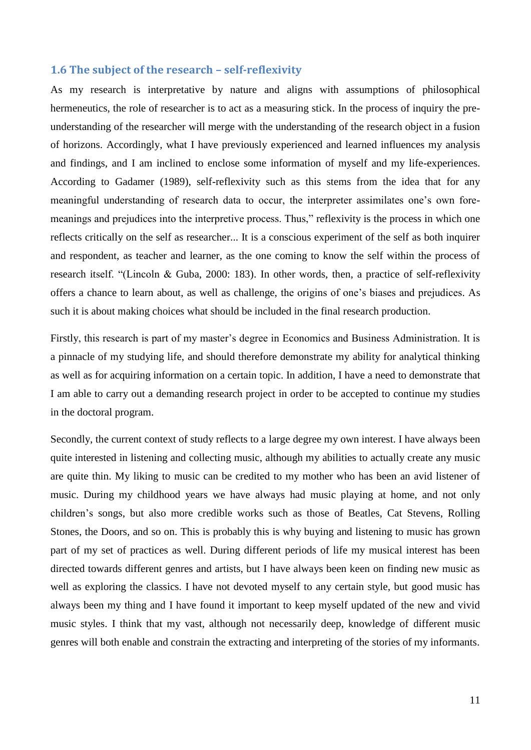#### <span id="page-11-0"></span>**1.6 The subject of the research – self-reflexivity**

As my research is interpretative by nature and aligns with assumptions of philosophical hermeneutics, the role of researcher is to act as a measuring stick. In the process of inquiry the preunderstanding of the researcher will merge with the understanding of the research object in a fusion of horizons. Accordingly, what I have previously experienced and learned influences my analysis and findings, and I am inclined to enclose some information of myself and my life-experiences. According to Gadamer (1989), self-reflexivity such as this stems from the idea that for any meaningful understanding of research data to occur, the interpreter assimilates one's own foremeanings and prejudices into the interpretive process. Thus," reflexivity is the process in which one reflects critically on the self as researcher... It is a conscious experiment of the self as both inquirer and respondent, as teacher and learner, as the one coming to know the self within the process of research itself. "(Lincoln & Guba, 2000: 183). In other words, then, a practice of self-reflexivity offers a chance to learn about, as well as challenge, the origins of one"s biases and prejudices. As such it is about making choices what should be included in the final research production.

Firstly, this research is part of my master's degree in Economics and Business Administration. It is a pinnacle of my studying life, and should therefore demonstrate my ability for analytical thinking as well as for acquiring information on a certain topic. In addition, I have a need to demonstrate that I am able to carry out a demanding research project in order to be accepted to continue my studies in the doctoral program.

Secondly, the current context of study reflects to a large degree my own interest. I have always been quite interested in listening and collecting music, although my abilities to actually create any music are quite thin. My liking to music can be credited to my mother who has been an avid listener of music. During my childhood years we have always had music playing at home, and not only children"s songs, but also more credible works such as those of Beatles, Cat Stevens, Rolling Stones, the Doors, and so on. This is probably this is why buying and listening to music has grown part of my set of practices as well. During different periods of life my musical interest has been directed towards different genres and artists, but I have always been keen on finding new music as well as exploring the classics. I have not devoted myself to any certain style, but good music has always been my thing and I have found it important to keep myself updated of the new and vivid music styles. I think that my vast, although not necessarily deep, knowledge of different music genres will both enable and constrain the extracting and interpreting of the stories of my informants.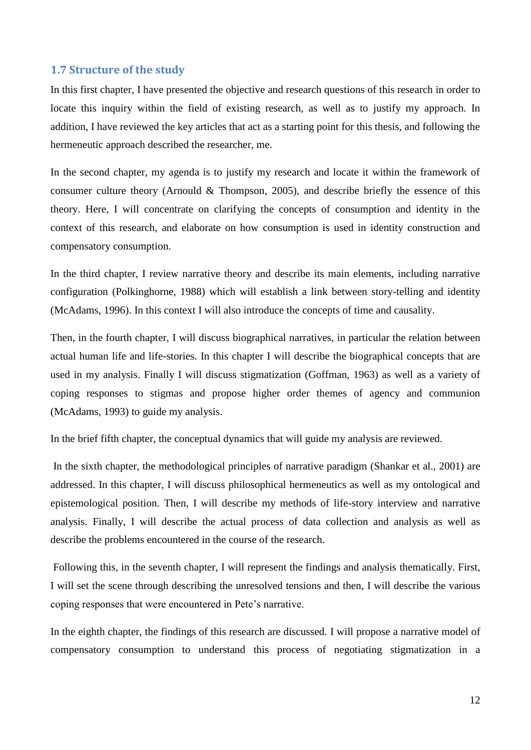#### **1.7 Structure of the study**

In this first chapter, I have presented the objective and research questions of this research in order to locate this inquiry within the field of existing research, as well as to justify my approach. In addition, I have reviewed the key articles that act as a starting point for this thesis, and following the hermeneutic approach described the researcher, me.

In the second chapter, my agenda is to justify my research and locate it within the framework of consumer culture theory (Arnould & Thompson, 2005), and describe briefly the essence of this theory. Here, I will concentrate on clarifying the concepts of consumption and identity in the context of this research, and elaborate on how consumption is used in identity construction and compensatory consumption.

In the third chapter, I review narrative theory and describe its main elements, including narrative configuration (Polkinghorne, 1988) which will establish a link between story-telling and identity (McAdams, 1996). In this context I will also introduce the concepts of time and causality.

Then, in the fourth chapter, I will discuss biographical narratives, in particular the relation between actual human life and life-stories. In this chapter I will describe the biographical concepts that are used in my analysis. Finally I will discuss stigmatization (Goffman, 1963) as well as a variety of coping responses to stigmas and propose higher order themes of agency and communion (McAdams, 1993) to guide my analysis.

In the brief fifth chapter, the conceptual dynamics that will guide my analysis are reviewed.

In the sixth chapter, the methodological principles of narrative paradigm (Shankar et al., 2001) are addressed. In this chapter, I will discuss philosophical hermeneutics as well as my ontological and epistemological position. Then, I will describe my methods of life-story interview and narrative analysis. Finally, I will describe the actual process of data collection and analysis as well as describe the problems encountered in the course of the research.

Following this, in the seventh chapter, I will represent the findings and analysis thematically. First, I will set the scene through describing the unresolved tensions and then, I will describe the various coping responses that were encountered in Pete"s narrative.

In the eighth chapter, the findings of this research are discussed. I will propose a narrative model of compensatory consumption to understand this process of negotiating stigmatization in a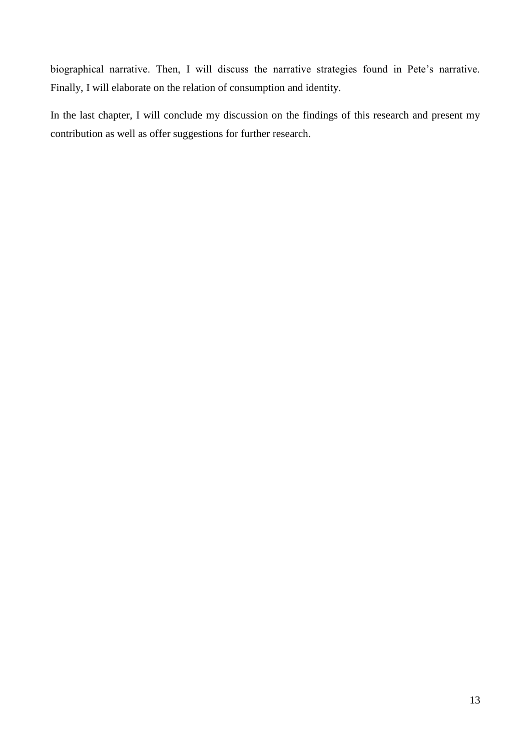<span id="page-13-0"></span>biographical narrative. Then, I will discuss the narrative strategies found in Pete's narrative. Finally, I will elaborate on the relation of consumption and identity.

<span id="page-13-1"></span>In the last chapter, I will conclude my discussion on the findings of this research and present my contribution as well as offer suggestions for further research.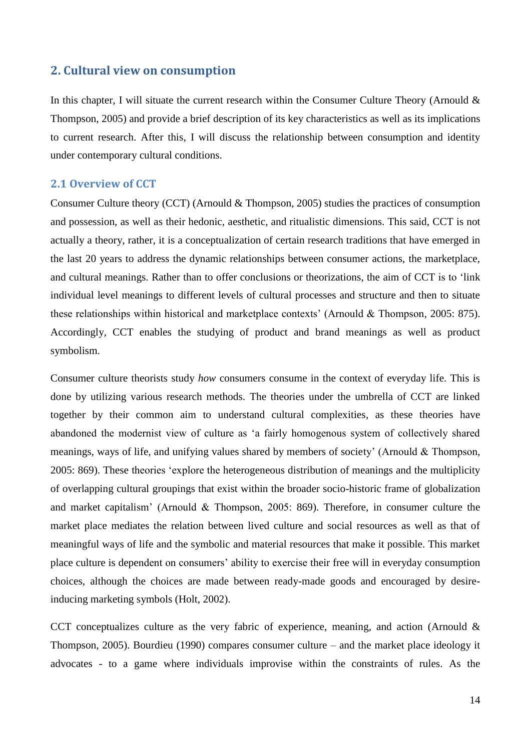# **2. Cultural view on consumption**

In this chapter, I will situate the current research within the Consumer Culture Theory (Arnould  $\&$ Thompson, 2005) and provide a brief description of its key characteristics as well as its implications to current research. After this, I will discuss the relationship between consumption and identity under contemporary cultural conditions.

# <span id="page-14-0"></span>**2.1 Overview of CCT**

Consumer Culture theory (CCT) (Arnould & Thompson, 2005) studies the practices of consumption and possession, as well as their hedonic, aesthetic, and ritualistic dimensions. This said, CCT is not actually a theory, rather, it is a conceptualization of certain research traditions that have emerged in the last 20 years to address the dynamic relationships between consumer actions, the marketplace, and cultural meanings. Rather than to offer conclusions or theorizations, the aim of CCT is to "link individual level meanings to different levels of cultural processes and structure and then to situate these relationships within historical and marketplace contexts" (Arnould & Thompson, 2005: 875). Accordingly, CCT enables the studying of product and brand meanings as well as product symbolism.

Consumer culture theorists study *how* consumers consume in the context of everyday life. This is done by utilizing various research methods. The theories under the umbrella of CCT are linked together by their common aim to understand cultural complexities, as these theories have abandoned the modernist view of culture as "a fairly homogenous system of collectively shared meanings, ways of life, and unifying values shared by members of society" (Arnould & Thompson, 2005: 869). These theories "explore the heterogeneous distribution of meanings and the multiplicity of overlapping cultural groupings that exist within the broader socio-historic frame of globalization and market capitalism" (Arnould & Thompson, 2005: 869). Therefore, in consumer culture the market place mediates the relation between lived culture and social resources as well as that of meaningful ways of life and the symbolic and material resources that make it possible. This market place culture is dependent on consumers" ability to exercise their free will in everyday consumption choices, although the choices are made between ready-made goods and encouraged by desireinducing marketing symbols (Holt, 2002).

CCT conceptualizes culture as the very fabric of experience, meaning, and action (Arnould  $\&$ Thompson, 2005). Bourdieu (1990) compares consumer culture – and the market place ideology it advocates - to a game where individuals improvise within the constraints of rules. As the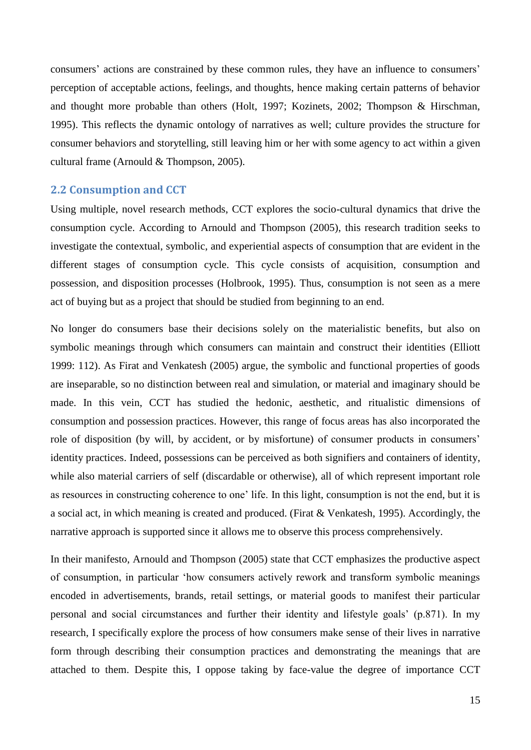consumers' actions are constrained by these common rules, they have an influence to consumers' perception of acceptable actions, feelings, and thoughts, hence making certain patterns of behavior and thought more probable than others (Holt, 1997; Kozinets, 2002; Thompson & Hirschman, 1995). This reflects the dynamic ontology of narratives as well; culture provides the structure for consumer behaviors and storytelling, still leaving him or her with some agency to act within a given cultural frame (Arnould & Thompson, 2005).

# **2.2 Consumption and CCT**

Using multiple, novel research methods, CCT explores the socio-cultural dynamics that drive the consumption cycle. According to Arnould and Thompson (2005), this research tradition seeks to investigate the contextual, symbolic, and experiential aspects of consumption that are evident in the different stages of consumption cycle. This cycle consists of acquisition, consumption and possession, and disposition processes (Holbrook, 1995). Thus, consumption is not seen as a mere act of buying but as a project that should be studied from beginning to an end.

<span id="page-15-0"></span>No longer do consumers base their decisions solely on the materialistic benefits, but also on symbolic meanings through which consumers can maintain and construct their identities (Elliott 1999: 112). As Firat and Venkatesh (2005) argue, the symbolic and functional properties of goods are inseparable, so no distinction between real and simulation, or material and imaginary should be made. In this vein, CCT has studied the hedonic, aesthetic, and ritualistic dimensions of consumption and possession practices. However, this range of focus areas has also incorporated the role of disposition (by will, by accident, or by misfortune) of consumer products in consumers' identity practices. Indeed, possessions can be perceived as both signifiers and containers of identity, while also material carriers of self (discardable or otherwise), all of which represent important role as resources in constructing coherence to one' life. In this light, consumption is not the end, but it is a social act, in which meaning is created and produced. (Firat & Venkatesh, 1995). Accordingly, the narrative approach is supported since it allows me to observe this process comprehensively.

In their manifesto, Arnould and Thompson (2005) state that CCT emphasizes the productive aspect of consumption, in particular "how consumers actively rework and transform symbolic meanings encoded in advertisements, brands, retail settings, or material goods to manifest their particular personal and social circumstances and further their identity and lifestyle goals" (p.871). In my research, I specifically explore the process of how consumers make sense of their lives in narrative form through describing their consumption practices and demonstrating the meanings that are attached to them. Despite this, I oppose taking by face-value the degree of importance CCT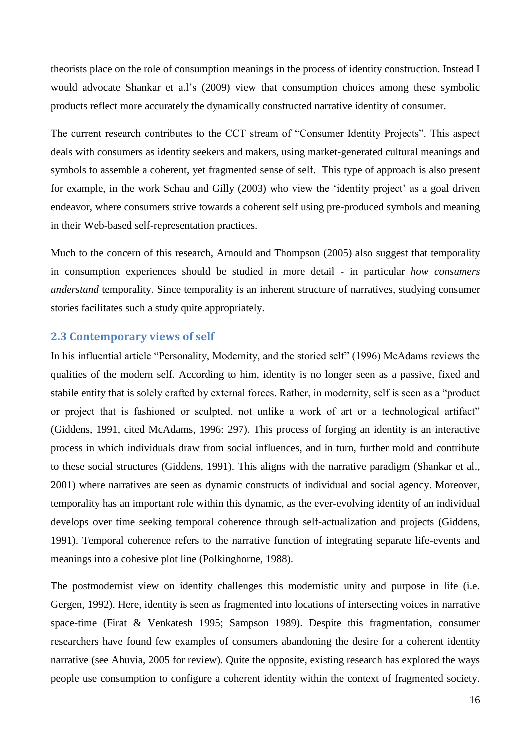theorists place on the role of consumption meanings in the process of identity construction. Instead I would advocate Shankar et a.l's (2009) view that consumption choices among these symbolic products reflect more accurately the dynamically constructed narrative identity of consumer.

The current research contributes to the CCT stream of "Consumer Identity Projects". This aspect deals with consumers as identity seekers and makers, using market-generated cultural meanings and symbols to assemble a coherent, yet fragmented sense of self. This type of approach is also present for example, in the work Schau and Gilly (2003) who view the 'identity project' as a goal driven endeavor, where consumers strive towards a coherent self using pre-produced symbols and meaning in their Web-based self-representation practices.

<span id="page-16-0"></span>Much to the concern of this research, Arnould and Thompson (2005) also suggest that temporality in consumption experiences should be studied in more detail - in particular *how consumers understand* temporality. Since temporality is an inherent structure of narratives, studying consumer stories facilitates such a study quite appropriately.

# **2.3 Contemporary views of self**

In his influential article "Personality, Modernity, and the storied self" (1996) McAdams reviews the qualities of the modern self. According to him, identity is no longer seen as a passive, fixed and stabile entity that is solely crafted by external forces. Rather, in modernity, self is seen as a "product or project that is fashioned or sculpted, not unlike a work of art or a technological artifact" (Giddens, 1991, cited McAdams, 1996: 297). This process of forging an identity is an interactive process in which individuals draw from social influences, and in turn, further mold and contribute to these social structures (Giddens, 1991). This aligns with the narrative paradigm (Shankar et al., 2001) where narratives are seen as dynamic constructs of individual and social agency. Moreover, temporality has an important role within this dynamic, as the ever-evolving identity of an individual develops over time seeking temporal coherence through self-actualization and projects (Giddens, 1991). Temporal coherence refers to the narrative function of integrating separate life-events and meanings into a cohesive plot line (Polkinghorne, 1988).

The postmodernist view on identity challenges this modernistic unity and purpose in life (i.e. Gergen, 1992). Here, identity is seen as fragmented into locations of intersecting voices in narrative space-time (Firat & Venkatesh 1995; Sampson 1989). Despite this fragmentation, consumer researchers have found few examples of consumers abandoning the desire for a coherent identity narrative (see Ahuvia, 2005 for review). Quite the opposite, existing research has explored the ways people use consumption to configure a coherent identity within the context of fragmented society.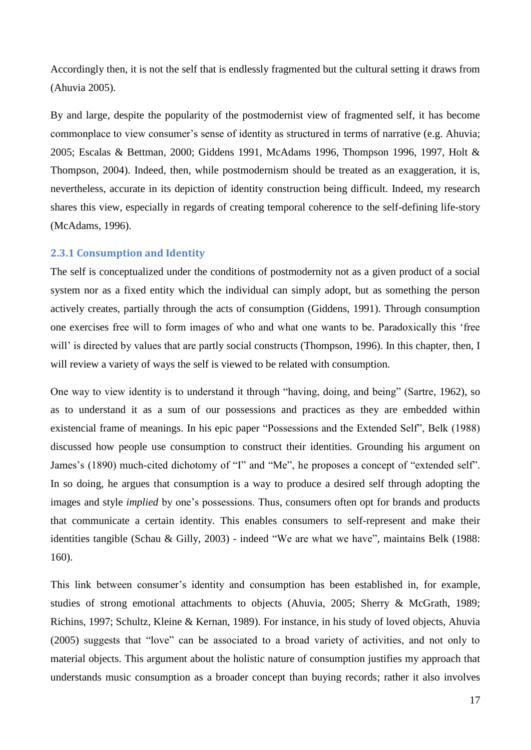Accordingly then, it is not the self that is endlessly fragmented but the cultural setting it draws from (Ahuvia 2005).

By and large, despite the popularity of the postmodernist view of fragmented self, it has become commonplace to view consumer's sense of identity as structured in terms of narrative (e.g. Ahuvia; 2005; Escalas & Bettman, 2000; Giddens 1991, McAdams 1996, Thompson 1996, 1997, Holt & Thompson, 2004). Indeed, then, while postmodernism should be treated as an exaggeration, it is, nevertheless, accurate in its depiction of identity construction being difficult. Indeed, my research shares this view, especially in regards of creating temporal coherence to the self-defining life-story (McAdams, 1996).

# **2.3.1 Consumption and Identity**

The self is conceptualized under the conditions of postmodernity not as a given product of a social system nor as a fixed entity which the individual can simply adopt, but as something the person actively creates, partially through the acts of consumption (Giddens, 1991). Through consumption one exercises free will to form images of who and what one wants to be. Paradoxically this "free will' is directed by values that are partly social constructs (Thompson, 1996). In this chapter, then, I will review a variety of ways the self is viewed to be related with consumption.

One way to view identity is to understand it through "having, doing, and being" (Sartre, 1962), so as to understand it as a sum of our possessions and practices as they are embedded within existencial frame of meanings. In his epic paper "Possessions and the Extended Self", Belk (1988) discussed how people use consumption to construct their identities. Grounding his argument on James's (1890) much-cited dichotomy of "I" and "Me", he proposes a concept of "extended self". In so doing, he argues that consumption is a way to produce a desired self through adopting the images and style *implied* by one"s possessions. Thus, consumers often opt for brands and products that communicate a certain identity. This enables consumers to self-represent and make their identities tangible (Schau & Gilly, 2003) - indeed "We are what we have", maintains Belk (1988: 160).

This link between consumer"s identity and consumption has been established in, for example, studies of strong emotional attachments to objects (Ahuvia, 2005; Sherry & McGrath, 1989; Richins, 1997; Schultz, Kleine & Kernan, 1989). For instance, in his study of loved objects, Ahuvia (2005) suggests that "love" can be associated to a broad variety of activities, and not only to material objects. This argument about the holistic nature of consumption justifies my approach that understands music consumption as a broader concept than buying records; rather it also involves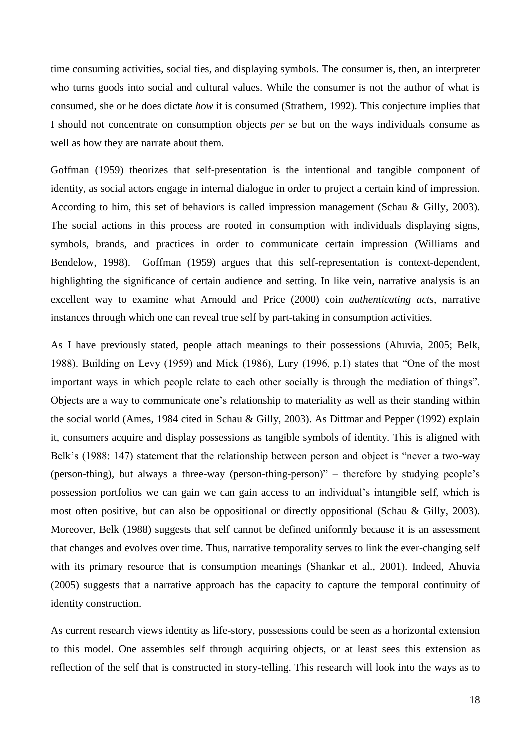time consuming activities, social ties, and displaying symbols. The consumer is, then, an interpreter who turns goods into social and cultural values. While the consumer is not the author of what is consumed, she or he does dictate *how* it is consumed (Strathern, 1992). This conjecture implies that I should not concentrate on consumption objects *per se* but on the ways individuals consume as well as how they are narrate about them.

<span id="page-18-0"></span>Goffman (1959) theorizes that self-presentation is the intentional and tangible component of identity, as social actors engage in internal dialogue in order to project a certain kind of impression. According to him, this set of behaviors is called impression management (Schau & Gilly, 2003). The social actions in this process are rooted in consumption with individuals displaying signs, symbols, brands, and practices in order to communicate certain impression (Williams and Bendelow, 1998). Goffman (1959) argues that this self-representation is context-dependent, highlighting the significance of certain audience and setting. In like vein, narrative analysis is an excellent way to examine what Arnould and Price (2000) coin *authenticating acts*, narrative instances through which one can reveal true self by part-taking in consumption activities.

As I have previously stated, people attach meanings to their possessions (Ahuvia, 2005; Belk, 1988). Building on Levy (1959) and Mick (1986), Lury (1996, p.1) states that "One of the most important ways in which people relate to each other socially is through the mediation of things". Objects are a way to communicate one"s relationship to materiality as well as their standing within the social world (Ames, 1984 cited in Schau & Gilly, 2003). As Dittmar and Pepper (1992) explain it, consumers acquire and display possessions as tangible symbols of identity. This is aligned with Belk's (1988: 147) statement that the relationship between person and object is "never a two-way (person-thing), but always a three-way (person-thing-person)" – therefore by studying people"s possession portfolios we can gain we can gain access to an individual"s intangible self, which is most often positive, but can also be oppositional or directly oppositional (Schau & Gilly, 2003). Moreover, Belk (1988) suggests that self cannot be defined uniformly because it is an assessment that changes and evolves over time. Thus, narrative temporality serves to link the ever-changing self with its primary resource that is consumption meanings (Shankar et al., 2001). Indeed, Ahuvia (2005) suggests that a narrative approach has the capacity to capture the temporal continuity of identity construction.

As current research views identity as life-story, possessions could be seen as a horizontal extension to this model. One assembles self through acquiring objects, or at least sees this extension as reflection of the self that is constructed in story-telling. This research will look into the ways as to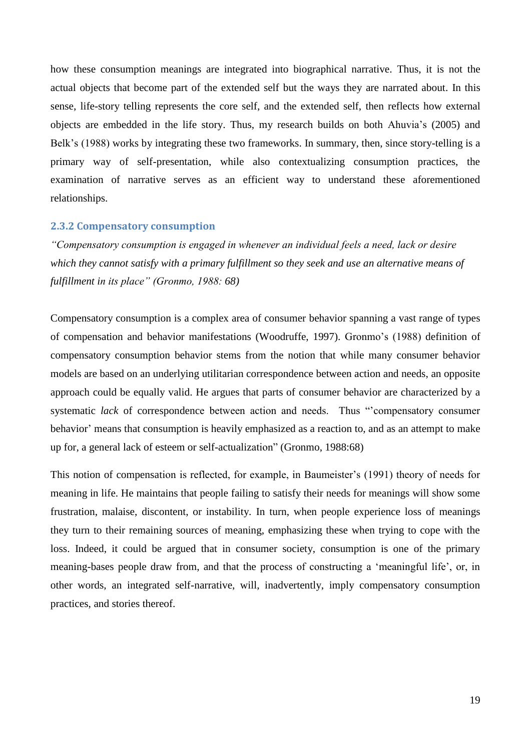<span id="page-19-0"></span>how these consumption meanings are integrated into biographical narrative. Thus, it is not the actual objects that become part of the extended self but the ways they are narrated about. In this sense, life-story telling represents the core self, and the extended self, then reflects how external objects are embedded in the life story. Thus, my research builds on both Ahuvia"s (2005) and Belk's (1988) works by integrating these two frameworks. In summary, then, since story-telling is a primary way of self-presentation, while also contextualizing consumption practices, the examination of narrative serves as an efficient way to understand these aforementioned relationships.

#### **2.3.2 Compensatory consumption**

*"Compensatory consumption is engaged in whenever an individual feels a need, lack or desire which they cannot satisfy with a primary fulfillment so they seek and use an alternative means of fulfillment in its place" (Gronmo, 1988: 68)*

Compensatory consumption is a complex area of consumer behavior spanning a vast range of types of compensation and behavior manifestations (Woodruffe, 1997). Gronmo"s (1988) definition of compensatory consumption behavior stems from the notion that while many consumer behavior models are based on an underlying utilitarian correspondence between action and needs, an opposite approach could be equally valid. He argues that parts of consumer behavior are characterized by a systematic *lack* of correspondence between action and needs. Thus "'compensatory consumer behavior' means that consumption is heavily emphasized as a reaction to, and as an attempt to make up for, a general lack of esteem or self-actualization" (Gronmo, 1988:68)

This notion of compensation is reflected, for example, in Baumeister"s (1991) theory of needs for meaning in life. He maintains that people failing to satisfy their needs for meanings will show some frustration, malaise, discontent, or instability. In turn, when people experience loss of meanings they turn to their remaining sources of meaning, emphasizing these when trying to cope with the loss. Indeed, it could be argued that in consumer society, consumption is one of the primary meaning-bases people draw from, and that the process of constructing a "meaningful life", or, in other words, an integrated self-narrative, will, inadvertently, imply compensatory consumption practices, and stories thereof.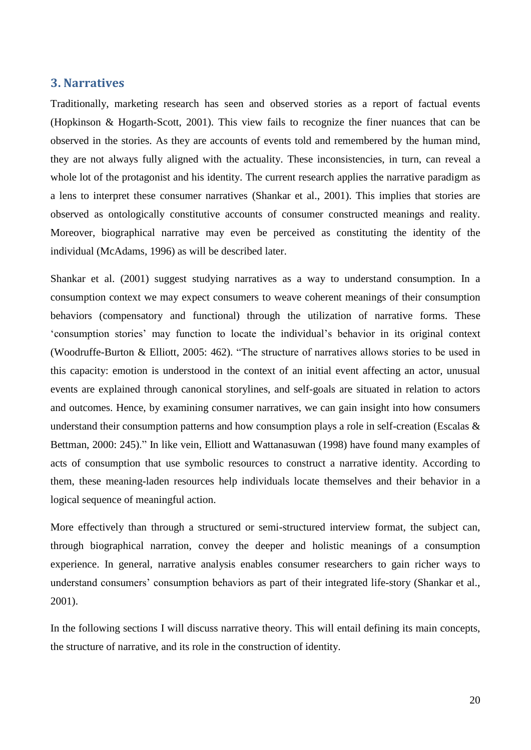# <span id="page-20-0"></span>**3. Narratives**

Traditionally, marketing research has seen and observed stories as a report of factual events (Hopkinson & Hogarth-Scott, 2001). This view fails to recognize the finer nuances that can be observed in the stories. As they are accounts of events told and remembered by the human mind, they are not always fully aligned with the actuality. These inconsistencies, in turn, can reveal a whole lot of the protagonist and his identity. The current research applies the narrative paradigm as a lens to interpret these consumer narratives (Shankar et al., 2001). This implies that stories are observed as ontologically constitutive accounts of consumer constructed meanings and reality. Moreover, biographical narrative may even be perceived as constituting the identity of the individual (McAdams, 1996) as will be described later.

Shankar et al. (2001) suggest studying narratives as a way to understand consumption. In a consumption context we may expect consumers to weave coherent meanings of their consumption behaviors (compensatory and functional) through the utilization of narrative forms. These "consumption stories" may function to locate the individual"s behavior in its original context (Woodruffe-Burton & Elliott, 2005: 462). "The structure of narratives allows stories to be used in this capacity: emotion is understood in the context of an initial event affecting an actor, unusual events are explained through canonical storylines, and self-goals are situated in relation to actors and outcomes. Hence, by examining consumer narratives, we can gain insight into how consumers understand their consumption patterns and how consumption plays a role in self-creation (Escalas & Bettman, 2000: 245)." In like vein, Elliott and Wattanasuwan (1998) have found many examples of acts of consumption that use symbolic resources to construct a narrative identity. According to them, these meaning-laden resources help individuals locate themselves and their behavior in a logical sequence of meaningful action.

<span id="page-20-1"></span>More effectively than through a structured or semi-structured interview format, the subject can, through biographical narration, convey the deeper and holistic meanings of a consumption experience. In general, narrative analysis enables consumer researchers to gain richer ways to understand consumers" consumption behaviors as part of their integrated life-story (Shankar et al., 2001).

In the following sections I will discuss narrative theory. This will entail defining its main concepts, the structure of narrative, and its role in the construction of identity.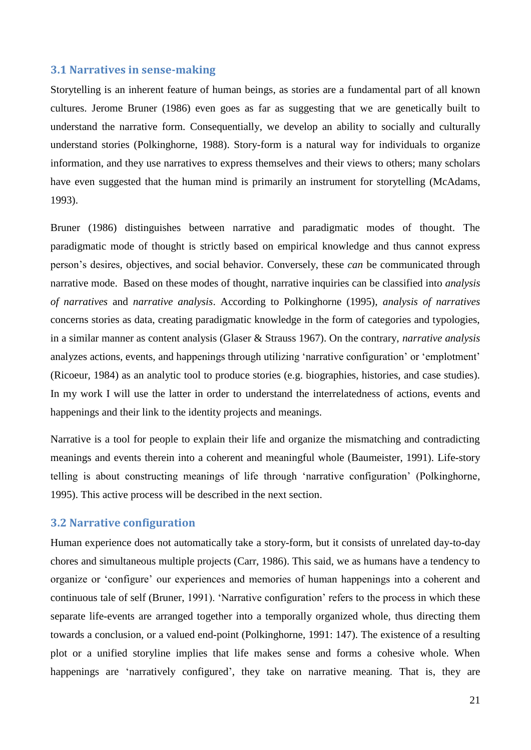#### **3.1 Narratives in sense-making**

Storytelling is an inherent feature of human beings, as stories are a fundamental part of all known cultures. Jerome Bruner (1986) even goes as far as suggesting that we are genetically built to understand the narrative form. Consequentially, we develop an ability to socially and culturally understand stories (Polkinghorne, 1988). Story-form is a natural way for individuals to organize information, and they use narratives to express themselves and their views to others; many scholars have even suggested that the human mind is primarily an instrument for storytelling (McAdams, 1993).

Bruner (1986) distinguishes between narrative and paradigmatic modes of thought. The paradigmatic mode of thought is strictly based on empirical knowledge and thus cannot express person"s desires, objectives, and social behavior. Conversely, these *can* be communicated through narrative mode. Based on these modes of thought, narrative inquiries can be classified into *analysis of narratives* and *narrative analysis*. According to Polkinghorne (1995), *analysis of narratives* concerns stories as data, creating paradigmatic knowledge in the form of categories and typologies, in a similar manner as content analysis (Glaser & Strauss 1967). On the contrary, *narrative analysis* analyzes actions, events, and happenings through utilizing "narrative configuration" or "emplotment" (Ricoeur, 1984) as an analytic tool to produce stories (e.g. biographies, histories, and case studies). In my work I will use the latter in order to understand the interrelatedness of actions, events and happenings and their link to the identity projects and meanings.

Narrative is a tool for people to explain their life and organize the mismatching and contradicting meanings and events therein into a coherent and meaningful whole (Baumeister, 1991). Life-story telling is about constructing meanings of life through "narrative configuration" (Polkinghorne, 1995). This active process will be described in the next section.

## **3.2 Narrative configuration**

Human experience does not automatically take a story-form, but it consists of unrelated day-to-day chores and simultaneous multiple projects (Carr, 1986). This said, we as humans have a tendency to organize or "configure" our experiences and memories of human happenings into a coherent and continuous tale of self (Bruner, 1991). "Narrative configuration" refers to the process in which these separate life-events are arranged together into a temporally organized whole, thus directing them towards a conclusion, or a valued end-point (Polkinghorne, 1991: 147). The existence of a resulting plot or a unified storyline implies that life makes sense and forms a cohesive whole. When happenings are 'narratively configured', they take on narrative meaning. That is, they are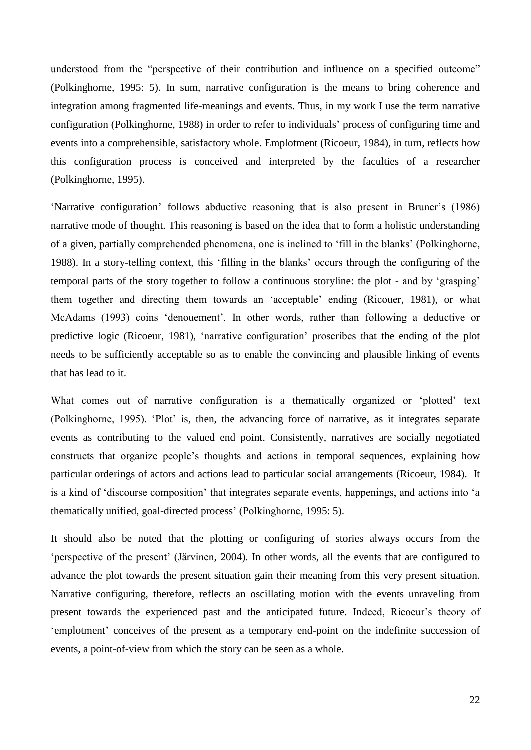<span id="page-22-0"></span>understood from the "perspective of their contribution and influence on a specified outcome" (Polkinghorne, 1995: 5). In sum, narrative configuration is the means to bring coherence and integration among fragmented life-meanings and events. Thus, in my work I use the term narrative configuration (Polkinghorne, 1988) in order to refer to individuals" process of configuring time and events into a comprehensible, satisfactory whole. Emplotment (Ricoeur, 1984), in turn, reflects how this configuration process is conceived and interpreted by the faculties of a researcher (Polkinghorne, 1995).

"Narrative configuration" follows abductive reasoning that is also present in Bruner"s (1986) narrative mode of thought. This reasoning is based on the idea that to form a holistic understanding of a given, partially comprehended phenomena, one is inclined to "fill in the blanks" (Polkinghorne, 1988). In a story-telling context, this "filling in the blanks" occurs through the configuring of the temporal parts of the story together to follow a continuous storyline: the plot - and by "grasping" them together and directing them towards an "acceptable" ending (Ricouer, 1981), or what McAdams (1993) coins "denouement". In other words, rather than following a deductive or predictive logic (Ricoeur, 1981), "narrative configuration" proscribes that the ending of the plot needs to be sufficiently acceptable so as to enable the convincing and plausible linking of events that has lead to it.

What comes out of narrative configuration is a thematically organized or 'plotted' text (Polkinghorne, 1995). "Plot" is, then, the advancing force of narrative, as it integrates separate events as contributing to the valued end point. Consistently, narratives are socially negotiated constructs that organize people"s thoughts and actions in temporal sequences, explaining how particular orderings of actors and actions lead to particular social arrangements (Ricoeur, 1984). It is a kind of "discourse composition" that integrates separate events, happenings, and actions into "a thematically unified, goal-directed process" (Polkinghorne, 1995: 5).

It should also be noted that the plotting or configuring of stories always occurs from the "perspective of the present" (Järvinen, 2004). In other words, all the events that are configured to advance the plot towards the present situation gain their meaning from this very present situation. Narrative configuring, therefore, reflects an oscillating motion with the events unraveling from present towards the experienced past and the anticipated future. Indeed, Ricoeur's theory of "emplotment" conceives of the present as a temporary end-point on the indefinite succession of events, a point-of-view from which the story can be seen as a whole.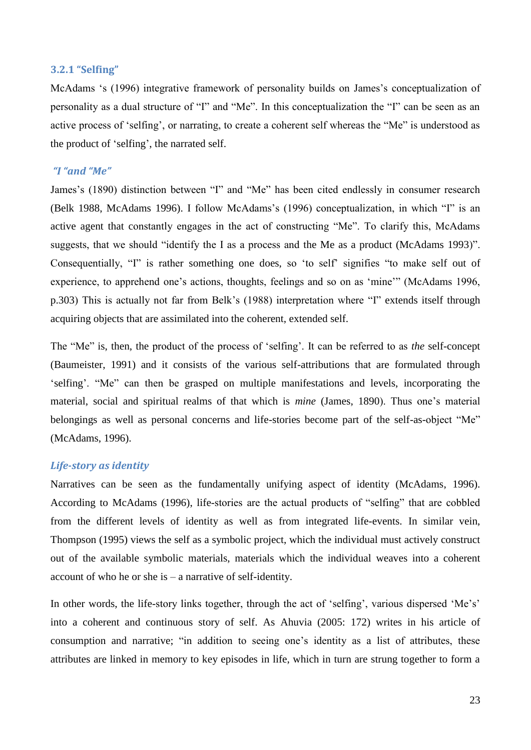#### **3.2.1 "Selfing"**

McAdams 's (1996) integrative framework of personality builds on James's conceptualization of personality as a dual structure of "I" and "Me". In this conceptualization the "I" can be seen as an active process of "selfing", or narrating, to create a coherent self whereas the "Me" is understood as the product of "selfing", the narrated self.

# *"I "and "Me"*

James"s (1890) distinction between "I" and "Me" has been cited endlessly in consumer research (Belk 1988, McAdams 1996). I follow McAdams"s (1996) conceptualization, in which "I" is an active agent that constantly engages in the act of constructing "Me". To clarify this, McAdams suggests, that we should "identify the I as a process and the Me as a product (McAdams 1993)". Consequentially, "I" is rather something one does, so "to self" signifies "to make self out of experience, to apprehend one's actions, thoughts, feelings and so on as 'mine'" (McAdams 1996, p.303) This is actually not far from Belk"s (1988) interpretation where "I" extends itself through acquiring objects that are assimilated into the coherent, extended self.

<span id="page-23-0"></span>The "Me" is, then, the product of the process of "selfing". It can be referred to as *the* self-concept (Baumeister, 1991) and it consists of the various self-attributions that are formulated through "selfing". "Me" can then be grasped on multiple manifestations and levels, incorporating the material, social and spiritual realms of that which is *mine* (James, 1890). Thus one"s material belongings as well as personal concerns and life-stories become part of the self-as-object "Me" (McAdams, 1996).

# *Life-story as identity*

Narratives can be seen as the fundamentally unifying aspect of identity (McAdams, 1996). According to McAdams (1996), life-stories are the actual products of "selfing" that are cobbled from the different levels of identity as well as from integrated life-events. In similar vein, Thompson (1995) views the self as a symbolic project, which the individual must actively construct out of the available symbolic materials, materials which the individual weaves into a coherent account of who he or she is – a narrative of self-identity.

In other words, the life-story links together, through the act of 'selfing', various dispersed 'Me's' into a coherent and continuous story of self. As Ahuvia (2005: 172) writes in his article of consumption and narrative; "in addition to seeing one's identity as a list of attributes, these attributes are linked in memory to key episodes in life, which in turn are strung together to form a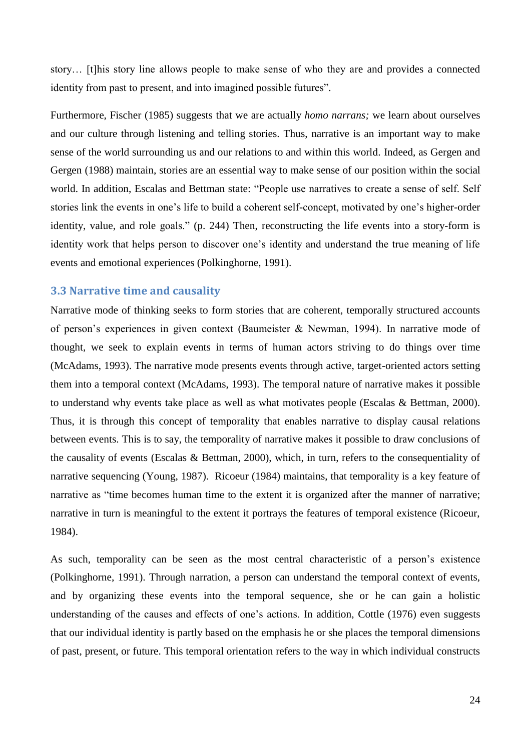story… [t]his story line allows people to make sense of who they are and provides a connected identity from past to present, and into imagined possible futures".

<span id="page-24-0"></span>Furthermore, Fischer (1985) suggests that we are actually *homo narrans;* we learn about ourselves and our culture through listening and telling stories. Thus, narrative is an important way to make sense of the world surrounding us and our relations to and within this world. Indeed, as Gergen and Gergen (1988) maintain, stories are an essential way to make sense of our position within the social world. In addition, Escalas and Bettman state: "People use narratives to create a sense of self. Self stories link the events in one"s life to build a coherent self-concept, motivated by one"s higher-order identity, value, and role goals." (p. 244) Then, reconstructing the life events into a story-form is identity work that helps person to discover one"s identity and understand the true meaning of life events and emotional experiences (Polkinghorne, 1991).

# **3.3 Narrative time and causality**

Narrative mode of thinking seeks to form stories that are coherent, temporally structured accounts of person"s experiences in given context (Baumeister & Newman, 1994). In narrative mode of thought, we seek to explain events in terms of human actors striving to do things over time (McAdams, 1993). The narrative mode presents events through active, target-oriented actors setting them into a temporal context (McAdams, 1993). The temporal nature of narrative makes it possible to understand why events take place as well as what motivates people (Escalas & Bettman, 2000). Thus, it is through this concept of temporality that enables narrative to display causal relations between events. This is to say, the temporality of narrative makes it possible to draw conclusions of the causality of events (Escalas & Bettman, 2000), which, in turn, refers to the consequentiality of narrative sequencing (Young, 1987). Ricoeur (1984) maintains, that temporality is a key feature of narrative as "time becomes human time to the extent it is organized after the manner of narrative; narrative in turn is meaningful to the extent it portrays the features of temporal existence (Ricoeur, 1984).

As such, temporality can be seen as the most central characteristic of a person's existence (Polkinghorne, 1991). Through narration, a person can understand the temporal context of events, and by organizing these events into the temporal sequence, she or he can gain a holistic understanding of the causes and effects of one's actions. In addition, Cottle (1976) even suggests that our individual identity is partly based on the emphasis he or she places the temporal dimensions of past, present, or future. This temporal orientation refers to the way in which individual constructs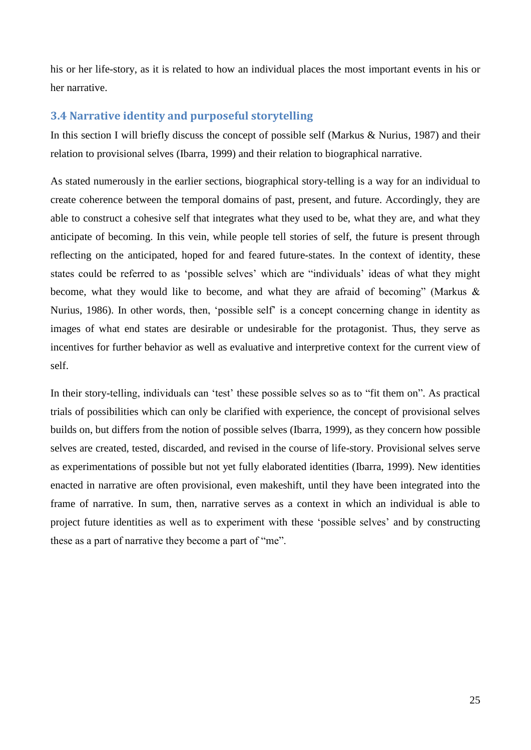<span id="page-25-0"></span>his or her life-story, as it is related to how an individual places the most important events in his or her narrative.

# **3.4 Narrative identity and purposeful storytelling**

In this section I will briefly discuss the concept of possible self (Markus & Nurius, 1987) and their relation to provisional selves (Ibarra, 1999) and their relation to biographical narrative.

As stated numerously in the earlier sections, biographical story-telling is a way for an individual to create coherence between the temporal domains of past, present, and future. Accordingly, they are able to construct a cohesive self that integrates what they used to be, what they are, and what they anticipate of becoming. In this vein, while people tell stories of self, the future is present through reflecting on the anticipated, hoped for and feared future-states. In the context of identity, these states could be referred to as 'possible selves' which are "individuals' ideas of what they might become, what they would like to become, and what they are afraid of becoming" (Markus & Nurius, 1986). In other words, then, "possible self" is a concept concerning change in identity as images of what end states are desirable or undesirable for the protagonist. Thus, they serve as incentives for further behavior as well as evaluative and interpretive context for the current view of self.

<span id="page-25-1"></span>In their story-telling, individuals can "test" these possible selves so as to "fit them on". As practical trials of possibilities which can only be clarified with experience, the concept of provisional selves builds on, but differs from the notion of possible selves (Ibarra, 1999), as they concern how possible selves are created, tested, discarded, and revised in the course of life-story. Provisional selves serve as experimentations of possible but not yet fully elaborated identities (Ibarra, 1999). New identities enacted in narrative are often provisional, even makeshift, until they have been integrated into the frame of narrative. In sum, then, narrative serves as a context in which an individual is able to project future identities as well as to experiment with these "possible selves" and by constructing these as a part of narrative they become a part of "me".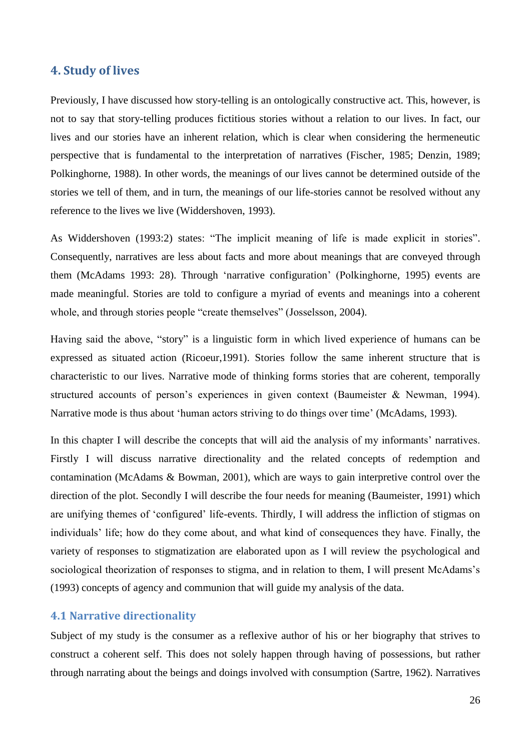# **4. Study of lives**

Previously, I have discussed how story-telling is an ontologically constructive act. This, however, is not to say that story-telling produces fictitious stories without a relation to our lives. In fact, our lives and our stories have an inherent relation, which is clear when considering the hermeneutic perspective that is fundamental to the interpretation of narratives (Fischer, 1985; Denzin, 1989; Polkinghorne, 1988). In other words, the meanings of our lives cannot be determined outside of the stories we tell of them, and in turn, the meanings of our life-stories cannot be resolved without any reference to the lives we live (Widdershoven, 1993).

As Widdershoven (1993:2) states: "The implicit meaning of life is made explicit in stories". Consequently, narratives are less about facts and more about meanings that are conveyed through them (McAdams 1993: 28). Through "narrative configuration" (Polkinghorne, 1995) events are made meaningful. Stories are told to configure a myriad of events and meanings into a coherent whole, and through stories people "create themselves" (Josselsson, 2004).

Having said the above, "story" is a linguistic form in which lived experience of humans can be expressed as situated action (Ricoeur,1991). Stories follow the same inherent structure that is characteristic to our lives. Narrative mode of thinking forms stories that are coherent, temporally structured accounts of person's experiences in given context (Baumeister & Newman, 1994). Narrative mode is thus about 'human actors striving to do things over time' (McAdams, 1993).

In this chapter I will describe the concepts that will aid the analysis of my informants' narratives. Firstly I will discuss narrative directionality and the related concepts of redemption and contamination (McAdams & Bowman, 2001), which are ways to gain interpretive control over the direction of the plot. Secondly I will describe the four needs for meaning (Baumeister, 1991) which are unifying themes of "configured" life-events. Thirdly, I will address the infliction of stigmas on individuals" life; how do they come about, and what kind of consequences they have. Finally, the variety of responses to stigmatization are elaborated upon as I will review the psychological and sociological theorization of responses to stigma, and in relation to them, I will present McAdams's (1993) concepts of agency and communion that will guide my analysis of the data.

# **4.1 Narrative directionality**

Subject of my study is the consumer as a reflexive author of his or her biography that strives to construct a coherent self. This does not solely happen through having of possessions, but rather through narrating about the beings and doings involved with consumption (Sartre, 1962). Narratives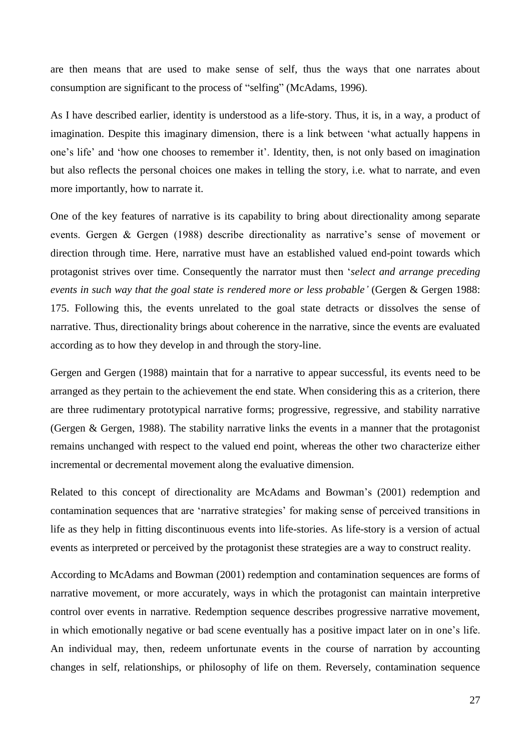are then means that are used to make sense of self, thus the ways that one narrates about consumption are significant to the process of "selfing" (McAdams, 1996).

<span id="page-27-0"></span>As I have described earlier, identity is understood as a life-story. Thus, it is, in a way, a product of imagination. Despite this imaginary dimension, there is a link between "what actually happens in one's life' and 'how one chooses to remember it'. Identity, then, is not only based on imagination but also reflects the personal choices one makes in telling the story, i.e. what to narrate, and even more importantly, how to narrate it.

One of the key features of narrative is its capability to bring about directionality among separate events. Gergen & Gergen (1988) describe directionality as narrative's sense of movement or direction through time. Here, narrative must have an established valued end-point towards which protagonist strives over time. Consequently the narrator must then "*select and arrange preceding events in such way that the goal state is rendered more or less probable"* (Gergen & Gergen 1988: 175. Following this, the events unrelated to the goal state detracts or dissolves the sense of narrative. Thus, directionality brings about coherence in the narrative, since the events are evaluated according as to how they develop in and through the story-line.

Gergen and Gergen (1988) maintain that for a narrative to appear successful, its events need to be arranged as they pertain to the achievement the end state. When considering this as a criterion, there are three rudimentary prototypical narrative forms; progressive, regressive, and stability narrative (Gergen & Gergen, 1988). The stability narrative links the events in a manner that the protagonist remains unchanged with respect to the valued end point, whereas the other two characterize either incremental or decremental movement along the evaluative dimension.

Related to this concept of directionality are McAdams and Bowman"s (2001) redemption and contamination sequences that are 'narrative strategies' for making sense of perceived transitions in life as they help in fitting discontinuous events into life-stories. As life-story is a version of actual events as interpreted or perceived by the protagonist these strategies are a way to construct reality.

According to McAdams and Bowman (2001) redemption and contamination sequences are forms of narrative movement, or more accurately, ways in which the protagonist can maintain interpretive control over events in narrative. Redemption sequence describes progressive narrative movement, in which emotionally negative or bad scene eventually has a positive impact later on in one"s life. An individual may, then, redeem unfortunate events in the course of narration by accounting changes in self, relationships, or philosophy of life on them. Reversely, contamination sequence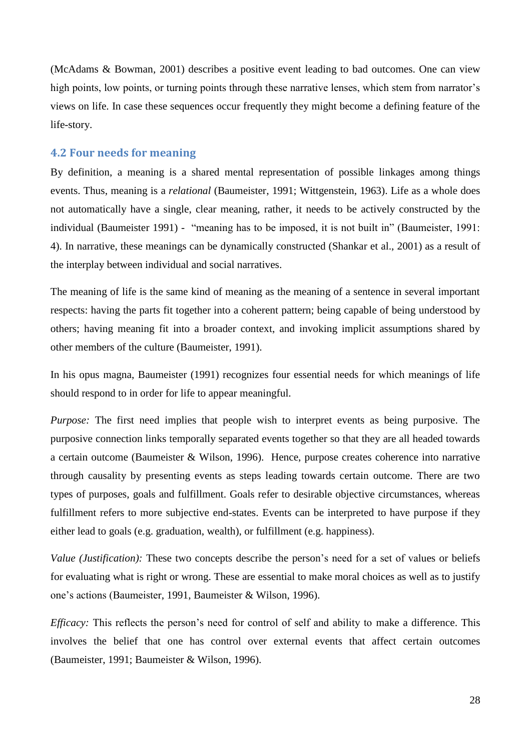(McAdams & Bowman, 2001) describes a positive event leading to bad outcomes. One can view high points, low points, or turning points through these narrative lenses, which stem from narrator's views on life. In case these sequences occur frequently they might become a defining feature of the life-story.

#### **4.2 Four needs for meaning**

By definition, a meaning is a shared mental representation of possible linkages among things events. Thus, meaning is a *relational* (Baumeister, 1991; Wittgenstein, 1963). Life as a whole does not automatically have a single, clear meaning, rather, it needs to be actively constructed by the individual (Baumeister 1991) - "meaning has to be imposed, it is not built in" (Baumeister, 1991: 4). In narrative, these meanings can be dynamically constructed (Shankar et al., 2001) as a result of the interplay between individual and social narratives.

The meaning of life is the same kind of meaning as the meaning of a sentence in several important respects: having the parts fit together into a coherent pattern; being capable of being understood by others; having meaning fit into a broader context, and invoking implicit assumptions shared by other members of the culture (Baumeister, 1991).

In his opus magna, Baumeister (1991) recognizes four essential needs for which meanings of life should respond to in order for life to appear meaningful.

*Purpose:* The first need implies that people wish to interpret events as being purposive. The purposive connection links temporally separated events together so that they are all headed towards a certain outcome (Baumeister & Wilson, 1996). Hence, purpose creates coherence into narrative through causality by presenting events as steps leading towards certain outcome. There are two types of purposes, goals and fulfillment. Goals refer to desirable objective circumstances, whereas fulfillment refers to more subjective end-states. Events can be interpreted to have purpose if they either lead to goals (e.g. graduation, wealth), or fulfillment (e.g. happiness).

<span id="page-28-0"></span>*Value (Justification):* These two concepts describe the person's need for a set of values or beliefs for evaluating what is right or wrong. These are essential to make moral choices as well as to justify one"s actions (Baumeister, 1991, Baumeister & Wilson, 1996).

*Efficacy:* This reflects the person's need for control of self and ability to make a difference. This involves the belief that one has control over external events that affect certain outcomes (Baumeister, 1991; Baumeister & Wilson, 1996).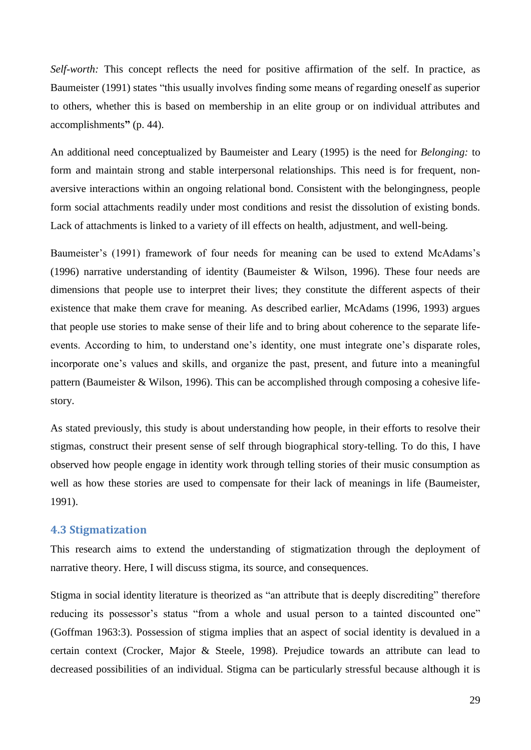*Self-worth:* This concept reflects the need for positive affirmation of the self. In practice, as Baumeister (1991) states "this usually involves finding some means of regarding oneself as superior to others, whether this is based on membership in an elite group or on individual attributes and accomplishments**"** (p. 44).

An additional need conceptualized by Baumeister and Leary (1995) is the need for *Belonging:* to form and maintain strong and stable interpersonal relationships. This need is for frequent, nonaversive interactions within an ongoing relational bond. Consistent with the belongingness, people form social attachments readily under most conditions and resist the dissolution of existing bonds. Lack of attachments is linked to a variety of ill effects on health, adjustment, and well-being.

Baumeister's (1991) framework of four needs for meaning can be used to extend McAdams's (1996) narrative understanding of identity (Baumeister & Wilson, 1996). These four needs are dimensions that people use to interpret their lives; they constitute the different aspects of their existence that make them crave for meaning. As described earlier, McAdams (1996, 1993) argues that people use stories to make sense of their life and to bring about coherence to the separate lifeevents. According to him, to understand one's identity, one must integrate one's disparate roles, incorporate one"s values and skills, and organize the past, present, and future into a meaningful pattern (Baumeister & Wilson, 1996). This can be accomplished through composing a cohesive lifestory.

As stated previously, this study is about understanding how people, in their efforts to resolve their stigmas, construct their present sense of self through biographical story-telling. To do this, I have observed how people engage in identity work through telling stories of their music consumption as well as how these stories are used to compensate for their lack of meanings in life (Baumeister, 1991).

#### <span id="page-29-0"></span>**4.3 Stigmatization**

This research aims to extend the understanding of stigmatization through the deployment of narrative theory. Here, I will discuss stigma, its source, and consequences.

Stigma in social identity literature is theorized as "an attribute that is deeply discrediting" therefore reducing its possessor's status "from a whole and usual person to a tainted discounted one" (Goffman 1963:3). Possession of stigma implies that an aspect of social identity is devalued in a certain context (Crocker, Major & Steele, 1998). Prejudice towards an attribute can lead to decreased possibilities of an individual. Stigma can be particularly stressful because although it is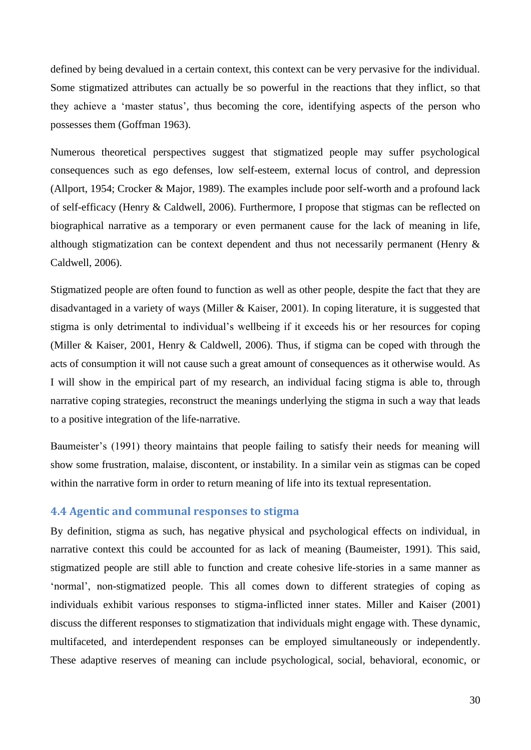defined by being devalued in a certain context, this context can be very pervasive for the individual. Some stigmatized attributes can actually be so powerful in the reactions that they inflict, so that they achieve a "master status", thus becoming the core, identifying aspects of the person who possesses them (Goffman 1963).

Numerous theoretical perspectives suggest that stigmatized people may suffer psychological consequences such as ego defenses, low self-esteem, external locus of control, and depression (Allport, 1954; Crocker & Major, 1989). The examples include poor self-worth and a profound lack of self-efficacy (Henry & Caldwell, 2006). Furthermore, I propose that stigmas can be reflected on biographical narrative as a temporary or even permanent cause for the lack of meaning in life, although stigmatization can be context dependent and thus not necessarily permanent (Henry & Caldwell, 2006).

Stigmatized people are often found to function as well as other people, despite the fact that they are disadvantaged in a variety of ways (Miller & Kaiser, 2001). In coping literature, it is suggested that stigma is only detrimental to individual"s wellbeing if it exceeds his or her resources for coping (Miller & Kaiser, 2001, Henry & Caldwell, 2006). Thus, if stigma can be coped with through the acts of consumption it will not cause such a great amount of consequences as it otherwise would. As I will show in the empirical part of my research, an individual facing stigma is able to, through narrative coping strategies, reconstruct the meanings underlying the stigma in such a way that leads to a positive integration of the life-narrative.

Baumeister's (1991) theory maintains that people failing to satisfy their needs for meaning will show some frustration, malaise, discontent, or instability. In a similar vein as stigmas can be coped within the narrative form in order to return meaning of life into its textual representation.

# **4.4 Agentic and communal responses to stigma**

By definition, stigma as such, has negative physical and psychological effects on individual, in narrative context this could be accounted for as lack of meaning (Baumeister, 1991). This said, stigmatized people are still able to function and create cohesive life-stories in a same manner as "normal", non-stigmatized people. This all comes down to different strategies of coping as individuals exhibit various responses to stigma-inflicted inner states. Miller and Kaiser (2001) discuss the different responses to stigmatization that individuals might engage with. These dynamic, multifaceted, and interdependent responses can be employed simultaneously or independently. These adaptive reserves of meaning can include psychological, social, behavioral, economic, or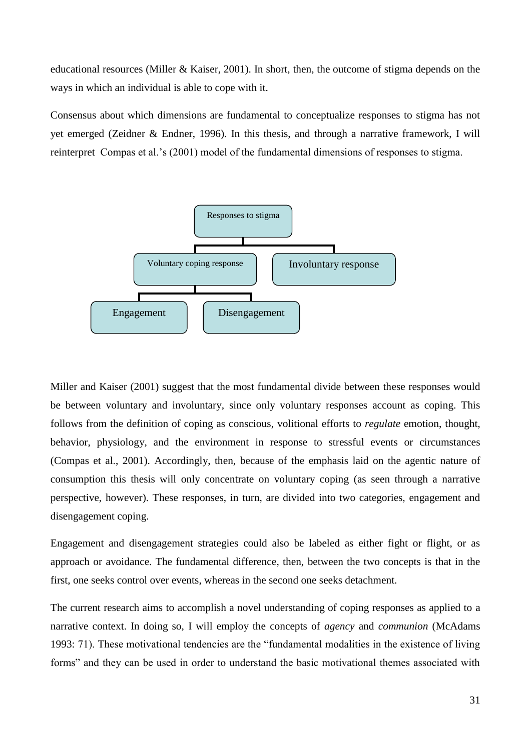educational resources (Miller & Kaiser, 2001). In short, then, the outcome of stigma depends on the ways in which an individual is able to cope with it.

Consensus about which dimensions are fundamental to conceptualize responses to stigma has not yet emerged (Zeidner & Endner, 1996). In this thesis, and through a narrative framework, I will reinterpret Compas et al."s (2001) model of the fundamental dimensions of responses to stigma.



Miller and Kaiser (2001) suggest that the most fundamental divide between these responses would be between voluntary and involuntary, since only voluntary responses account as coping. This follows from the definition of coping as conscious, volitional efforts to *regulate* emotion, thought, behavior, physiology, and the environment in response to stressful events or circumstances (Compas et al., 2001). Accordingly, then, because of the emphasis laid on the agentic nature of consumption this thesis will only concentrate on voluntary coping (as seen through a narrative perspective, however). These responses, in turn, are divided into two categories, engagement and disengagement coping.

Engagement and disengagement strategies could also be labeled as either fight or flight, or as approach or avoidance. The fundamental difference, then, between the two concepts is that in the first, one seeks control over events, whereas in the second one seeks detachment.

The current research aims to accomplish a novel understanding of coping responses as applied to a narrative context. In doing so, I will employ the concepts of *agency* and *communion* (McAdams 1993: 71). These motivational tendencies are the "fundamental modalities in the existence of living forms" and they can be used in order to understand the basic motivational themes associated with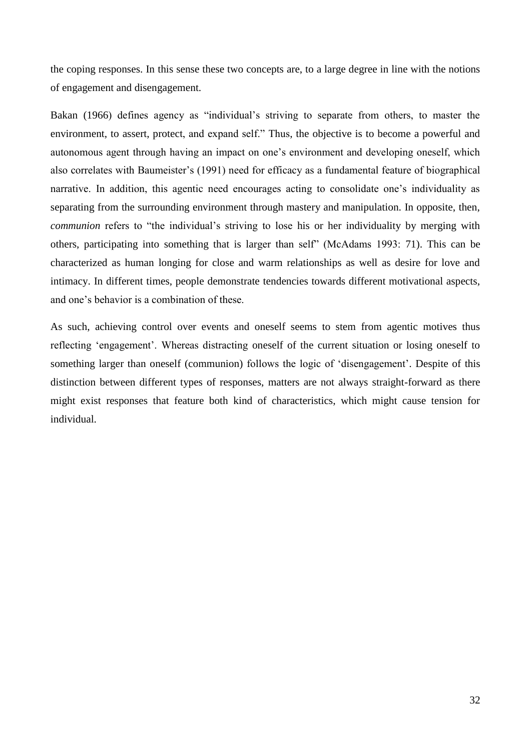<span id="page-32-0"></span>the coping responses. In this sense these two concepts are, to a large degree in line with the notions of engagement and disengagement.

Bakan (1966) defines agency as "individual"s striving to separate from others, to master the environment, to assert, protect, and expand self." Thus, the objective is to become a powerful and autonomous agent through having an impact on one"s environment and developing oneself, which also correlates with Baumeister"s (1991) need for efficacy as a fundamental feature of biographical narrative. In addition, this agentic need encourages acting to consolidate one"s individuality as separating from the surrounding environment through mastery and manipulation. In opposite, then, *communion* refers to "the individual's striving to lose his or her individuality by merging with others, participating into something that is larger than self" (McAdams 1993: 71). This can be characterized as human longing for close and warm relationships as well as desire for love and intimacy. In different times, people demonstrate tendencies towards different motivational aspects, and one"s behavior is a combination of these.

As such, achieving control over events and oneself seems to stem from agentic motives thus reflecting 'engagement'. Whereas distracting oneself of the current situation or losing oneself to something larger than oneself (communion) follows the logic of 'disengagement'. Despite of this distinction between different types of responses, matters are not always straight-forward as there might exist responses that feature both kind of characteristics, which might cause tension for individual.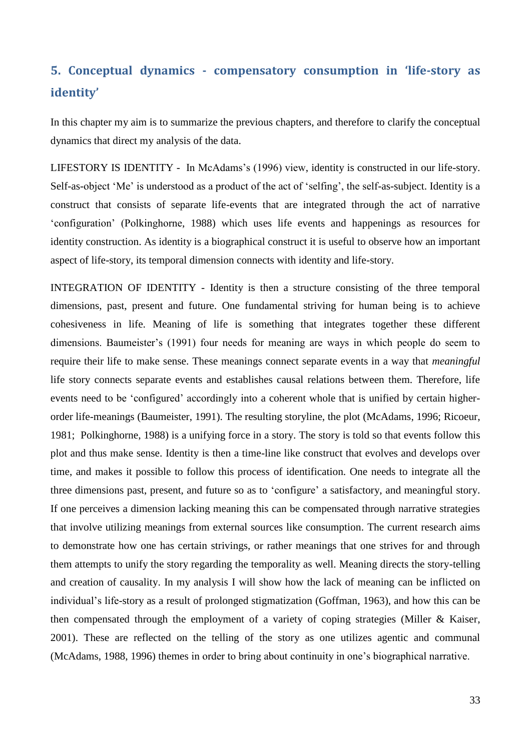# **5. Conceptual dynamics - compensatory consumption in 'life-story as identity'**

In this chapter my aim is to summarize the previous chapters, and therefore to clarify the conceptual dynamics that direct my analysis of the data.

LIFESTORY IS IDENTITY - In McAdams's (1996) view, identity is constructed in our life-story. Self-as-object 'Me' is understood as a product of the act of 'selfing', the self-as-subject. Identity is a construct that consists of separate life-events that are integrated through the act of narrative "configuration" (Polkinghorne, 1988) which uses life events and happenings as resources for identity construction. As identity is a biographical construct it is useful to observe how an important aspect of life-story, its temporal dimension connects with identity and life-story.

INTEGRATION OF IDENTITY - Identity is then a structure consisting of the three temporal dimensions, past, present and future. One fundamental striving for human being is to achieve cohesiveness in life. Meaning of life is something that integrates together these different dimensions. Baumeister's (1991) four needs for meaning are ways in which people do seem to require their life to make sense. These meanings connect separate events in a way that *meaningful* life story connects separate events and establishes causal relations between them. Therefore, life events need to be 'configured' accordingly into a coherent whole that is unified by certain higherorder life-meanings (Baumeister, 1991). The resulting storyline, the plot (McAdams, 1996; Ricoeur, 1981; Polkinghorne, 1988) is a unifying force in a story. The story is told so that events follow this plot and thus make sense. Identity is then a time-line like construct that evolves and develops over time, and makes it possible to follow this process of identification. One needs to integrate all the three dimensions past, present, and future so as to "configure" a satisfactory, and meaningful story. If one perceives a dimension lacking meaning this can be compensated through narrative strategies that involve utilizing meanings from external sources like consumption. The current research aims to demonstrate how one has certain strivings, or rather meanings that one strives for and through them attempts to unify the story regarding the temporality as well. Meaning directs the story-telling and creation of causality. In my analysis I will show how the lack of meaning can be inflicted on individual"s life-story as a result of prolonged stigmatization (Goffman, 1963), and how this can be then compensated through the employment of a variety of coping strategies (Miller & Kaiser, 2001). These are reflected on the telling of the story as one utilizes agentic and communal (McAdams, 1988, 1996) themes in order to bring about continuity in one"s biographical narrative.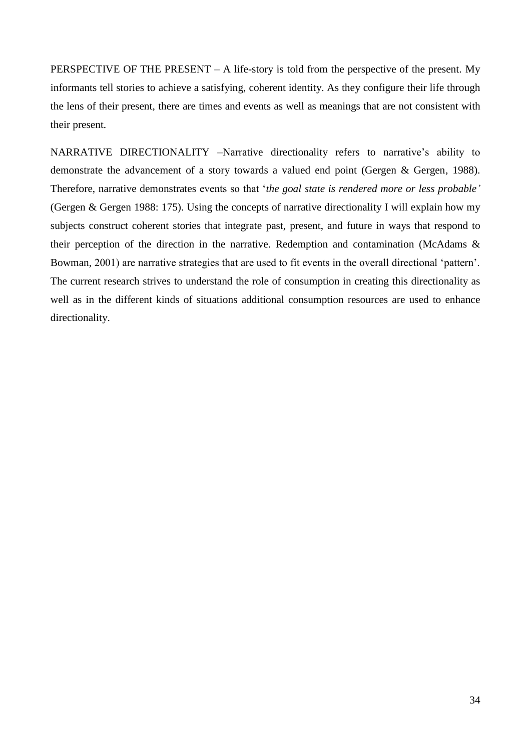<span id="page-34-1"></span><span id="page-34-0"></span>PERSPECTIVE OF THE PRESENT – A life-story is told from the perspective of the present. My informants tell stories to achieve a satisfying, coherent identity. As they configure their life through the lens of their present, there are times and events as well as meanings that are not consistent with their present.

<span id="page-34-4"></span><span id="page-34-3"></span><span id="page-34-2"></span>NARRATIVE DIRECTIONALITY –Narrative directionality refers to narrative"s ability to demonstrate the advancement of a story towards a valued end point (Gergen & Gergen, 1988). Therefore, narrative demonstrates events so that "*the goal state is rendered more or less probable"* (Gergen & Gergen 1988: 175). Using the concepts of narrative directionality I will explain how my subjects construct coherent stories that integrate past, present, and future in ways that respond to their perception of the direction in the narrative. Redemption and contamination (McAdams & Bowman, 2001) are narrative strategies that are used to fit events in the overall directional "pattern". The current research strives to understand the role of consumption in creating this directionality as well as in the different kinds of situations additional consumption resources are used to enhance directionality.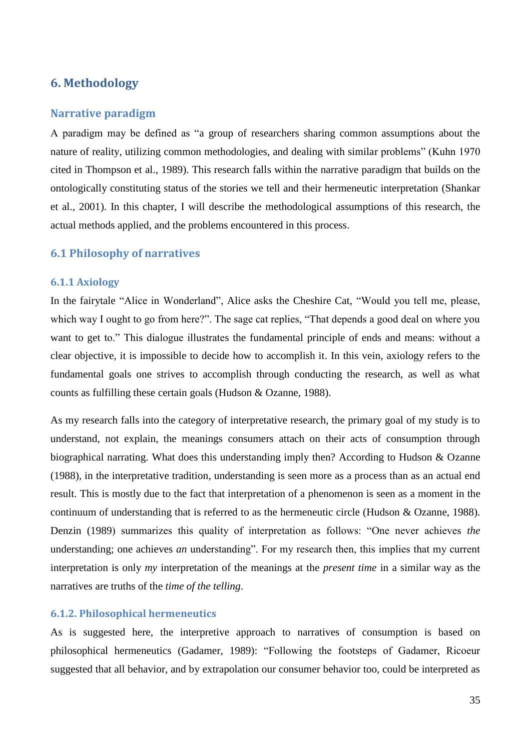# **6. Methodology**

# **Narrative paradigm**

A paradigm may be defined as "a group of researchers sharing common assumptions about the nature of reality, utilizing common methodologies, and dealing with similar problems" (Kuhn 1970 cited in Thompson et al., 1989). This research falls within the narrative paradigm that builds on the ontologically constituting status of the stories we tell and their hermeneutic interpretation (Shankar et al., 2001). In this chapter, I will describe the methodological assumptions of this research, the actual methods applied, and the problems encountered in this process.

# **6.1 Philosophy of narratives**

#### **6.1.1 Axiology**

In the fairytale "Alice in Wonderland", Alice asks the Cheshire Cat, "Would you tell me, please, which way I ought to go from here?". The sage cat replies, "That depends a good deal on where you want to get to." This dialogue illustrates the fundamental principle of ends and means: without a clear objective, it is impossible to decide how to accomplish it. In this vein, axiology refers to the fundamental goals one strives to accomplish through conducting the research, as well as what counts as fulfilling these certain goals (Hudson & Ozanne, 1988).

As my research falls into the category of interpretative research, the primary goal of my study is to understand, not explain, the meanings consumers attach on their acts of consumption through biographical narrating. What does this understanding imply then? According to Hudson & Ozanne (1988), in the interpretative tradition, understanding is seen more as a process than as an actual end result. This is mostly due to the fact that interpretation of a phenomenon is seen as a moment in the continuum of understanding that is referred to as the hermeneutic circle (Hudson & Ozanne, 1988). Denzin (1989) summarizes this quality of interpretation as follows: "One never achieves *the* understanding; one achieves *an* understanding". For my research then, this implies that my current interpretation is only *my* interpretation of the meanings at the *present time* in a similar way as the narratives are truths of the *time of the telling*.

### **6.1.2. Philosophical hermeneutics**

As is suggested here, the interpretive approach to narratives of consumption is based on philosophical hermeneutics (Gadamer, 1989): "Following the footsteps of Gadamer, Ricoeur suggested that all behavior, and by extrapolation our consumer behavior too, could be interpreted as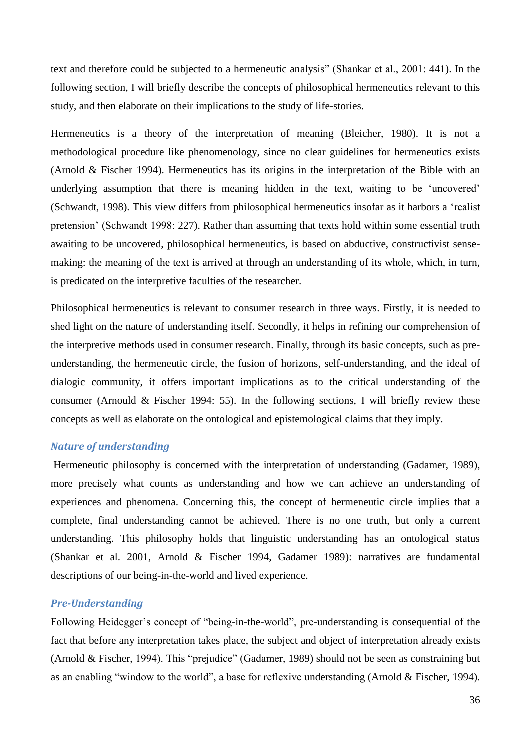text and therefore could be subjected to a hermeneutic analysis" (Shankar et al., 2001: 441). In the following section, I will briefly describe the concepts of philosophical hermeneutics relevant to this study, and then elaborate on their implications to the study of life-stories.

Hermeneutics is a theory of the interpretation of meaning (Bleicher, 1980). It is not a methodological procedure like phenomenology, since no clear guidelines for hermeneutics exists (Arnold & Fischer 1994). Hermeneutics has its origins in the interpretation of the Bible with an underlying assumption that there is meaning hidden in the text, waiting to be "uncovered" (Schwandt, 1998). This view differs from philosophical hermeneutics insofar as it harbors a "realist pretension" (Schwandt 1998: 227). Rather than assuming that texts hold within some essential truth awaiting to be uncovered, philosophical hermeneutics, is based on abductive, constructivist sensemaking: the meaning of the text is arrived at through an understanding of its whole, which, in turn, is predicated on the interpretive faculties of the researcher.

Philosophical hermeneutics is relevant to consumer research in three ways. Firstly, it is needed to shed light on the nature of understanding itself. Secondly, it helps in refining our comprehension of the interpretive methods used in consumer research. Finally, through its basic concepts, such as preunderstanding, the hermeneutic circle, the fusion of horizons, self-understanding, and the ideal of dialogic community, it offers important implications as to the critical understanding of the consumer (Arnould & Fischer 1994: 55). In the following sections, I will briefly review these concepts as well as elaborate on the ontological and epistemological claims that they imply.

## *Nature of understanding*

Hermeneutic philosophy is concerned with the interpretation of understanding (Gadamer, 1989), more precisely what counts as understanding and how we can achieve an understanding of experiences and phenomena. Concerning this, the concept of hermeneutic circle implies that a complete, final understanding cannot be achieved. There is no one truth, but only a current understanding. This philosophy holds that linguistic understanding has an ontological status (Shankar et al. 2001, Arnold & Fischer 1994, Gadamer 1989): narratives are fundamental descriptions of our being-in-the-world and lived experience.

## *Pre-Understanding*

Following Heidegger's concept of "being-in-the-world", pre-understanding is consequential of the fact that before any interpretation takes place, the subject and object of interpretation already exists (Arnold & Fischer, 1994). This "prejudice" (Gadamer, 1989) should not be seen as constraining but as an enabling "window to the world", a base for reflexive understanding (Arnold & Fischer, 1994).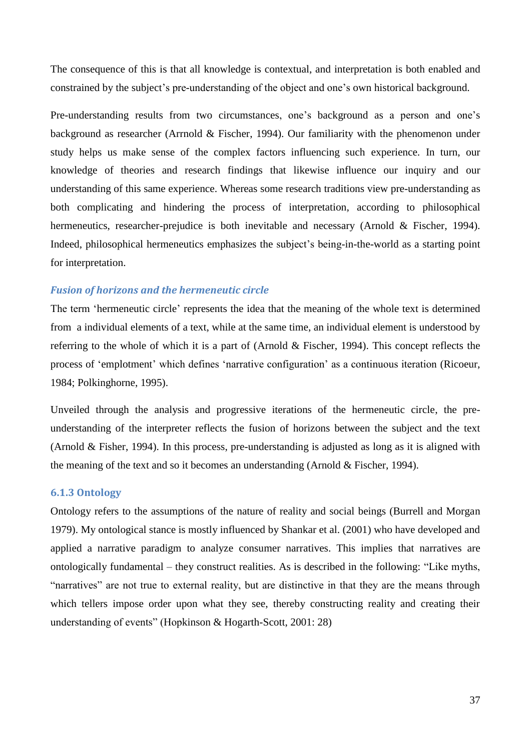The consequence of this is that all knowledge is contextual, and interpretation is both enabled and constrained by the subject"s pre-understanding of the object and one"s own historical background.

Pre-understanding results from two circumstances, one's background as a person and one's background as researcher (Arrnold & Fischer, 1994). Our familiarity with the phenomenon under study helps us make sense of the complex factors influencing such experience. In turn, our knowledge of theories and research findings that likewise influence our inquiry and our understanding of this same experience. Whereas some research traditions view pre-understanding as both complicating and hindering the process of interpretation, according to philosophical hermeneutics, researcher-prejudice is both inevitable and necessary (Arnold & Fischer, 1994). Indeed, philosophical hermeneutics emphasizes the subject"s being-in-the-world as a starting point for interpretation.

## *Fusion of horizons and the hermeneutic circle*

The term "hermeneutic circle" represents the idea that the meaning of the whole text is determined from a individual elements of a text, while at the same time, an individual element is understood by referring to the whole of which it is a part of (Arnold & Fischer, 1994). This concept reflects the process of 'emplotment' which defines 'narrative configuration' as a continuous iteration (Ricoeur, 1984; Polkinghorne, 1995).

Unveiled through the analysis and progressive iterations of the hermeneutic circle, the preunderstanding of the interpreter reflects the fusion of horizons between the subject and the text (Arnold & Fisher, 1994). In this process, pre-understanding is adjusted as long as it is aligned with the meaning of the text and so it becomes an understanding (Arnold & Fischer, 1994).

## **6.1.3 Ontology**

Ontology refers to the assumptions of the nature of reality and social beings (Burrell and Morgan 1979). My ontological stance is mostly influenced by Shankar et al. (2001) who have developed and applied a narrative paradigm to analyze consumer narratives. This implies that narratives are ontologically fundamental – they construct realities. As is described in the following: "Like myths, "narratives" are not true to external reality, but are distinctive in that they are the means through which tellers impose order upon what they see, thereby constructing reality and creating their understanding of events" (Hopkinson & Hogarth-Scott, 2001: 28)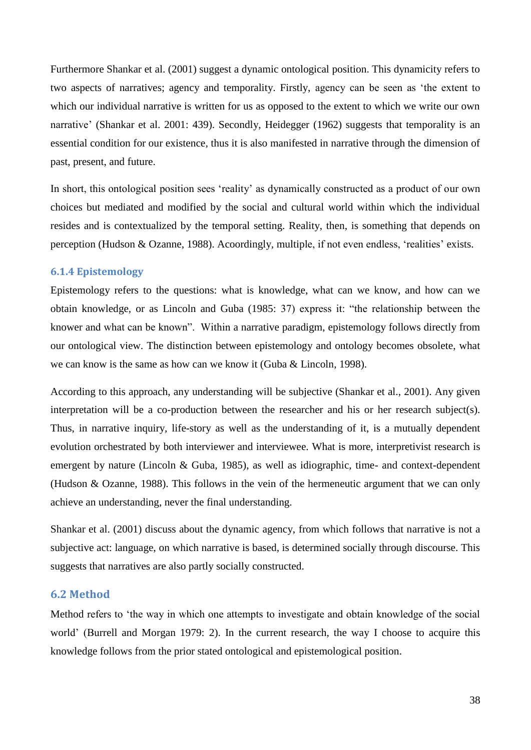Furthermore Shankar et al. (2001) suggest a dynamic ontological position. This dynamicity refers to two aspects of narratives; agency and temporality. Firstly, agency can be seen as "the extent to which our individual narrative is written for us as opposed to the extent to which we write our own narrative' (Shankar et al. 2001: 439). Secondly, Heidegger (1962) suggests that temporality is an essential condition for our existence, thus it is also manifested in narrative through the dimension of past, present, and future.

In short, this ontological position sees 'reality' as dynamically constructed as a product of our own choices but mediated and modified by the social and cultural world within which the individual resides and is contextualized by the temporal setting. Reality, then, is something that depends on perception (Hudson & Ozanne, 1988). Acoordingly, multiple, if not even endless, "realities" exists.

## **6.1.4 Epistemology**

Epistemology refers to the questions: what is knowledge, what can we know, and how can we obtain knowledge, or as Lincoln and Guba (1985: 37) express it: "the relationship between the knower and what can be known". Within a narrative paradigm, epistemology follows directly from our ontological view. The distinction between epistemology and ontology becomes obsolete, what we can know is the same as how can we know it (Guba & Lincoln, 1998).

According to this approach, any understanding will be subjective (Shankar et al., 2001). Any given interpretation will be a co-production between the researcher and his or her research subject(s). Thus, in narrative inquiry, life-story as well as the understanding of it, is a mutually dependent evolution orchestrated by both interviewer and interviewee. What is more, interpretivist research is emergent by nature (Lincoln & Guba, 1985), as well as idiographic, time- and context-dependent (Hudson & Ozanne, 1988). This follows in the vein of the hermeneutic argument that we can only achieve an understanding, never the final understanding.

Shankar et al. (2001) discuss about the dynamic agency, from which follows that narrative is not a subjective act: language, on which narrative is based, is determined socially through discourse. This suggests that narratives are also partly socially constructed.

## **6.2 Method**

Method refers to 'the way in which one attempts to investigate and obtain knowledge of the social world" (Burrell and Morgan 1979: 2). In the current research, the way I choose to acquire this knowledge follows from the prior stated ontological and epistemological position.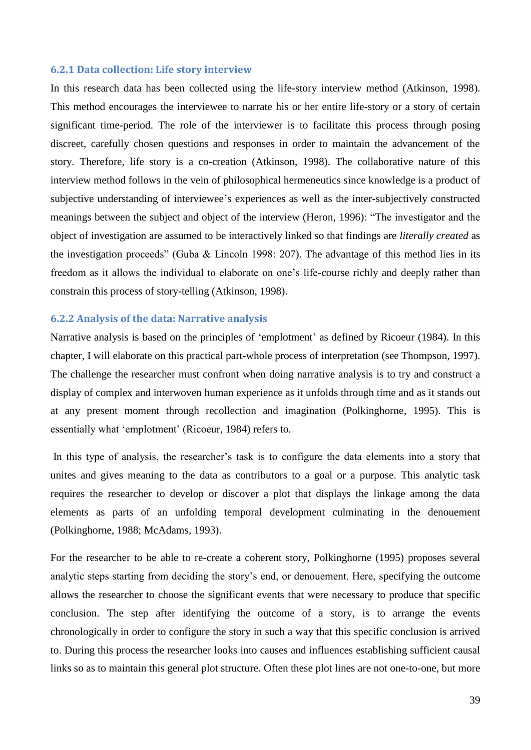#### **6.2.1 Data collection: Life story interview**

In this research data has been collected using the life-story interview method (Atkinson, 1998). This method encourages the interviewee to narrate his or her entire life-story or a story of certain significant time-period. The role of the interviewer is to facilitate this process through posing discreet, carefully chosen questions and responses in order to maintain the advancement of the story. Therefore, life story is a co-creation (Atkinson, 1998). The collaborative nature of this interview method follows in the vein of philosophical hermeneutics since knowledge is a product of subjective understanding of interviewee's experiences as well as the inter-subjectively constructed meanings between the subject and object of the interview (Heron, 1996): "The investigator and the object of investigation are assumed to be interactively linked so that findings are *literally created* as the investigation proceeds" (Guba & Lincoln 1998: 207). The advantage of this method lies in its freedom as it allows the individual to elaborate on one"s life-course richly and deeply rather than constrain this process of story-telling (Atkinson, 1998).

## **6.2.2 Analysis of the data: Narrative analysis**

Narrative analysis is based on the principles of 'emplotment' as defined by Ricoeur (1984). In this chapter, I will elaborate on this practical part-whole process of interpretation (see Thompson, 1997). The challenge the researcher must confront when doing narrative analysis is to try and construct a display of complex and interwoven human experience as it unfolds through time and as it stands out at any present moment through recollection and imagination (Polkinghorne, 1995). This is essentially what 'emplotment' (Ricoeur, 1984) refers to.

In this type of analysis, the researcher's task is to configure the data elements into a story that unites and gives meaning to the data as contributors to a goal or a purpose. This analytic task requires the researcher to develop or discover a plot that displays the linkage among the data elements as parts of an unfolding temporal development culminating in the denouement (Polkinghorne, 1988; McAdams, 1993).

For the researcher to be able to re-create a coherent story, Polkinghorne (1995) proposes several analytic steps starting from deciding the story"s end, or denouement. Here, specifying the outcome allows the researcher to choose the significant events that were necessary to produce that specific conclusion. The step after identifying the outcome of a story, is to arrange the events chronologically in order to configure the story in such a way that this specific conclusion is arrived to. During this process the researcher looks into causes and influences establishing sufficient causal links so as to maintain this general plot structure. Often these plot lines are not one-to-one, but more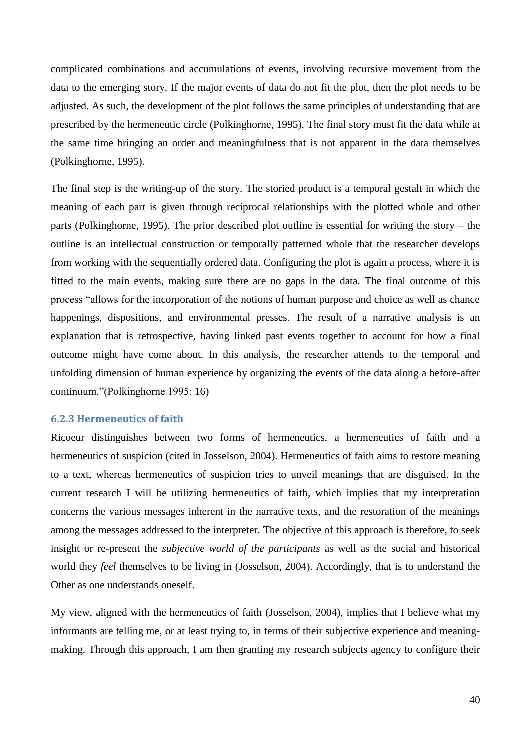complicated combinations and accumulations of events, involving recursive movement from the data to the emerging story. If the major events of data do not fit the plot, then the plot needs to be adjusted. As such, the development of the plot follows the same principles of understanding that are prescribed by the hermeneutic circle (Polkinghorne, 1995). The final story must fit the data while at the same time bringing an order and meaningfulness that is not apparent in the data themselves (Polkinghorne, 1995).

The final step is the writing-up of the story. The storied product is a temporal gestalt in which the meaning of each part is given through reciprocal relationships with the plotted whole and other parts (Polkinghorne, 1995). The prior described plot outline is essential for writing the story – the outline is an intellectual construction or temporally patterned whole that the researcher develops from working with the sequentially ordered data. Configuring the plot is again a process, where it is fitted to the main events, making sure there are no gaps in the data. The final outcome of this process "allows for the incorporation of the notions of human purpose and choice as well as chance happenings, dispositions, and environmental presses. The result of a narrative analysis is an explanation that is retrospective, having linked past events together to account for how a final outcome might have come about. In this analysis, the researcher attends to the temporal and unfolding dimension of human experience by organizing the events of the data along a before-after continuum."(Polkinghorne 1995: 16)

## **6.2.3 Hermeneutics of faith**

Ricoeur distinguishes between two forms of hermeneutics, a hermeneutics of faith and a hermeneutics of suspicion (cited in Josselson, 2004). Hermeneutics of faith aims to restore meaning to a text, whereas hermeneutics of suspicion tries to unveil meanings that are disguised. In the current research I will be utilizing hermeneutics of faith, which implies that my interpretation concerns the various messages inherent in the narrative texts, and the restoration of the meanings among the messages addressed to the interpreter. The objective of this approach is therefore, to seek insight or re-present the *subjective world of the participants* as well as the social and historical world they *feel* themselves to be living in (Josselson, 2004). Accordingly, that is to understand the Other as one understands oneself.

My view, aligned with the hermeneutics of faith (Josselson, 2004), implies that I believe what my informants are telling me, or at least trying to, in terms of their subjective experience and meaningmaking. Through this approach, I am then granting my research subjects agency to configure their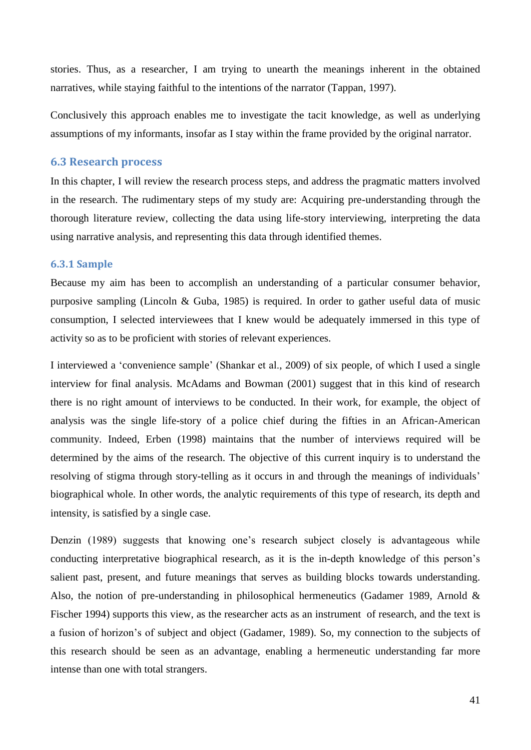stories. Thus, as a researcher, I am trying to unearth the meanings inherent in the obtained narratives, while staying faithful to the intentions of the narrator (Tappan, 1997).

Conclusively this approach enables me to investigate the tacit knowledge, as well as underlying assumptions of my informants, insofar as I stay within the frame provided by the original narrator.

## **6.3 Research process**

In this chapter, I will review the research process steps, and address the pragmatic matters involved in the research. The rudimentary steps of my study are: Acquiring pre-understanding through the thorough literature review, collecting the data using life-story interviewing, interpreting the data using narrative analysis, and representing this data through identified themes.

#### **6.3.1 Sample**

Because my aim has been to accomplish an understanding of a particular consumer behavior, purposive sampling (Lincoln & Guba, 1985) is required. In order to gather useful data of music consumption, I selected interviewees that I knew would be adequately immersed in this type of activity so as to be proficient with stories of relevant experiences.

I interviewed a "convenience sample" (Shankar et al., 2009) of six people, of which I used a single interview for final analysis. McAdams and Bowman (2001) suggest that in this kind of research there is no right amount of interviews to be conducted. In their work, for example, the object of analysis was the single life-story of a police chief during the fifties in an African-American community. Indeed, Erben (1998) maintains that the number of interviews required will be determined by the aims of the research. The objective of this current inquiry is to understand the resolving of stigma through story-telling as it occurs in and through the meanings of individuals' biographical whole. In other words, the analytic requirements of this type of research, its depth and intensity, is satisfied by a single case.

Denzin (1989) suggests that knowing one's research subject closely is advantageous while conducting interpretative biographical research, as it is the in-depth knowledge of this person"s salient past, present, and future meanings that serves as building blocks towards understanding. Also, the notion of pre-understanding in philosophical hermeneutics (Gadamer 1989, Arnold & Fischer 1994) supports this view, as the researcher acts as an instrument of research, and the text is a fusion of horizon"s of subject and object (Gadamer, 1989). So, my connection to the subjects of this research should be seen as an advantage, enabling a hermeneutic understanding far more intense than one with total strangers.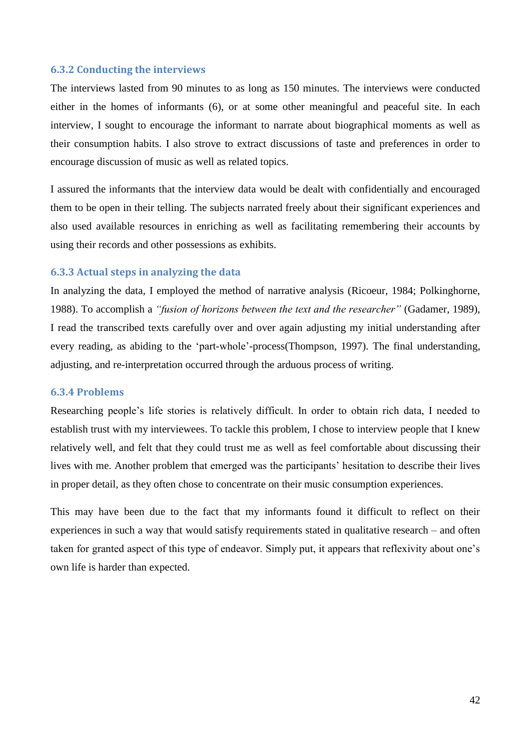#### **6.3.2 Conducting the interviews**

The interviews lasted from 90 minutes to as long as 150 minutes. The interviews were conducted either in the homes of informants (6), or at some other meaningful and peaceful site. In each interview, I sought to encourage the informant to narrate about biographical moments as well as their consumption habits. I also strove to extract discussions of taste and preferences in order to encourage discussion of music as well as related topics.

I assured the informants that the interview data would be dealt with confidentially and encouraged them to be open in their telling. The subjects narrated freely about their significant experiences and also used available resources in enriching as well as facilitating remembering their accounts by using their records and other possessions as exhibits.

## **6.3.3 Actual steps in analyzing the data**

In analyzing the data, I employed the method of narrative analysis (Ricoeur, 1984; Polkinghorne, 1988). To accomplish a *"fusion of horizons between the text and the researcher"* (Gadamer, 1989), I read the transcribed texts carefully over and over again adjusting my initial understanding after every reading, as abiding to the "part-whole"-process(Thompson, 1997). The final understanding, adjusting, and re-interpretation occurred through the arduous process of writing.

## **6.3.4 Problems**

Researching people"s life stories is relatively difficult. In order to obtain rich data, I needed to establish trust with my interviewees. To tackle this problem, I chose to interview people that I knew relatively well, and felt that they could trust me as well as feel comfortable about discussing their lives with me. Another problem that emerged was the participants' hesitation to describe their lives in proper detail, as they often chose to concentrate on their music consumption experiences.

This may have been due to the fact that my informants found it difficult to reflect on their experiences in such a way that would satisfy requirements stated in qualitative research – and often taken for granted aspect of this type of endeavor. Simply put, it appears that reflexivity about one"s own life is harder than expected.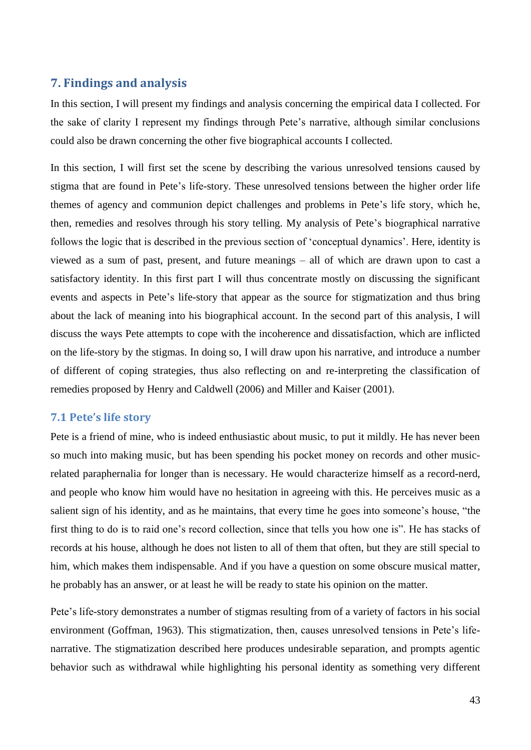# **7. Findings and analysis**

In this section, I will present my findings and analysis concerning the empirical data I collected. For the sake of clarity I represent my findings through Pete"s narrative, although similar conclusions could also be drawn concerning the other five biographical accounts I collected.

In this section, I will first set the scene by describing the various unresolved tensions caused by stigma that are found in Pete"s life-story. These unresolved tensions between the higher order life themes of agency and communion depict challenges and problems in Pete"s life story, which he, then, remedies and resolves through his story telling. My analysis of Pete"s biographical narrative follows the logic that is described in the previous section of 'conceptual dynamics'. Here, identity is viewed as a sum of past, present, and future meanings – all of which are drawn upon to cast a satisfactory identity. In this first part I will thus concentrate mostly on discussing the significant events and aspects in Pete's life-story that appear as the source for stigmatization and thus bring about the lack of meaning into his biographical account. In the second part of this analysis, I will discuss the ways Pete attempts to cope with the incoherence and dissatisfaction, which are inflicted on the life-story by the stigmas. In doing so, I will draw upon his narrative, and introduce a number of different of coping strategies, thus also reflecting on and re-interpreting the classification of remedies proposed by Henry and Caldwell (2006) and Miller and Kaiser (2001).

## **7.1 Pete's life story**

Pete is a friend of mine, who is indeed enthusiastic about music, to put it mildly. He has never been so much into making music, but has been spending his pocket money on records and other musicrelated paraphernalia for longer than is necessary. He would characterize himself as a record-nerd, and people who know him would have no hesitation in agreeing with this. He perceives music as a salient sign of his identity, and as he maintains, that every time he goes into someone's house, "the first thing to do is to raid one"s record collection, since that tells you how one is". He has stacks of records at his house, although he does not listen to all of them that often, but they are still special to him, which makes them indispensable. And if you have a question on some obscure musical matter, he probably has an answer, or at least he will be ready to state his opinion on the matter.

Pete's life-story demonstrates a number of stigmas resulting from of a variety of factors in his social environment (Goffman, 1963). This stigmatization, then, causes unresolved tensions in Pete's lifenarrative. The stigmatization described here produces undesirable separation, and prompts agentic behavior such as withdrawal while highlighting his personal identity as something very different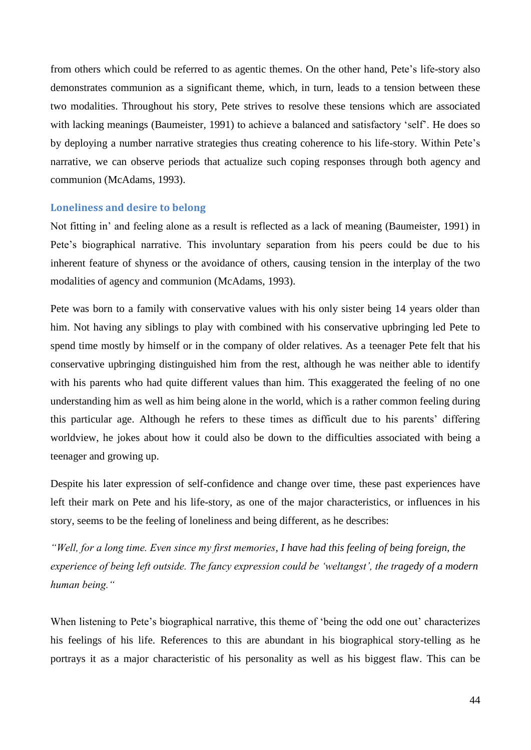from others which could be referred to as agentic themes. On the other hand, Pete"s life-story also demonstrates communion as a significant theme, which, in turn, leads to a tension between these two modalities. Throughout his story, Pete strives to resolve these tensions which are associated with lacking meanings (Baumeister, 1991) to achieve a balanced and satisfactory "self". He does so by deploying a number narrative strategies thus creating coherence to his life-story. Within Pete"s narrative, we can observe periods that actualize such coping responses through both agency and communion (McAdams, 1993).

#### **Loneliness and desire to belong**

Not fitting in" and feeling alone as a result is reflected as a lack of meaning (Baumeister, 1991) in Pete's biographical narrative. This involuntary separation from his peers could be due to his inherent feature of shyness or the avoidance of others, causing tension in the interplay of the two modalities of agency and communion (McAdams, 1993).

Pete was born to a family with conservative values with his only sister being 14 years older than him. Not having any siblings to play with combined with his conservative upbringing led Pete to spend time mostly by himself or in the company of older relatives. As a teenager Pete felt that his conservative upbringing distinguished him from the rest, although he was neither able to identify with his parents who had quite different values than him. This exaggerated the feeling of no one understanding him as well as him being alone in the world, which is a rather common feeling during this particular age. Although he refers to these times as difficult due to his parents" differing worldview, he jokes about how it could also be down to the difficulties associated with being a teenager and growing up.

Despite his later expression of self-confidence and change over time, these past experiences have left their mark on Pete and his life-story, as one of the major characteristics, or influences in his story, seems to be the feeling of loneliness and being different, as he describes:

*"Well, for a long time. Even since my first memories, I have had this feeling of being foreign, the experience of being left outside. The fancy expression could be "weltangst", the tragedy of a modern human being."*

When listening to Pete's biographical narrative, this theme of 'being the odd one out' characterizes his feelings of his life. References to this are abundant in his biographical story-telling as he portrays it as a major characteristic of his personality as well as his biggest flaw. This can be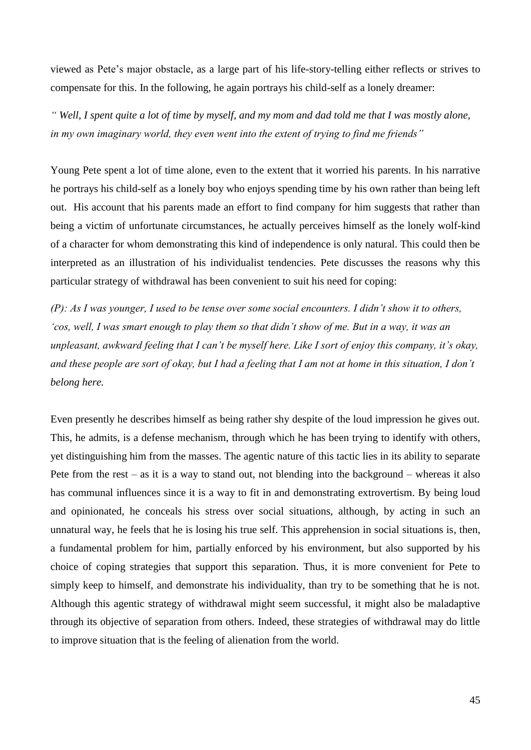viewed as Pete"s major obstacle, as a large part of his life-story-telling either reflects or strives to compensate for this. In the following, he again portrays his child-self as a lonely dreamer:

*" Well, I spent quite a lot of time by myself, and my mom and dad told me that I was mostly alone, in my own imaginary world, they even went into the extent of trying to find me friends"*

Young Pete spent a lot of time alone, even to the extent that it worried his parents. In his narrative he portrays his child-self as a lonely boy who enjoys spending time by his own rather than being left out. His account that his parents made an effort to find company for him suggests that rather than being a victim of unfortunate circumstances, he actually perceives himself as the lonely wolf-kind of a character for whom demonstrating this kind of independence is only natural. This could then be interpreted as an illustration of his individualist tendencies. Pete discusses the reasons why this particular strategy of withdrawal has been convenient to suit his need for coping:

*(P): As I was younger, I used to be tense over some social encounters. I didn"t show it to others, "cos, well, I was smart enough to play them so that didn"t show of me. But in a way, it was an unpleasant, awkward feeling that I can"t be myself here. Like I sort of enjoy this company, it"s okay, and these people are sort of okay, but I had a feeling that I am not at home in this situation, I don"t belong here.*

Even presently he describes himself as being rather shy despite of the loud impression he gives out. This, he admits, is a defense mechanism, through which he has been trying to identify with others, yet distinguishing him from the masses. The agentic nature of this tactic lies in its ability to separate Pete from the rest – as it is a way to stand out, not blending into the background – whereas it also has communal influences since it is a way to fit in and demonstrating extrovertism. By being loud and opinionated, he conceals his stress over social situations, although, by acting in such an unnatural way, he feels that he is losing his true self. This apprehension in social situations is, then, a fundamental problem for him, partially enforced by his environment, but also supported by his choice of coping strategies that support this separation. Thus, it is more convenient for Pete to simply keep to himself, and demonstrate his individuality, than try to be something that he is not. Although this agentic strategy of withdrawal might seem successful, it might also be maladaptive through its objective of separation from others. Indeed, these strategies of withdrawal may do little to improve situation that is the feeling of alienation from the world.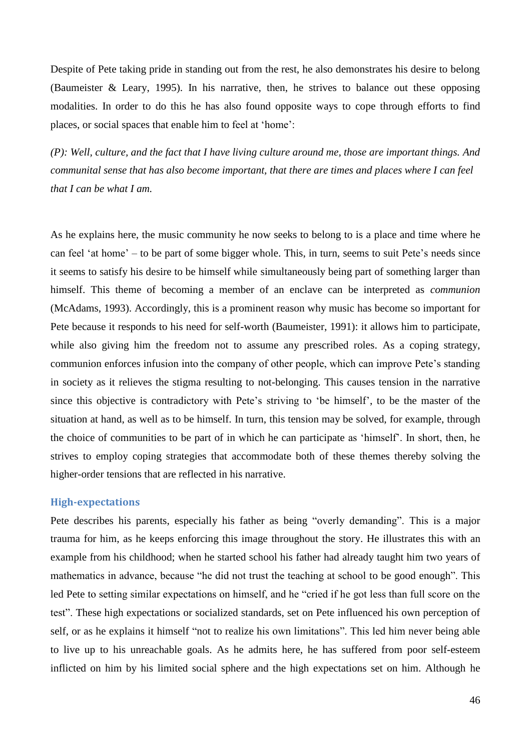Despite of Pete taking pride in standing out from the rest, he also demonstrates his desire to belong (Baumeister & Leary, 1995). In his narrative, then, he strives to balance out these opposing modalities. In order to do this he has also found opposite ways to cope through efforts to find places, or social spaces that enable him to feel at "home":

*(P): Well, culture, and the fact that I have living culture around me, those are important things. And communital sense that has also become important, that there are times and places where I can feel that I can be what I am.*

As he explains here, the music community he now seeks to belong to is a place and time where he can feel 'at home' – to be part of some bigger whole. This, in turn, seems to suit Pete's needs since it seems to satisfy his desire to be himself while simultaneously being part of something larger than himself. This theme of becoming a member of an enclave can be interpreted as *communion* (McAdams, 1993). Accordingly, this is a prominent reason why music has become so important for Pete because it responds to his need for self-worth (Baumeister, 1991): it allows him to participate, while also giving him the freedom not to assume any prescribed roles. As a coping strategy, communion enforces infusion into the company of other people, which can improve Pete"s standing in society as it relieves the stigma resulting to not-belonging. This causes tension in the narrative since this objective is contradictory with Pete's striving to 'be himself', to be the master of the situation at hand, as well as to be himself. In turn, this tension may be solved, for example, through the choice of communities to be part of in which he can participate as "himself". In short, then, he strives to employ coping strategies that accommodate both of these themes thereby solving the higher-order tensions that are reflected in his narrative.

## **High-expectations**

Pete describes his parents, especially his father as being "overly demanding". This is a major trauma for him, as he keeps enforcing this image throughout the story. He illustrates this with an example from his childhood; when he started school his father had already taught him two years of mathematics in advance, because "he did not trust the teaching at school to be good enough". This led Pete to setting similar expectations on himself, and he "cried if he got less than full score on the test". These high expectations or socialized standards, set on Pete influenced his own perception of self, or as he explains it himself "not to realize his own limitations". This led him never being able to live up to his unreachable goals. As he admits here, he has suffered from poor self-esteem inflicted on him by his limited social sphere and the high expectations set on him. Although he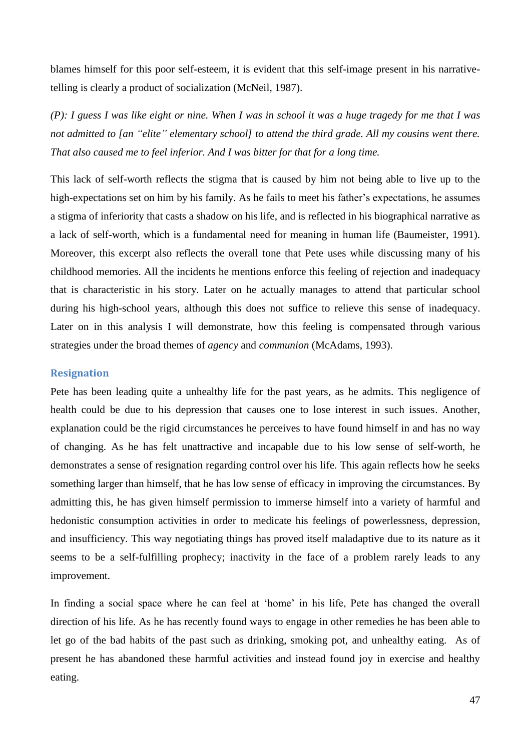blames himself for this poor self-esteem, it is evident that this self-image present in his narrativetelling is clearly a product of socialization (McNeil, 1987).

*(P): I guess I was like eight or nine. When I was in school it was a huge tragedy for me that I was not admitted to [an "elite" elementary school] to attend the third grade. All my cousins went there. That also caused me to feel inferior. And I was bitter for that for a long time.*

This lack of self-worth reflects the stigma that is caused by him not being able to live up to the high-expectations set on him by his family. As he fails to meet his father's expectations, he assumes a stigma of inferiority that casts a shadow on his life, and is reflected in his biographical narrative as a lack of self-worth, which is a fundamental need for meaning in human life (Baumeister, 1991). Moreover, this excerpt also reflects the overall tone that Pete uses while discussing many of his childhood memories. All the incidents he mentions enforce this feeling of rejection and inadequacy that is characteristic in his story. Later on he actually manages to attend that particular school during his high-school years, although this does not suffice to relieve this sense of inadequacy. Later on in this analysis I will demonstrate, how this feeling is compensated through various strategies under the broad themes of *agency* and *communion* (McAdams, 1993).

#### **Resignation**

Pete has been leading quite a unhealthy life for the past years, as he admits. This negligence of health could be due to his depression that causes one to lose interest in such issues. Another, explanation could be the rigid circumstances he perceives to have found himself in and has no way of changing. As he has felt unattractive and incapable due to his low sense of self-worth, he demonstrates a sense of resignation regarding control over his life. This again reflects how he seeks something larger than himself, that he has low sense of efficacy in improving the circumstances. By admitting this, he has given himself permission to immerse himself into a variety of harmful and hedonistic consumption activities in order to medicate his feelings of powerlessness, depression, and insufficiency. This way negotiating things has proved itself maladaptive due to its nature as it seems to be a self-fulfilling prophecy; inactivity in the face of a problem rarely leads to any improvement.

In finding a social space where he can feel at 'home' in his life, Pete has changed the overall direction of his life. As he has recently found ways to engage in other remedies he has been able to let go of the bad habits of the past such as drinking, smoking pot, and unhealthy eating. As of present he has abandoned these harmful activities and instead found joy in exercise and healthy eating.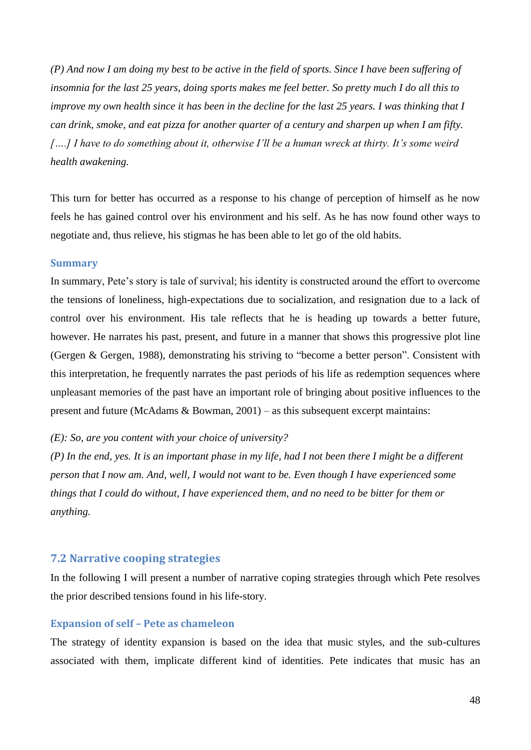*(P) And now I am doing my best to be active in the field of sports. Since I have been suffering of insomnia for the last 25 years, doing sports makes me feel better. So pretty much I do all this to improve my own health since it has been in the decline for the last 25 years. I was thinking that I can drink, smoke, and eat pizza for another quarter of a century and sharpen up when I am fifty.*  [....] I have to do something about it, otherwise I'll be a human wreck at thirty. It's some weird *health awakening.*

This turn for better has occurred as a response to his change of perception of himself as he now feels he has gained control over his environment and his self. As he has now found other ways to negotiate and, thus relieve, his stigmas he has been able to let go of the old habits.

#### **Summary**

In summary, Pete"s story is tale of survival; his identity is constructed around the effort to overcome the tensions of loneliness, high-expectations due to socialization, and resignation due to a lack of control over his environment. His tale reflects that he is heading up towards a better future, however. He narrates his past, present, and future in a manner that shows this progressive plot line (Gergen & Gergen, 1988), demonstrating his striving to "become a better person". Consistent with this interpretation, he frequently narrates the past periods of his life as redemption sequences where unpleasant memories of the past have an important role of bringing about positive influences to the present and future (McAdams & Bowman, 2001) – as this subsequent excerpt maintains:

#### *(E): So, are you content with your choice of university?*

*(P) In the end, yes. It is an important phase in my life, had I not been there I might be a different person that I now am. And, well, I would not want to be. Even though I have experienced some things that I could do without, I have experienced them, and no need to be bitter for them or anything.*

#### **7.2 Narrative cooping strategies**

In the following I will present a number of narrative coping strategies through which Pete resolves the prior described tensions found in his life-story.

#### **Expansion of self – Pete as chameleon**

The strategy of identity expansion is based on the idea that music styles, and the sub-cultures associated with them, implicate different kind of identities. Pete indicates that music has an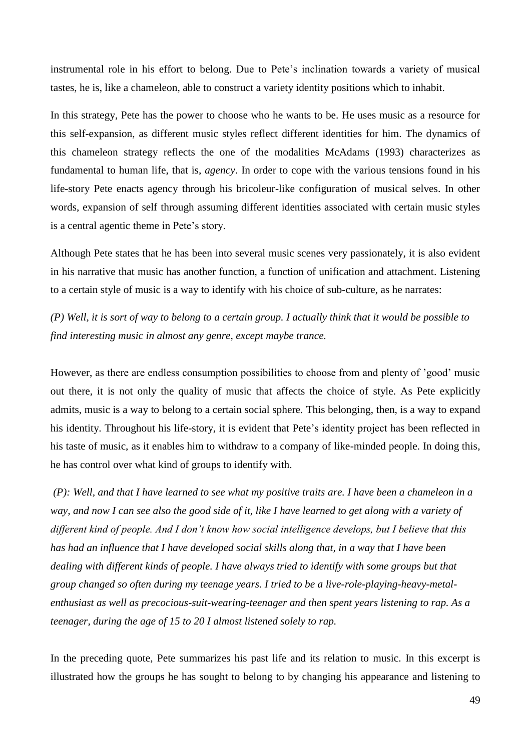instrumental role in his effort to belong. Due to Pete"s inclination towards a variety of musical tastes, he is, like a chameleon, able to construct a variety identity positions which to inhabit.

In this strategy, Pete has the power to choose who he wants to be. He uses music as a resource for this self-expansion, as different music styles reflect different identities for him. The dynamics of this chameleon strategy reflects the one of the modalities McAdams (1993) characterizes as fundamental to human life, that is, *agency*. In order to cope with the various tensions found in his life-story Pete enacts agency through his bricoleur-like configuration of musical selves. In other words, expansion of self through assuming different identities associated with certain music styles is a central agentic theme in Pete"s story.

Although Pete states that he has been into several music scenes very passionately, it is also evident in his narrative that music has another function, a function of unification and attachment. Listening to a certain style of music is a way to identify with his choice of sub-culture, as he narrates:

*(P) Well, it is sort of way to belong to a certain group. I actually think that it would be possible to find interesting music in almost any genre, except maybe trance.*

However, as there are endless consumption possibilities to choose from and plenty of "good" music out there, it is not only the quality of music that affects the choice of style. As Pete explicitly admits, music is a way to belong to a certain social sphere. This belonging, then, is a way to expand his identity. Throughout his life-story, it is evident that Pete's identity project has been reflected in his taste of music, as it enables him to withdraw to a company of like-minded people. In doing this, he has control over what kind of groups to identify with.

*(P): Well, and that I have learned to see what my positive traits are. I have been a chameleon in a way, and now I can see also the good side of it, like I have learned to get along with a variety of different kind of people. And I don"t know how social intelligence develops, but I believe that this has had an influence that I have developed social skills along that, in a way that I have been dealing with different kinds of people. I have always tried to identify with some groups but that group changed so often during my teenage years. I tried to be a live-role-playing-heavy-metalenthusiast as well as precocious-suit-wearing-teenager and then spent years listening to rap. As a teenager, during the age of 15 to 20 I almost listened solely to rap.*

In the preceding quote, Pete summarizes his past life and its relation to music. In this excerpt is illustrated how the groups he has sought to belong to by changing his appearance and listening to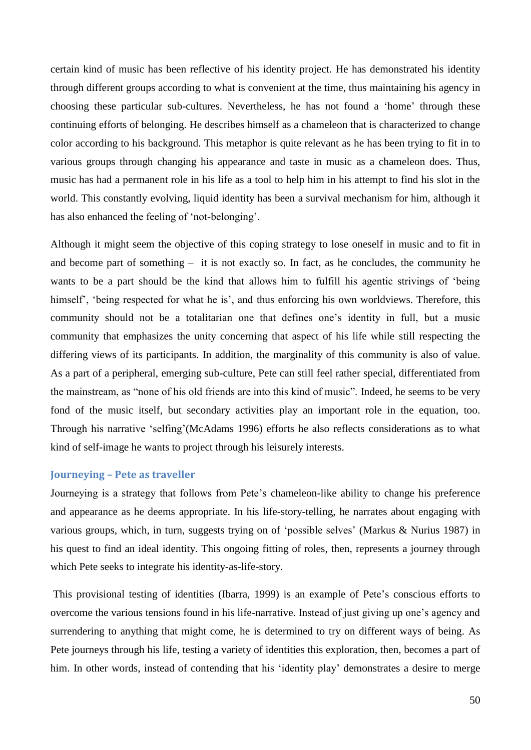certain kind of music has been reflective of his identity project. He has demonstrated his identity through different groups according to what is convenient at the time, thus maintaining his agency in choosing these particular sub-cultures. Nevertheless, he has not found a "home" through these continuing efforts of belonging. He describes himself as a chameleon that is characterized to change color according to his background. This metaphor is quite relevant as he has been trying to fit in to various groups through changing his appearance and taste in music as a chameleon does. Thus, music has had a permanent role in his life as a tool to help him in his attempt to find his slot in the world. This constantly evolving, liquid identity has been a survival mechanism for him, although it has also enhanced the feeling of 'not-belonging'.

Although it might seem the objective of this coping strategy to lose oneself in music and to fit in and become part of something – it is not exactly so. In fact, as he concludes, the community he wants to be a part should be the kind that allows him to fulfill his agentic strivings of "being himself", "being respected for what he is", and thus enforcing his own worldviews. Therefore, this community should not be a totalitarian one that defines one"s identity in full, but a music community that emphasizes the unity concerning that aspect of his life while still respecting the differing views of its participants. In addition, the marginality of this community is also of value. As a part of a peripheral, emerging sub-culture, Pete can still feel rather special, differentiated from the mainstream, as "none of his old friends are into this kind of music". Indeed, he seems to be very fond of the music itself, but secondary activities play an important role in the equation, too. Through his narrative "selfing"(McAdams 1996) efforts he also reflects considerations as to what kind of self-image he wants to project through his leisurely interests.

#### **Journeying – Pete as traveller**

Journeying is a strategy that follows from Pete's chameleon-like ability to change his preference and appearance as he deems appropriate. In his life-story-telling, he narrates about engaging with various groups, which, in turn, suggests trying on of "possible selves" (Markus & Nurius 1987) in his quest to find an ideal identity. This ongoing fitting of roles, then, represents a journey through which Pete seeks to integrate his identity-as-life-story.

This provisional testing of identities (Ibarra, 1999) is an example of Pete"s conscious efforts to overcome the various tensions found in his life-narrative. Instead of just giving up one"s agency and surrendering to anything that might come, he is determined to try on different ways of being. As Pete journeys through his life, testing a variety of identities this exploration, then, becomes a part of him. In other words, instead of contending that his 'identity play' demonstrates a desire to merge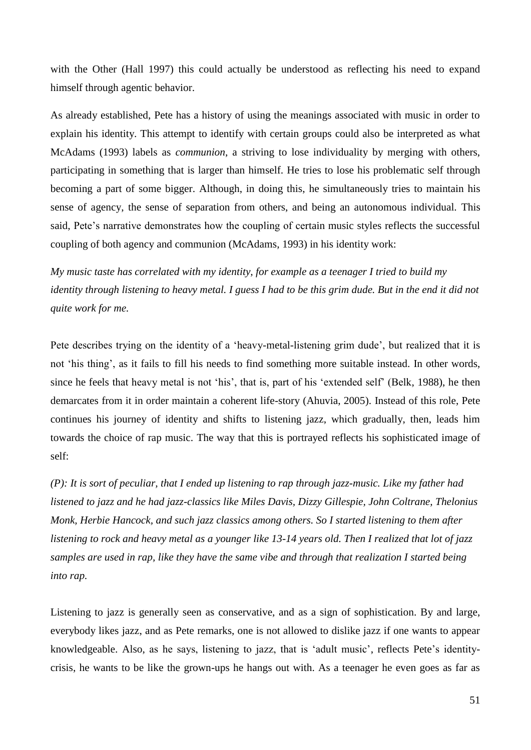with the Other (Hall 1997) this could actually be understood as reflecting his need to expand himself through agentic behavior.

As already established, Pete has a history of using the meanings associated with music in order to explain his identity. This attempt to identify with certain groups could also be interpreted as what McAdams (1993) labels as *communion*, a striving to lose individuality by merging with others, participating in something that is larger than himself. He tries to lose his problematic self through becoming a part of some bigger. Although, in doing this, he simultaneously tries to maintain his sense of agency, the sense of separation from others, and being an autonomous individual. This said, Pete's narrative demonstrates how the coupling of certain music styles reflects the successful coupling of both agency and communion (McAdams, 1993) in his identity work:

*My music taste has correlated with my identity, for example as a teenager I tried to build my identity through listening to heavy metal. I guess I had to be this grim dude. But in the end it did not quite work for me.*

Pete describes trying on the identity of a 'heavy-metal-listening grim dude', but realized that it is not "his thing", as it fails to fill his needs to find something more suitable instead. In other words, since he feels that heavy metal is not "his", that is, part of his "extended self" (Belk, 1988), he then demarcates from it in order maintain a coherent life-story (Ahuvia, 2005). Instead of this role, Pete continues his journey of identity and shifts to listening jazz, which gradually, then, leads him towards the choice of rap music. The way that this is portrayed reflects his sophisticated image of self:

*(P): It is sort of peculiar, that I ended up listening to rap through jazz-music. Like my father had listened to jazz and he had jazz-classics like Miles Davis, Dizzy Gillespie, John Coltrane, Thelonius Monk, Herbie Hancock, and such jazz classics among others. So I started listening to them after listening to rock and heavy metal as a younger like 13-14 years old. Then I realized that lot of jazz samples are used in rap, like they have the same vibe and through that realization I started being into rap.*

Listening to jazz is generally seen as conservative, and as a sign of sophistication. By and large, everybody likes jazz, and as Pete remarks, one is not allowed to dislike jazz if one wants to appear knowledgeable. Also, as he says, listening to jazz, that is "adult music", reflects Pete"s identitycrisis, he wants to be like the grown-ups he hangs out with. As a teenager he even goes as far as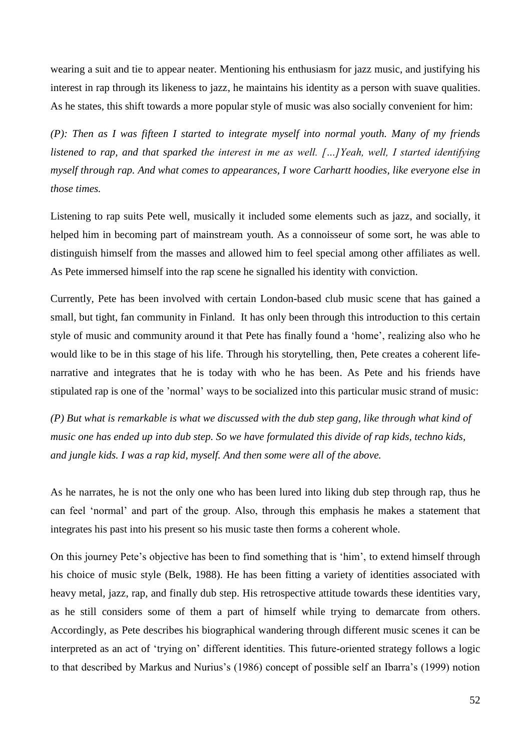wearing a suit and tie to appear neater. Mentioning his enthusiasm for jazz music, and justifying his interest in rap through its likeness to jazz, he maintains his identity as a person with suave qualities. As he states, this shift towards a more popular style of music was also socially convenient for him:

*(P): Then as I was fifteen I started to integrate myself into normal youth. Many of my friends listened to rap, and that sparked the interest in me as well. […]Yeah, well, I started identifying myself through rap. And what comes to appearances, I wore Carhartt hoodies, like everyone else in those times.*

Listening to rap suits Pete well, musically it included some elements such as jazz, and socially, it helped him in becoming part of mainstream youth. As a connoisseur of some sort, he was able to distinguish himself from the masses and allowed him to feel special among other affiliates as well. As Pete immersed himself into the rap scene he signalled his identity with conviction.

Currently, Pete has been involved with certain London-based club music scene that has gained a small, but tight, fan community in Finland. It has only been through this introduction to this certain style of music and community around it that Pete has finally found a 'home', realizing also who he would like to be in this stage of his life. Through his storytelling, then, Pete creates a coherent lifenarrative and integrates that he is today with who he has been. As Pete and his friends have stipulated rap is one of the "normal" ways to be socialized into this particular music strand of music:

*(P) But what is remarkable is what we discussed with the dub step gang, like through what kind of music one has ended up into dub step. So we have formulated this divide of rap kids, techno kids, and jungle kids. I was a rap kid, myself. And then some were all of the above.* 

As he narrates, he is not the only one who has been lured into liking dub step through rap, thus he can feel "normal" and part of the group. Also, through this emphasis he makes a statement that integrates his past into his present so his music taste then forms a coherent whole.

On this journey Pete's objective has been to find something that is 'him', to extend himself through his choice of music style (Belk, 1988). He has been fitting a variety of identities associated with heavy metal, jazz, rap, and finally dub step. His retrospective attitude towards these identities vary, as he still considers some of them a part of himself while trying to demarcate from others. Accordingly, as Pete describes his biographical wandering through different music scenes it can be interpreted as an act of "trying on" different identities. This future-oriented strategy follows a logic to that described by Markus and Nurius's (1986) concept of possible self an Ibarra's (1999) notion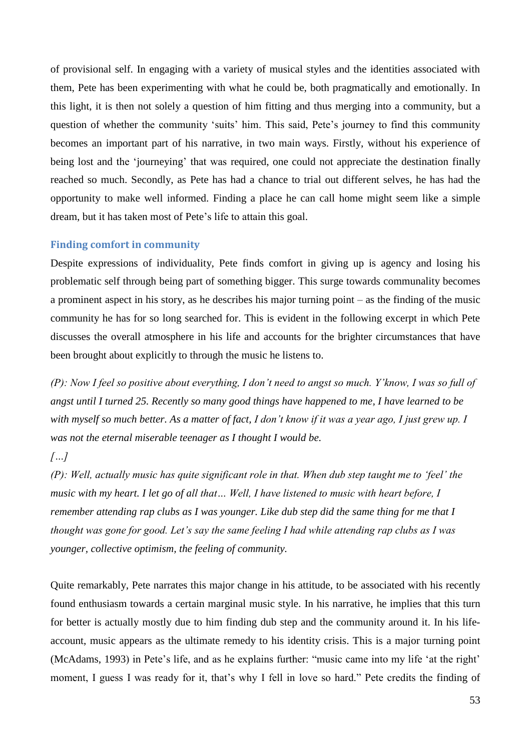of provisional self. In engaging with a variety of musical styles and the identities associated with them, Pete has been experimenting with what he could be, both pragmatically and emotionally. In this light, it is then not solely a question of him fitting and thus merging into a community, but a question of whether the community 'suits' him. This said, Pete's journey to find this community becomes an important part of his narrative, in two main ways. Firstly, without his experience of being lost and the "journeying" that was required, one could not appreciate the destination finally reached so much. Secondly, as Pete has had a chance to trial out different selves, he has had the opportunity to make well informed. Finding a place he can call home might seem like a simple dream, but it has taken most of Pete"s life to attain this goal.

## **Finding comfort in community**

Despite expressions of individuality, Pete finds comfort in giving up is agency and losing his problematic self through being part of something bigger. This surge towards communality becomes a prominent aspect in his story, as he describes his major turning point – as the finding of the music community he has for so long searched for. This is evident in the following excerpt in which Pete discusses the overall atmosphere in his life and accounts for the brighter circumstances that have been brought about explicitly to through the music he listens to.

*(P): Now I feel so positive about everything, I don"t need to angst so much. Y"know, I was so full of angst until I turned 25. Recently so many good things have happened to me, I have learned to be with myself so much better. As a matter of fact, I don"t know if it was a year ago, I just grew up. I was not the eternal miserable teenager as I thought I would be.*

## *[…]*

*(P): Well, actually music has quite significant role in that. When dub step taught me to "feel" the music with my heart. I let go of all that… Well, I have listened to music with heart before, I remember attending rap clubs as I was younger. Like dub step did the same thing for me that I thought was gone for good. Let"s say the same feeling I had while attending rap clubs as I was younger, collective optimism, the feeling of community.*

Quite remarkably, Pete narrates this major change in his attitude, to be associated with his recently found enthusiasm towards a certain marginal music style. In his narrative, he implies that this turn for better is actually mostly due to him finding dub step and the community around it. In his lifeaccount, music appears as the ultimate remedy to his identity crisis. This is a major turning point (McAdams, 1993) in Pete's life, and as he explains further: "music came into my life 'at the right' moment, I guess I was ready for it, that's why I fell in love so hard." Pete credits the finding of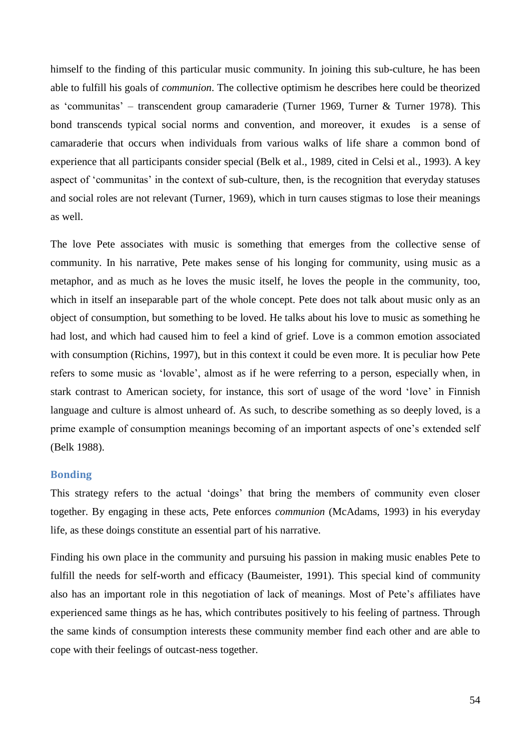himself to the finding of this particular music community. In joining this sub-culture, he has been able to fulfill his goals of *communion*. The collective optimism he describes here could be theorized as "communitas" – transcendent group camaraderie (Turner 1969, Turner & Turner 1978). This bond transcends typical social norms and convention, and moreover, it exudes is a sense of camaraderie that occurs when individuals from various walks of life share a common bond of experience that all participants consider special (Belk et al., 1989, cited in Celsi et al., 1993). A key aspect of 'communitas' in the context of sub-culture, then, is the recognition that everyday statuses and social roles are not relevant (Turner, 1969), which in turn causes stigmas to lose their meanings as well.

The love Pete associates with music is something that emerges from the collective sense of community. In his narrative, Pete makes sense of his longing for community, using music as a metaphor, and as much as he loves the music itself, he loves the people in the community, too, which in itself an inseparable part of the whole concept. Pete does not talk about music only as an object of consumption, but something to be loved. He talks about his love to music as something he had lost, and which had caused him to feel a kind of grief. Love is a common emotion associated with consumption (Richins, 1997), but in this context it could be even more. It is peculiar how Pete refers to some music as "lovable", almost as if he were referring to a person, especially when, in stark contrast to American society, for instance, this sort of usage of the word "love" in Finnish language and culture is almost unheard of. As such, to describe something as so deeply loved, is a prime example of consumption meanings becoming of an important aspects of one's extended self (Belk 1988).

## **Bonding**

This strategy refers to the actual "doings" that bring the members of community even closer together. By engaging in these acts, Pete enforces *communion* (McAdams, 1993) in his everyday life, as these doings constitute an essential part of his narrative.

Finding his own place in the community and pursuing his passion in making music enables Pete to fulfill the needs for self-worth and efficacy (Baumeister, 1991). This special kind of community also has an important role in this negotiation of lack of meanings. Most of Pete"s affiliates have experienced same things as he has, which contributes positively to his feeling of partness. Through the same kinds of consumption interests these community member find each other and are able to cope with their feelings of outcast-ness together.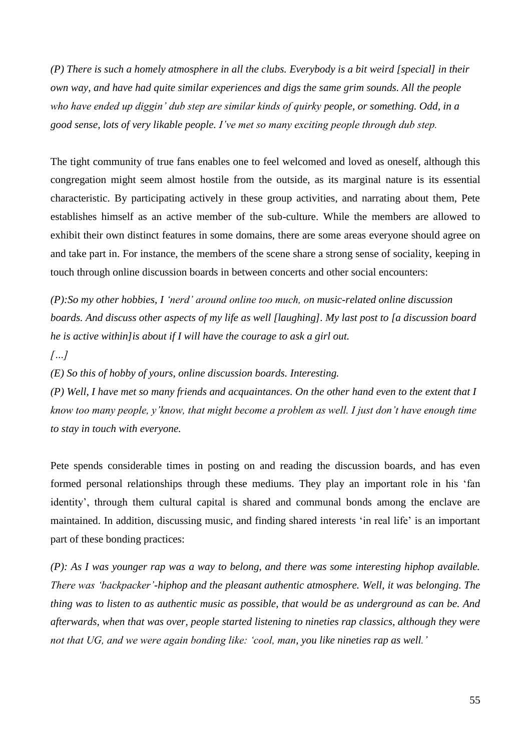*(P) There is such a homely atmosphere in all the clubs. Everybody is a bit weird [special] in their own way, and have had quite similar experiences and digs the same grim sounds. All the people who have ended up diggin" dub step are similar kinds of quirky people, or something. Odd, in a good sense, lots of very likable people. I"ve met so many exciting people through dub step.*

The tight community of true fans enables one to feel welcomed and loved as oneself, although this congregation might seem almost hostile from the outside, as its marginal nature is its essential characteristic. By participating actively in these group activities, and narrating about them, Pete establishes himself as an active member of the sub-culture. While the members are allowed to exhibit their own distinct features in some domains, there are some areas everyone should agree on and take part in. For instance, the members of the scene share a strong sense of sociality, keeping in touch through online discussion boards in between concerts and other social encounters:

*(P):So my other hobbies, I "nerd" around online too much, on music-related online discussion boards. And discuss other aspects of my life as well [laughing]. My last post to [a discussion board he is active within]is about if I will have the courage to ask a girl out.*

## *[…]*

*(E) So this of hobby of yours, online discussion boards. Interesting.* 

*(P) Well, I have met so many friends and acquaintances. On the other hand even to the extent that I know too many people, y"know, that might become a problem as well. I just don"t have enough time to stay in touch with everyone.*

Pete spends considerable times in posting on and reading the discussion boards, and has even formed personal relationships through these mediums. They play an important role in his "fan identity', through them cultural capital is shared and communal bonds among the enclave are maintained. In addition, discussing music, and finding shared interests "in real life" is an important part of these bonding practices:

*(P): As I was younger rap was a way to belong, and there was some interesting hiphop available. There was "backpacker"-hiphop and the pleasant authentic atmosphere. Well, it was belonging. The thing was to listen to as authentic music as possible, that would be as underground as can be. And afterwards, when that was over, people started listening to nineties rap classics, although they were not that UG, and we were again bonding like: "cool, man, you like nineties rap as well."*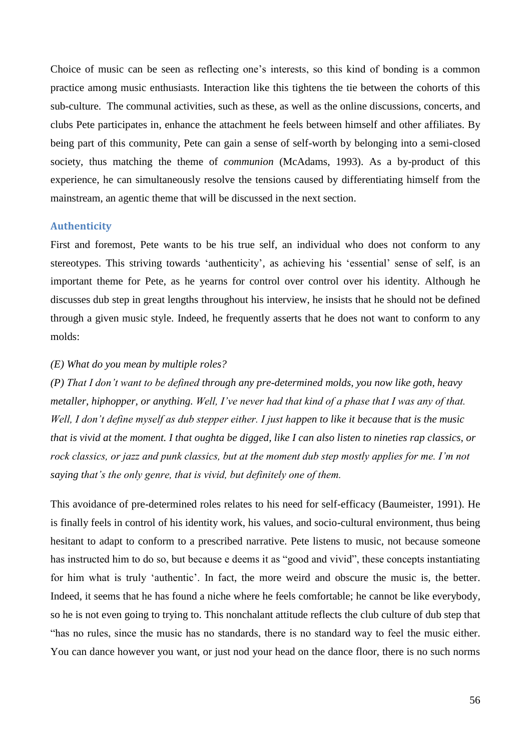Choice of music can be seen as reflecting one"s interests, so this kind of bonding is a common practice among music enthusiasts. Interaction like this tightens the tie between the cohorts of this sub-culture. The communal activities, such as these, as well as the online discussions, concerts, and clubs Pete participates in, enhance the attachment he feels between himself and other affiliates. By being part of this community, Pete can gain a sense of self-worth by belonging into a semi-closed society, thus matching the theme of *communion* (McAdams, 1993). As a by-product of this experience, he can simultaneously resolve the tensions caused by differentiating himself from the mainstream, an agentic theme that will be discussed in the next section.

#### **Authenticity**

First and foremost, Pete wants to be his true self, an individual who does not conform to any stereotypes. This striving towards 'authenticity', as achieving his 'essential' sense of self, is an important theme for Pete, as he yearns for control over control over his identity. Although he discusses dub step in great lengths throughout his interview, he insists that he should not be defined through a given music style. Indeed, he frequently asserts that he does not want to conform to any molds:

## *(E) What do you mean by multiple roles?*

*(P) That I don"t want to be defined through any pre-determined molds, you now like goth, heavy metaller, hiphopper, or anything. Well, I"ve never had that kind of a phase that I was any of that. Well, I don"t define myself as dub stepper either. I just happen to like it because that is the music that is vivid at the moment. I that oughta be digged, like I can also listen to nineties rap classics, or rock classics, or jazz and punk classics, but at the moment dub step mostly applies for me. I"m not saying that"s the only genre, that is vivid, but definitely one of them.*

This avoidance of pre-determined roles relates to his need for self-efficacy (Baumeister, 1991). He is finally feels in control of his identity work, his values, and socio-cultural environment, thus being hesitant to adapt to conform to a prescribed narrative. Pete listens to music, not because someone has instructed him to do so, but because e deems it as "good and vivid", these concepts instantiating for him what is truly 'authentic'. In fact, the more weird and obscure the music is, the better. Indeed, it seems that he has found a niche where he feels comfortable; he cannot be like everybody, so he is not even going to trying to. This nonchalant attitude reflects the club culture of dub step that "has no rules, since the music has no standards, there is no standard way to feel the music either. You can dance however you want, or just nod your head on the dance floor, there is no such norms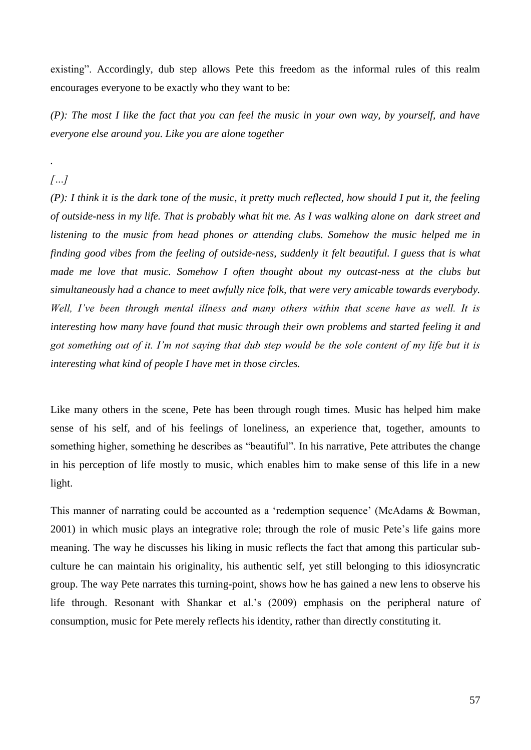existing". Accordingly, dub step allows Pete this freedom as the informal rules of this realm encourages everyone to be exactly who they want to be:

*(P): The most I like the fact that you can feel the music in your own way, by yourself, and have everyone else around you. Like you are alone together*

*[…]*

*.*

*(P): I think it is the dark tone of the music, it pretty much reflected, how should I put it, the feeling of outside-ness in my life. That is probably what hit me. As I was walking alone on dark street and listening to the music from head phones or attending clubs. Somehow the music helped me in finding good vibes from the feeling of outside-ness, suddenly it felt beautiful. I guess that is what made me love that music. Somehow I often thought about my outcast-ness at the clubs but simultaneously had a chance to meet awfully nice folk, that were very amicable towards everybody. Well, I"ve been through mental illness and many others within that scene have as well. It is interesting how many have found that music through their own problems and started feeling it and got something out of it. I"m not saying that dub step would be the sole content of my life but it is interesting what kind of people I have met in those circles.*

Like many others in the scene, Pete has been through rough times. Music has helped him make sense of his self, and of his feelings of loneliness, an experience that, together, amounts to something higher, something he describes as "beautiful". In his narrative, Pete attributes the change in his perception of life mostly to music, which enables him to make sense of this life in a new light.

This manner of narrating could be accounted as a "redemption sequence" (McAdams & Bowman, 2001) in which music plays an integrative role; through the role of music Pete"s life gains more meaning. The way he discusses his liking in music reflects the fact that among this particular subculture he can maintain his originality, his authentic self, yet still belonging to this idiosyncratic group. The way Pete narrates this turning-point, shows how he has gained a new lens to observe his life through. Resonant with Shankar et al.'s (2009) emphasis on the peripheral nature of consumption, music for Pete merely reflects his identity, rather than directly constituting it.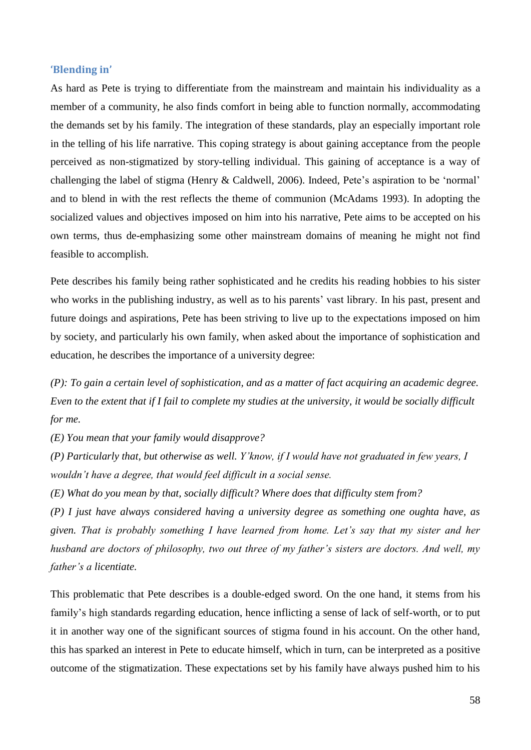#### **'Blending in'**

As hard as Pete is trying to differentiate from the mainstream and maintain his individuality as a member of a community, he also finds comfort in being able to function normally, accommodating the demands set by his family. The integration of these standards, play an especially important role in the telling of his life narrative. This coping strategy is about gaining acceptance from the people perceived as non-stigmatized by story-telling individual. This gaining of acceptance is a way of challenging the label of stigma (Henry & Caldwell, 2006). Indeed, Pete"s aspiration to be "normal" and to blend in with the rest reflects the theme of communion (McAdams 1993). In adopting the socialized values and objectives imposed on him into his narrative, Pete aims to be accepted on his own terms, thus de-emphasizing some other mainstream domains of meaning he might not find feasible to accomplish.

Pete describes his family being rather sophisticated and he credits his reading hobbies to his sister who works in the publishing industry, as well as to his parents' vast library. In his past, present and future doings and aspirations, Pete has been striving to live up to the expectations imposed on him by society, and particularly his own family, when asked about the importance of sophistication and education, he describes the importance of a university degree:

*(P): To gain a certain level of sophistication, and as a matter of fact acquiring an academic degree. Even to the extent that if I fail to complete my studies at the university, it would be socially difficult for me.*

*(E) You mean that your family would disapprove?*

*(P) Particularly that, but otherwise as well. Y"know, if I would have not graduated in few years, I wouldn"t have a degree, that would feel difficult in a social sense.*

*(E) What do you mean by that, socially difficult? Where does that difficulty stem from?*

*(P) I just have always considered having a university degree as something one oughta have, as given. That is probably something I have learned from home. Let"s say that my sister and her husband are doctors of philosophy, two out three of my father"s sisters are doctors. And well, my father"s a licentiate.*

This problematic that Pete describes is a double-edged sword. On the one hand, it stems from his family"s high standards regarding education, hence inflicting a sense of lack of self-worth, or to put it in another way one of the significant sources of stigma found in his account. On the other hand, this has sparked an interest in Pete to educate himself, which in turn, can be interpreted as a positive outcome of the stigmatization. These expectations set by his family have always pushed him to his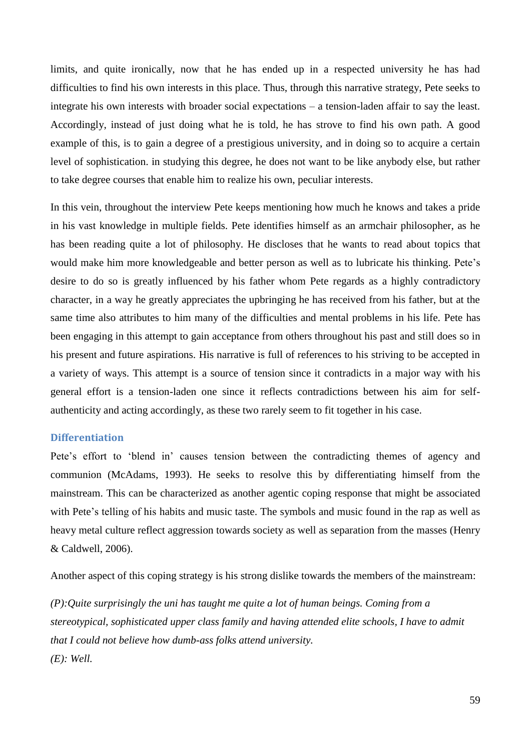limits, and quite ironically, now that he has ended up in a respected university he has had difficulties to find his own interests in this place. Thus, through this narrative strategy, Pete seeks to integrate his own interests with broader social expectations – a tension-laden affair to say the least. Accordingly, instead of just doing what he is told, he has strove to find his own path. A good example of this, is to gain a degree of a prestigious university, and in doing so to acquire a certain level of sophistication. in studying this degree, he does not want to be like anybody else, but rather to take degree courses that enable him to realize his own, peculiar interests.

In this vein, throughout the interview Pete keeps mentioning how much he knows and takes a pride in his vast knowledge in multiple fields. Pete identifies himself as an armchair philosopher, as he has been reading quite a lot of philosophy. He discloses that he wants to read about topics that would make him more knowledgeable and better person as well as to lubricate his thinking. Pete"s desire to do so is greatly influenced by his father whom Pete regards as a highly contradictory character, in a way he greatly appreciates the upbringing he has received from his father, but at the same time also attributes to him many of the difficulties and mental problems in his life. Pete has been engaging in this attempt to gain acceptance from others throughout his past and still does so in his present and future aspirations. His narrative is full of references to his striving to be accepted in a variety of ways. This attempt is a source of tension since it contradicts in a major way with his general effort is a tension-laden one since it reflects contradictions between his aim for selfauthenticity and acting accordingly, as these two rarely seem to fit together in his case.

#### **Differentiation**

Pete's effort to 'blend in' causes tension between the contradicting themes of agency and communion (McAdams, 1993). He seeks to resolve this by differentiating himself from the mainstream. This can be characterized as another agentic coping response that might be associated with Pete's telling of his habits and music taste. The symbols and music found in the rap as well as heavy metal culture reflect aggression towards society as well as separation from the masses (Henry & Caldwell, 2006).

Another aspect of this coping strategy is his strong dislike towards the members of the mainstream:

*(P):Quite surprisingly the uni has taught me quite a lot of human beings. Coming from a stereotypical, sophisticated upper class family and having attended elite schools, I have to admit that I could not believe how dumb-ass folks attend university. (E): Well.*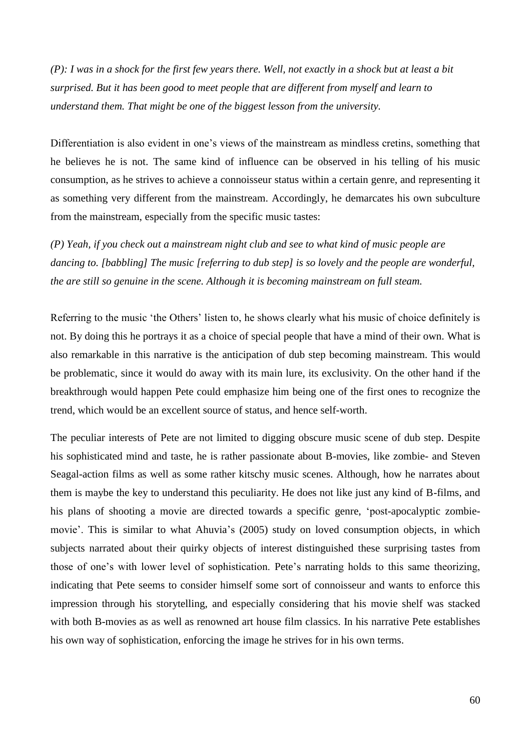*(P): I was in a shock for the first few years there. Well, not exactly in a shock but at least a bit surprised. But it has been good to meet people that are different from myself and learn to understand them. That might be one of the biggest lesson from the university.*

Differentiation is also evident in one's views of the mainstream as mindless cretins, something that he believes he is not. The same kind of influence can be observed in his telling of his music consumption, as he strives to achieve a connoisseur status within a certain genre, and representing it as something very different from the mainstream. Accordingly, he demarcates his own subculture from the mainstream, especially from the specific music tastes:

*(P) Yeah, if you check out a mainstream night club and see to what kind of music people are dancing to. [babbling] The music [referring to dub step] is so lovely and the people are wonderful, the are still so genuine in the scene. Although it is becoming mainstream on full steam.* 

Referring to the music 'the Others' listen to, he shows clearly what his music of choice definitely is not. By doing this he portrays it as a choice of special people that have a mind of their own. What is also remarkable in this narrative is the anticipation of dub step becoming mainstream. This would be problematic, since it would do away with its main lure, its exclusivity. On the other hand if the breakthrough would happen Pete could emphasize him being one of the first ones to recognize the trend, which would be an excellent source of status, and hence self-worth.

The peculiar interests of Pete are not limited to digging obscure music scene of dub step. Despite his sophisticated mind and taste, he is rather passionate about B-movies, like zombie- and Steven Seagal-action films as well as some rather kitschy music scenes. Although, how he narrates about them is maybe the key to understand this peculiarity. He does not like just any kind of B-films, and his plans of shooting a movie are directed towards a specific genre, "post-apocalyptic zombiemovie'. This is similar to what Ahuvia's (2005) study on loved consumption objects, in which subjects narrated about their quirky objects of interest distinguished these surprising tastes from those of one"s with lower level of sophistication. Pete"s narrating holds to this same theorizing, indicating that Pete seems to consider himself some sort of connoisseur and wants to enforce this impression through his storytelling, and especially considering that his movie shelf was stacked with both B-movies as as well as renowned art house film classics. In his narrative Pete establishes his own way of sophistication, enforcing the image he strives for in his own terms.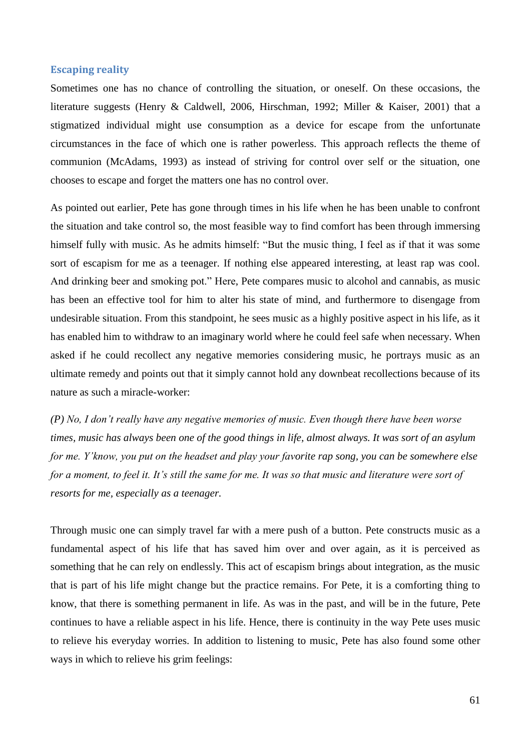#### **Escaping reality**

Sometimes one has no chance of controlling the situation, or oneself. On these occasions, the literature suggests (Henry & Caldwell, 2006, Hirschman, 1992; Miller & Kaiser, 2001) that a stigmatized individual might use consumption as a device for escape from the unfortunate circumstances in the face of which one is rather powerless. This approach reflects the theme of communion (McAdams, 1993) as instead of striving for control over self or the situation, one chooses to escape and forget the matters one has no control over.

As pointed out earlier, Pete has gone through times in his life when he has been unable to confront the situation and take control so, the most feasible way to find comfort has been through immersing himself fully with music. As he admits himself: "But the music thing, I feel as if that it was some sort of escapism for me as a teenager. If nothing else appeared interesting, at least rap was cool. And drinking beer and smoking pot." Here, Pete compares music to alcohol and cannabis, as music has been an effective tool for him to alter his state of mind, and furthermore to disengage from undesirable situation. From this standpoint, he sees music as a highly positive aspect in his life, as it has enabled him to withdraw to an imaginary world where he could feel safe when necessary. When asked if he could recollect any negative memories considering music, he portrays music as an ultimate remedy and points out that it simply cannot hold any downbeat recollections because of its nature as such a miracle-worker:

*(P) No, I don"t really have any negative memories of music. Even though there have been worse times, music has always been one of the good things in life, almost always. It was sort of an asylum for me. Y"know, you put on the headset and play your favorite rap song, you can be somewhere else for a moment, to feel it. It's still the same for me. It was so that music and literature were sort of resorts for me, especially as a teenager.*

Through music one can simply travel far with a mere push of a button. Pete constructs music as a fundamental aspect of his life that has saved him over and over again, as it is perceived as something that he can rely on endlessly. This act of escapism brings about integration, as the music that is part of his life might change but the practice remains. For Pete, it is a comforting thing to know, that there is something permanent in life. As was in the past, and will be in the future, Pete continues to have a reliable aspect in his life. Hence, there is continuity in the way Pete uses music to relieve his everyday worries. In addition to listening to music, Pete has also found some other ways in which to relieve his grim feelings: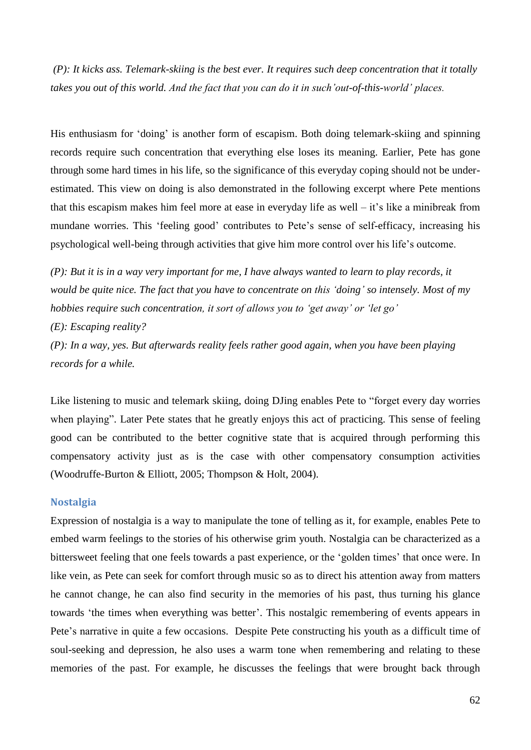*(P): It kicks ass. Telemark-skiing is the best ever. It requires such deep concentration that it totally takes you out of this world. And the fact that you can do it in such"out-of-this-world" places.*

His enthusiasm for 'doing' is another form of escapism. Both doing telemark-skiing and spinning records require such concentration that everything else loses its meaning. Earlier, Pete has gone through some hard times in his life, so the significance of this everyday coping should not be underestimated. This view on doing is also demonstrated in the following excerpt where Pete mentions that this escapism makes him feel more at ease in everyday life as well  $-$  it's like a minibreak from mundane worries. This "feeling good" contributes to Pete"s sense of self-efficacy, increasing his psychological well-being through activities that give him more control over his life"s outcome.

*(P): But it is in a way very important for me, I have always wanted to learn to play records, it would be quite nice. The fact that you have to concentrate on this "doing" so intensely. Most of my hobbies require such concentration, it sort of allows you to "get away" or "let go"*

*(E): Escaping reality?*

*(P): In a way, yes. But afterwards reality feels rather good again, when you have been playing records for a while.*

Like listening to music and telemark skiing, doing DJing enables Pete to "forget every day worries when playing". Later Pete states that he greatly enjoys this act of practicing. This sense of feeling good can be contributed to the better cognitive state that is acquired through performing this compensatory activity just as is the case with other compensatory consumption activities (Woodruffe-Burton & Elliott, 2005; Thompson & Holt, 2004).

## **Nostalgia**

Expression of nostalgia is a way to manipulate the tone of telling as it, for example, enables Pete to embed warm feelings to the stories of his otherwise grim youth. Nostalgia can be characterized as a bittersweet feeling that one feels towards a past experience, or the 'golden times' that once were. In like vein, as Pete can seek for comfort through music so as to direct his attention away from matters he cannot change, he can also find security in the memories of his past, thus turning his glance towards "the times when everything was better". This nostalgic remembering of events appears in Pete's narrative in quite a few occasions. Despite Pete constructing his youth as a difficult time of soul-seeking and depression, he also uses a warm tone when remembering and relating to these memories of the past. For example, he discusses the feelings that were brought back through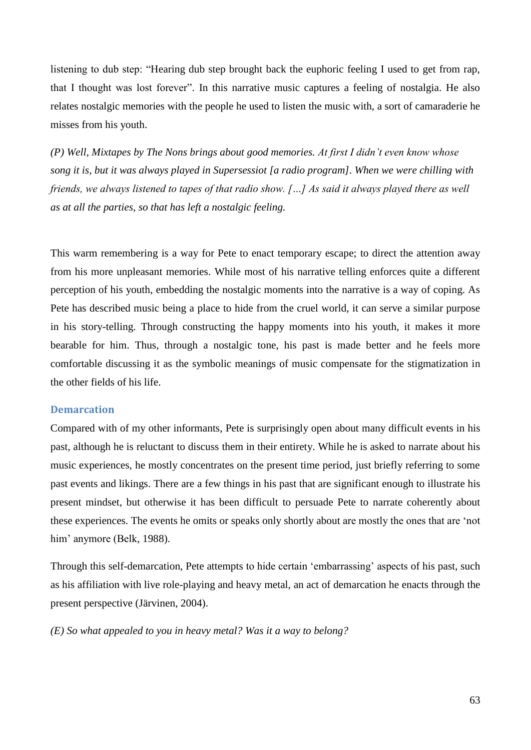listening to dub step: "Hearing dub step brought back the euphoric feeling I used to get from rap, that I thought was lost forever". In this narrative music captures a feeling of nostalgia. He also relates nostalgic memories with the people he used to listen the music with, a sort of camaraderie he misses from his youth.

*(P) Well, Mixtapes by The Nons brings about good memories. At first I didn"t even know whose song it is, but it was always played in Supersessiot [a radio program]. When we were chilling with friends, we always listened to tapes of that radio show. […] As said it always played there as well as at all the parties, so that has left a nostalgic feeling.*

This warm remembering is a way for Pete to enact temporary escape; to direct the attention away from his more unpleasant memories. While most of his narrative telling enforces quite a different perception of his youth, embedding the nostalgic moments into the narrative is a way of coping. As Pete has described music being a place to hide from the cruel world, it can serve a similar purpose in his story-telling. Through constructing the happy moments into his youth, it makes it more bearable for him. Thus, through a nostalgic tone, his past is made better and he feels more comfortable discussing it as the symbolic meanings of music compensate for the stigmatization in the other fields of his life.

## **Demarcation**

Compared with of my other informants, Pete is surprisingly open about many difficult events in his past, although he is reluctant to discuss them in their entirety. While he is asked to narrate about his music experiences, he mostly concentrates on the present time period, just briefly referring to some past events and likings. There are a few things in his past that are significant enough to illustrate his present mindset, but otherwise it has been difficult to persuade Pete to narrate coherently about these experiences. The events he omits or speaks only shortly about are mostly the ones that are "not him' anymore (Belk, 1988).

Through this self-demarcation, Pete attempts to hide certain "embarrassing" aspects of his past, such as his affiliation with live role-playing and heavy metal, an act of demarcation he enacts through the present perspective (Järvinen, 2004).

*(E) So what appealed to you in heavy metal? Was it a way to belong?*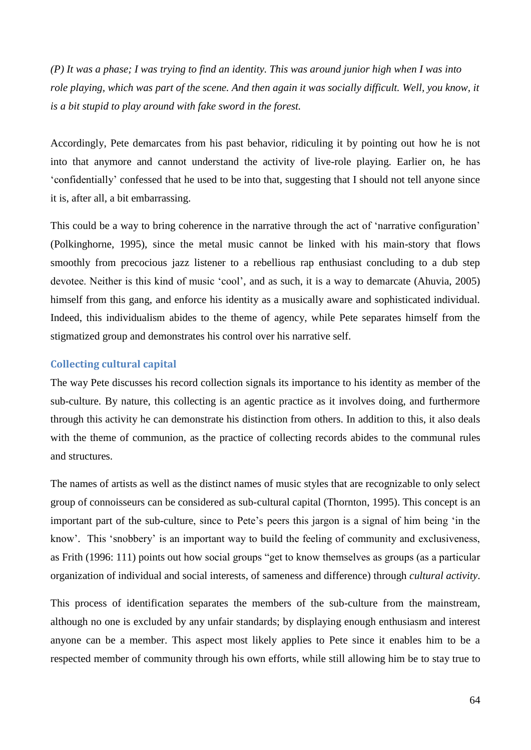*(P) It was a phase; I was trying to find an identity. This was around junior high when I was into role playing, which was part of the scene. And then again it was socially difficult. Well, you know, it is a bit stupid to play around with fake sword in the forest.*

Accordingly, Pete demarcates from his past behavior, ridiculing it by pointing out how he is not into that anymore and cannot understand the activity of live-role playing. Earlier on, he has "confidentially" confessed that he used to be into that, suggesting that I should not tell anyone since it is, after all, a bit embarrassing.

This could be a way to bring coherence in the narrative through the act of 'narrative configuration' (Polkinghorne, 1995), since the metal music cannot be linked with his main-story that flows smoothly from precocious jazz listener to a rebellious rap enthusiast concluding to a dub step devotee. Neither is this kind of music "cool", and as such, it is a way to demarcate (Ahuvia, 2005) himself from this gang, and enforce his identity as a musically aware and sophisticated individual. Indeed, this individualism abides to the theme of agency, while Pete separates himself from the stigmatized group and demonstrates his control over his narrative self.

#### **Collecting cultural capital**

The way Pete discusses his record collection signals its importance to his identity as member of the sub-culture. By nature, this collecting is an agentic practice as it involves doing, and furthermore through this activity he can demonstrate his distinction from others. In addition to this, it also deals with the theme of communion, as the practice of collecting records abides to the communal rules and structures.

The names of artists as well as the distinct names of music styles that are recognizable to only select group of connoisseurs can be considered as sub-cultural capital (Thornton, 1995). This concept is an important part of the sub-culture, since to Pete"s peers this jargon is a signal of him being "in the know'. This 'snobbery' is an important way to build the feeling of community and exclusiveness, as Frith (1996: 111) points out how social groups "get to know themselves as groups (as a particular organization of individual and social interests, of sameness and difference) through *cultural activity*.

This process of identification separates the members of the sub-culture from the mainstream, although no one is excluded by any unfair standards; by displaying enough enthusiasm and interest anyone can be a member. This aspect most likely applies to Pete since it enables him to be a respected member of community through his own efforts, while still allowing him be to stay true to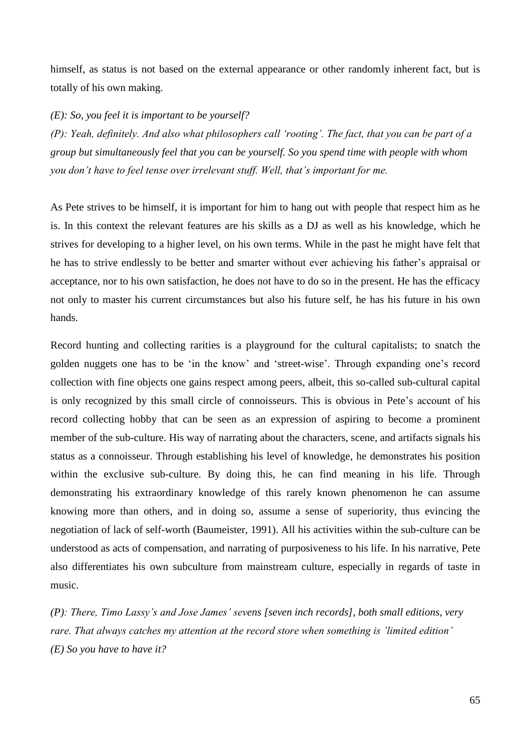himself, as status is not based on the external appearance or other randomly inherent fact, but is totally of his own making.

*(E): So, you feel it is important to be yourself?*

*(P): Yeah, definitely. And also what philosophers call "rooting". The fact, that you can be part of a group but simultaneously feel that you can be yourself. So you spend time with people with whom you don"t have to feel tense over irrelevant stuff. Well, that"s important for me.*

As Pete strives to be himself, it is important for him to hang out with people that respect him as he is. In this context the relevant features are his skills as a DJ as well as his knowledge, which he strives for developing to a higher level, on his own terms. While in the past he might have felt that he has to strive endlessly to be better and smarter without ever achieving his father"s appraisal or acceptance, nor to his own satisfaction, he does not have to do so in the present. He has the efficacy not only to master his current circumstances but also his future self, he has his future in his own hands.

Record hunting and collecting rarities is a playground for the cultural capitalists; to snatch the golden nuggets one has to be "in the know" and "street-wise". Through expanding one"s record collection with fine objects one gains respect among peers, albeit, this so-called sub-cultural capital is only recognized by this small circle of connoisseurs. This is obvious in Pete"s account of his record collecting hobby that can be seen as an expression of aspiring to become a prominent member of the sub-culture. His way of narrating about the characters, scene, and artifacts signals his status as a connoisseur. Through establishing his level of knowledge, he demonstrates his position within the exclusive sub-culture. By doing this, he can find meaning in his life. Through demonstrating his extraordinary knowledge of this rarely known phenomenon he can assume knowing more than others, and in doing so, assume a sense of superiority, thus evincing the negotiation of lack of self-worth (Baumeister, 1991). All his activities within the sub-culture can be understood as acts of compensation, and narrating of purposiveness to his life. In his narrative, Pete also differentiates his own subculture from mainstream culture, especially in regards of taste in music.

*(P): There, Timo Lassy"s and Jose James" sevens [seven inch records], both small editions, very rare. That always catches my attention at the record store when something is "limited edition" (E) So you have to have it?*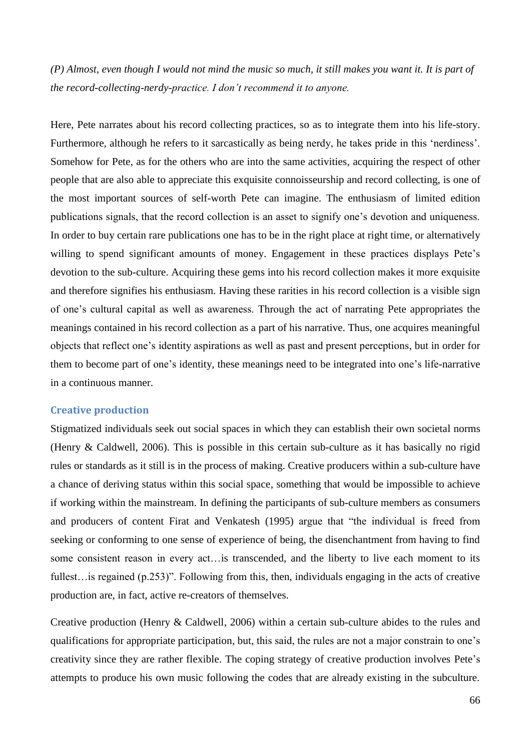*(P) Almost, even though I would not mind the music so much, it still makes you want it. It is part of the record-collecting-nerdy-practice. I don"t recommend it to anyone.*

Here, Pete narrates about his record collecting practices, so as to integrate them into his life-story. Furthermore, although he refers to it sarcastically as being nerdy, he takes pride in this 'nerdiness'. Somehow for Pete, as for the others who are into the same activities, acquiring the respect of other people that are also able to appreciate this exquisite connoisseurship and record collecting, is one of the most important sources of self-worth Pete can imagine. The enthusiasm of limited edition publications signals, that the record collection is an asset to signify one"s devotion and uniqueness. In order to buy certain rare publications one has to be in the right place at right time, or alternatively willing to spend significant amounts of money. Engagement in these practices displays Pete's devotion to the sub-culture. Acquiring these gems into his record collection makes it more exquisite and therefore signifies his enthusiasm. Having these rarities in his record collection is a visible sign of one"s cultural capital as well as awareness. Through the act of narrating Pete appropriates the meanings contained in his record collection as a part of his narrative. Thus, one acquires meaningful objects that reflect one"s identity aspirations as well as past and present perceptions, but in order for them to become part of one"s identity, these meanings need to be integrated into one"s life-narrative in a continuous manner.

## **Creative production**

Stigmatized individuals seek out social spaces in which they can establish their own societal norms (Henry & Caldwell, 2006). This is possible in this certain sub-culture as it has basically no rigid rules or standards as it still is in the process of making. Creative producers within a sub-culture have a chance of deriving status within this social space, something that would be impossible to achieve if working within the mainstream. In defining the participants of sub-culture members as consumers and producers of content Firat and Venkatesh (1995) argue that "the individual is freed from seeking or conforming to one sense of experience of being, the disenchantment from having to find some consistent reason in every act…is transcended, and the liberty to live each moment to its fullest…is regained (p.253)". Following from this, then, individuals engaging in the acts of creative production are, in fact, active re-creators of themselves.

Creative production (Henry & Caldwell, 2006) within a certain sub-culture abides to the rules and qualifications for appropriate participation, but, this said, the rules are not a major constrain to one"s creativity since they are rather flexible. The coping strategy of creative production involves Pete"s attempts to produce his own music following the codes that are already existing in the subculture.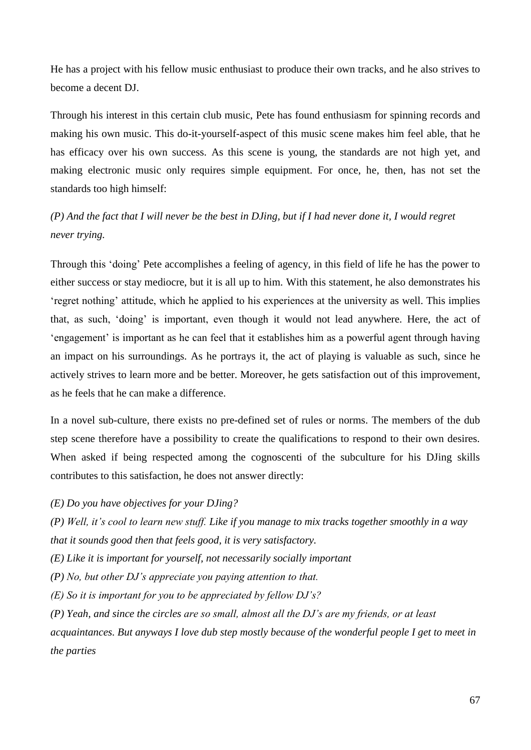He has a project with his fellow music enthusiast to produce their own tracks, and he also strives to become a decent DJ.

Through his interest in this certain club music, Pete has found enthusiasm for spinning records and making his own music. This do-it-yourself-aspect of this music scene makes him feel able, that he has efficacy over his own success. As this scene is young, the standards are not high yet, and making electronic music only requires simple equipment. For once, he, then, has not set the standards too high himself:

# *(P) And the fact that I will never be the best in DJing, but if I had never done it, I would regret never trying.*

Through this "doing" Pete accomplishes a feeling of agency, in this field of life he has the power to either success or stay mediocre, but it is all up to him. With this statement, he also demonstrates his "regret nothing" attitude, which he applied to his experiences at the university as well. This implies that, as such, "doing" is important, even though it would not lead anywhere. Here, the act of "engagement" is important as he can feel that it establishes him as a powerful agent through having an impact on his surroundings. As he portrays it, the act of playing is valuable as such, since he actively strives to learn more and be better. Moreover, he gets satisfaction out of this improvement, as he feels that he can make a difference.

In a novel sub-culture, there exists no pre-defined set of rules or norms. The members of the dub step scene therefore have a possibility to create the qualifications to respond to their own desires. When asked if being respected among the cognoscenti of the subculture for his DJing skills contributes to this satisfaction, he does not answer directly:

*(E) Do you have objectives for your DJing?* 

*(P) Well, it"s cool to learn new stuff. Like if you manage to mix tracks together smoothly in a way that it sounds good then that feels good, it is very satisfactory.* 

*(E) Like it is important for yourself, not necessarily socially important*

*(P) No, but other DJ"s appreciate you paying attention to that.* 

*(E) So it is important for you to be appreciated by fellow DJ"s?* 

*(P) Yeah, and since the circles are so small, almost all the DJ"s are my friends, or at least* 

*acquaintances. But anyways I love dub step mostly because of the wonderful people I get to meet in the parties*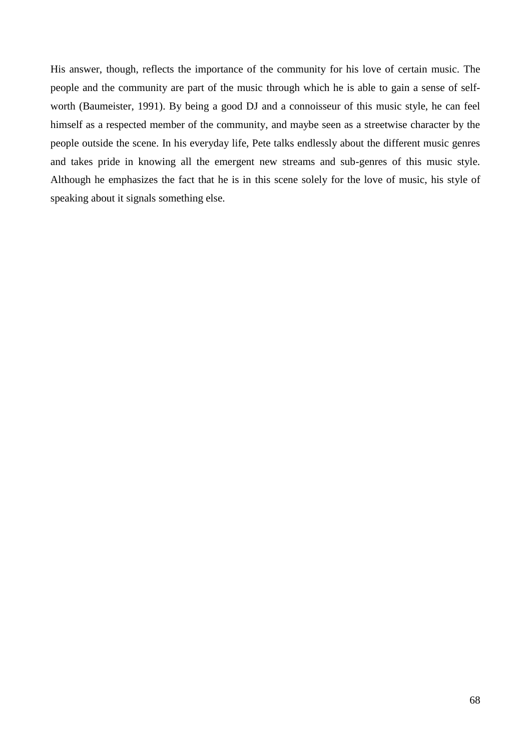His answer, though, reflects the importance of the community for his love of certain music. The people and the community are part of the music through which he is able to gain a sense of selfworth (Baumeister, 1991). By being a good DJ and a connoisseur of this music style, he can feel himself as a respected member of the community, and maybe seen as a streetwise character by the people outside the scene. In his everyday life, Pete talks endlessly about the different music genres and takes pride in knowing all the emergent new streams and sub-genres of this music style. Although he emphasizes the fact that he is in this scene solely for the love of music, his style of speaking about it signals something else.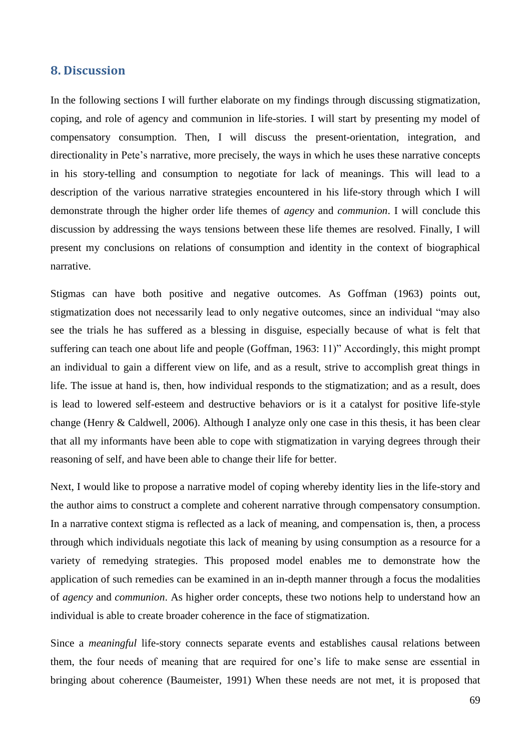## **8. Discussion**

In the following sections I will further elaborate on my findings through discussing stigmatization, coping, and role of agency and communion in life-stories. I will start by presenting my model of compensatory consumption. Then, I will discuss the present-orientation, integration, and directionality in Pete's narrative, more precisely, the ways in which he uses these narrative concepts in his story-telling and consumption to negotiate for lack of meanings. This will lead to a description of the various narrative strategies encountered in his life-story through which I will demonstrate through the higher order life themes of *agency* and *communion*. I will conclude this discussion by addressing the ways tensions between these life themes are resolved. Finally, I will present my conclusions on relations of consumption and identity in the context of biographical narrative.

Stigmas can have both positive and negative outcomes. As Goffman (1963) points out, stigmatization does not necessarily lead to only negative outcomes, since an individual "may also see the trials he has suffered as a blessing in disguise, especially because of what is felt that suffering can teach one about life and people (Goffman, 1963: 11)" Accordingly, this might prompt an individual to gain a different view on life, and as a result, strive to accomplish great things in life. The issue at hand is, then, how individual responds to the stigmatization; and as a result, does is lead to lowered self-esteem and destructive behaviors or is it a catalyst for positive life-style change (Henry & Caldwell, 2006). Although I analyze only one case in this thesis, it has been clear that all my informants have been able to cope with stigmatization in varying degrees through their reasoning of self, and have been able to change their life for better.

Next, I would like to propose a narrative model of coping whereby identity lies in the life-story and the author aims to construct a complete and coherent narrative through compensatory consumption. In a narrative context stigma is reflected as a lack of meaning, and compensation is, then, a process through which individuals negotiate this lack of meaning by using consumption as a resource for a variety of remedying strategies. This proposed model enables me to demonstrate how the application of such remedies can be examined in an in-depth manner through a focus the modalities of *agency* and *communion*. As higher order concepts, these two notions help to understand how an individual is able to create broader coherence in the face of stigmatization.

Since a *meaningful* life-story connects separate events and establishes causal relations between them, the four needs of meaning that are required for one"s life to make sense are essential in bringing about coherence (Baumeister, 1991) When these needs are not met, it is proposed that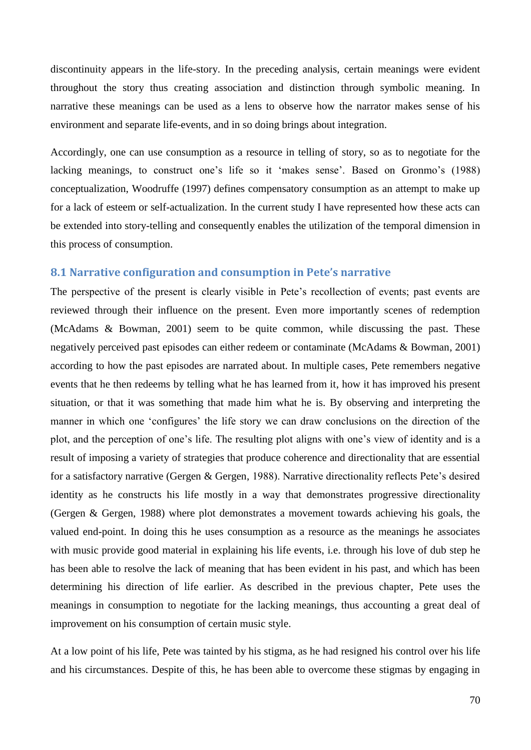discontinuity appears in the life-story. In the preceding analysis, certain meanings were evident throughout the story thus creating association and distinction through symbolic meaning. In narrative these meanings can be used as a lens to observe how the narrator makes sense of his environment and separate life-events, and in so doing brings about integration.

Accordingly, one can use consumption as a resource in telling of story, so as to negotiate for the lacking meanings, to construct one's life so it 'makes sense'. Based on Gronmo's (1988) conceptualization, Woodruffe (1997) defines compensatory consumption as an attempt to make up for a lack of esteem or self-actualization. In the current study I have represented how these acts can be extended into story-telling and consequently enables the utilization of the temporal dimension in this process of consumption.

## **8.1 Narrative configuration and consumption in Pete's narrative**

The perspective of the present is clearly visible in Pete's recollection of events; past events are reviewed through their influence on the present. Even more importantly scenes of redemption (McAdams & Bowman, 2001) seem to be quite common, while discussing the past. These negatively perceived past episodes can either redeem or contaminate (McAdams & Bowman, 2001) according to how the past episodes are narrated about. In multiple cases, Pete remembers negative events that he then redeems by telling what he has learned from it, how it has improved his present situation, or that it was something that made him what he is. By observing and interpreting the manner in which one 'configures' the life story we can draw conclusions on the direction of the plot, and the perception of one"s life. The resulting plot aligns with one"s view of identity and is a result of imposing a variety of strategies that produce coherence and directionality that are essential for a satisfactory narrative (Gergen & Gergen, 1988). Narrative directionality reflects Pete"s desired identity as he constructs his life mostly in a way that demonstrates progressive directionality (Gergen & Gergen, 1988) where plot demonstrates a movement towards achieving his goals, the valued end-point. In doing this he uses consumption as a resource as the meanings he associates with music provide good material in explaining his life events, i.e. through his love of dub step he has been able to resolve the lack of meaning that has been evident in his past, and which has been determining his direction of life earlier. As described in the previous chapter, Pete uses the meanings in consumption to negotiate for the lacking meanings, thus accounting a great deal of improvement on his consumption of certain music style.

At a low point of his life, Pete was tainted by his stigma, as he had resigned his control over his life and his circumstances. Despite of this, he has been able to overcome these stigmas by engaging in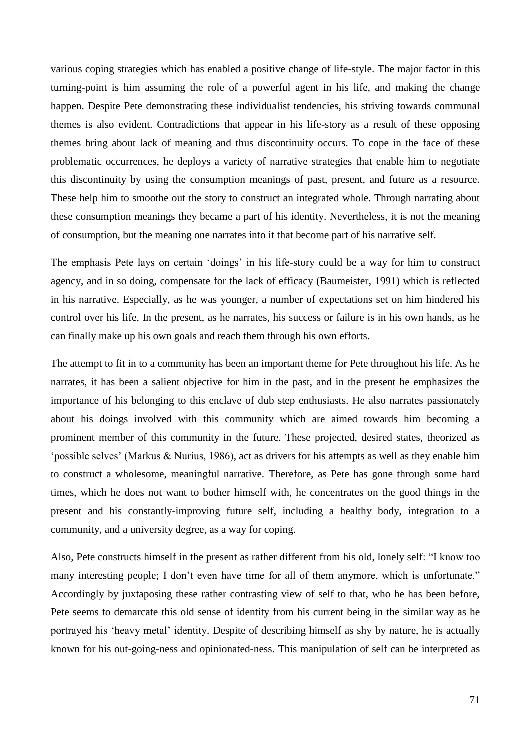various coping strategies which has enabled a positive change of life-style. The major factor in this turning-point is him assuming the role of a powerful agent in his life, and making the change happen. Despite Pete demonstrating these individualist tendencies, his striving towards communal themes is also evident. Contradictions that appear in his life-story as a result of these opposing themes bring about lack of meaning and thus discontinuity occurs. To cope in the face of these problematic occurrences, he deploys a variety of narrative strategies that enable him to negotiate this discontinuity by using the consumption meanings of past, present, and future as a resource. These help him to smoothe out the story to construct an integrated whole. Through narrating about these consumption meanings they became a part of his identity. Nevertheless, it is not the meaning of consumption, but the meaning one narrates into it that become part of his narrative self.

The emphasis Pete lays on certain "doings" in his life-story could be a way for him to construct agency, and in so doing, compensate for the lack of efficacy (Baumeister, 1991) which is reflected in his narrative. Especially, as he was younger, a number of expectations set on him hindered his control over his life. In the present, as he narrates, his success or failure is in his own hands, as he can finally make up his own goals and reach them through his own efforts.

The attempt to fit in to a community has been an important theme for Pete throughout his life. As he narrates, it has been a salient objective for him in the past, and in the present he emphasizes the importance of his belonging to this enclave of dub step enthusiasts. He also narrates passionately about his doings involved with this community which are aimed towards him becoming a prominent member of this community in the future. These projected, desired states, theorized as "possible selves" (Markus & Nurius, 1986), act as drivers for his attempts as well as they enable him to construct a wholesome, meaningful narrative. Therefore, as Pete has gone through some hard times, which he does not want to bother himself with, he concentrates on the good things in the present and his constantly-improving future self, including a healthy body, integration to a community, and a university degree, as a way for coping.

Also, Pete constructs himself in the present as rather different from his old, lonely self: "I know too many interesting people; I don't even have time for all of them anymore, which is unfortunate." Accordingly by juxtaposing these rather contrasting view of self to that, who he has been before, Pete seems to demarcate this old sense of identity from his current being in the similar way as he portrayed his "heavy metal" identity. Despite of describing himself as shy by nature, he is actually known for his out-going-ness and opinionated-ness. This manipulation of self can be interpreted as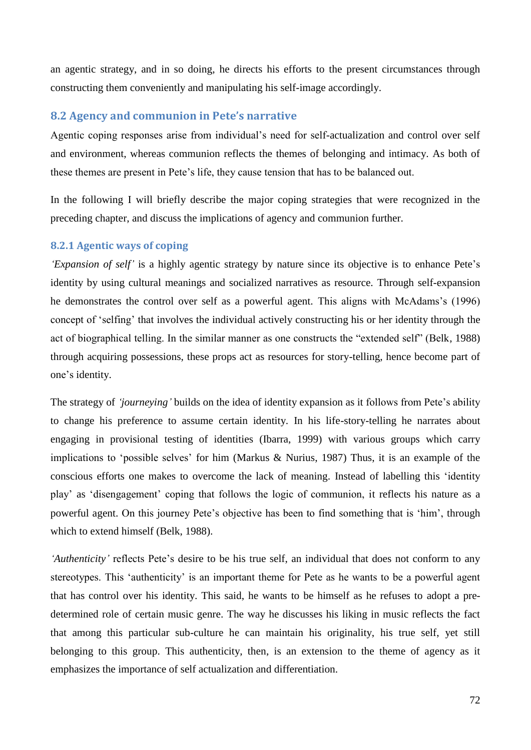an agentic strategy, and in so doing, he directs his efforts to the present circumstances through constructing them conveniently and manipulating his self-image accordingly.

### **8.2 Agency and communion in Pete's narrative**

Agentic coping responses arise from individual"s need for self-actualization and control over self and environment, whereas communion reflects the themes of belonging and intimacy. As both of these themes are present in Pete"s life, they cause tension that has to be balanced out.

In the following I will briefly describe the major coping strategies that were recognized in the preceding chapter, and discuss the implications of agency and communion further.

#### **8.2.1 Agentic ways of coping**

*Expansion of self'* is a highly agentic strategy by nature since its objective is to enhance Pete's identity by using cultural meanings and socialized narratives as resource. Through self-expansion he demonstrates the control over self as a powerful agent. This aligns with McAdams's (1996) concept of "selfing" that involves the individual actively constructing his or her identity through the act of biographical telling. In the similar manner as one constructs the "extended self" (Belk, 1988) through acquiring possessions, these props act as resources for story-telling, hence become part of one"s identity.

The strategy of *"journeying"* builds on the idea of identity expansion as it follows from Pete"s ability to change his preference to assume certain identity. In his life-story-telling he narrates about engaging in provisional testing of identities (Ibarra, 1999) with various groups which carry implications to "possible selves" for him (Markus & Nurius, 1987) Thus, it is an example of the conscious efforts one makes to overcome the lack of meaning. Instead of labelling this "identity play" as "disengagement" coping that follows the logic of communion, it reflects his nature as a powerful agent. On this journey Pete"s objective has been to find something that is "him", through which to extend himself (Belk, 1988).

*'Authenticity'* reflects Pete's desire to be his true self, an individual that does not conform to any stereotypes. This 'authenticity' is an important theme for Pete as he wants to be a powerful agent that has control over his identity. This said, he wants to be himself as he refuses to adopt a predetermined role of certain music genre. The way he discusses his liking in music reflects the fact that among this particular sub-culture he can maintain his originality, his true self, yet still belonging to this group. This authenticity, then, is an extension to the theme of agency as it emphasizes the importance of self actualization and differentiation.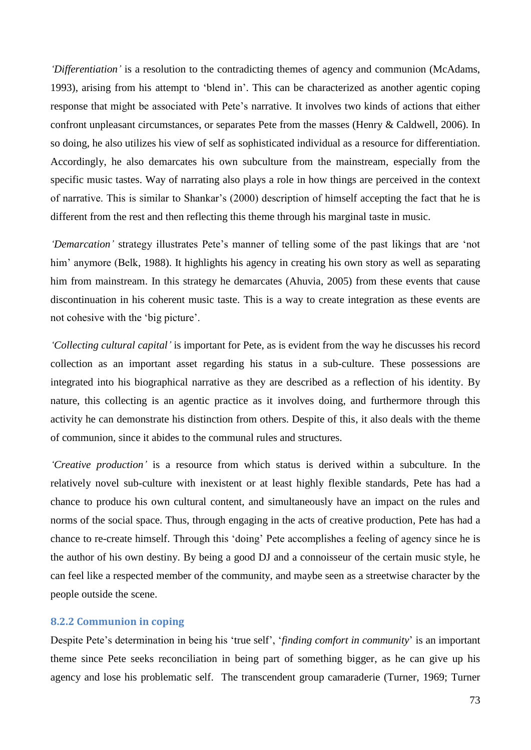*"Differentiation"* is a resolution to the contradicting themes of agency and communion (McAdams, 1993), arising from his attempt to "blend in". This can be characterized as another agentic coping response that might be associated with Pete's narrative. It involves two kinds of actions that either confront unpleasant circumstances, or separates Pete from the masses (Henry & Caldwell, 2006). In so doing, he also utilizes his view of self as sophisticated individual as a resource for differentiation. Accordingly, he also demarcates his own subculture from the mainstream, especially from the specific music tastes. Way of narrating also plays a role in how things are perceived in the context of narrative. This is similar to Shankar"s (2000) description of himself accepting the fact that he is different from the rest and then reflecting this theme through his marginal taste in music.

*"Demarcation"* strategy illustrates Pete"s manner of telling some of the past likings that are "not him' anymore (Belk, 1988). It highlights his agency in creating his own story as well as separating him from mainstream. In this strategy he demarcates (Ahuvia, 2005) from these events that cause discontinuation in his coherent music taste. This is a way to create integration as these events are not cohesive with the "big picture".

*"Collecting cultural capital"* is important for Pete, as is evident from the way he discusses his record collection as an important asset regarding his status in a sub-culture. These possessions are integrated into his biographical narrative as they are described as a reflection of his identity. By nature, this collecting is an agentic practice as it involves doing, and furthermore through this activity he can demonstrate his distinction from others. Despite of this, it also deals with the theme of communion, since it abides to the communal rules and structures.

*"Creative production"* is a resource from which status is derived within a subculture. In the relatively novel sub-culture with inexistent or at least highly flexible standards, Pete has had a chance to produce his own cultural content, and simultaneously have an impact on the rules and norms of the social space. Thus, through engaging in the acts of creative production, Pete has had a chance to re-create himself. Through this "doing" Pete accomplishes a feeling of agency since he is the author of his own destiny. By being a good DJ and a connoisseur of the certain music style, he can feel like a respected member of the community, and maybe seen as a streetwise character by the people outside the scene.

#### **8.2.2 Communion in coping**

Despite Pete's determination in being his 'true self', '*finding comfort in community*' is an important theme since Pete seeks reconciliation in being part of something bigger, as he can give up his agency and lose his problematic self. The transcendent group camaraderie (Turner, 1969; Turner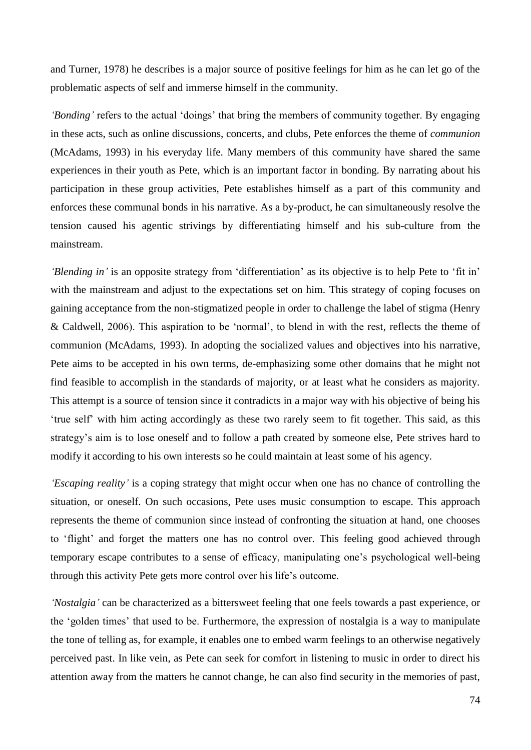and Turner, 1978) he describes is a major source of positive feelings for him as he can let go of the problematic aspects of self and immerse himself in the community.

*'Bonding'* refers to the actual 'doings' that bring the members of community together. By engaging in these acts, such as online discussions, concerts, and clubs, Pete enforces the theme of *communion* (McAdams, 1993) in his everyday life. Many members of this community have shared the same experiences in their youth as Pete, which is an important factor in bonding. By narrating about his participation in these group activities, Pete establishes himself as a part of this community and enforces these communal bonds in his narrative. As a by-product, he can simultaneously resolve the tension caused his agentic strivings by differentiating himself and his sub-culture from the mainstream.

*'Blending in'* is an opposite strategy from 'differentiation' as its objective is to help Pete to 'fit in' with the mainstream and adjust to the expectations set on him. This strategy of coping focuses on gaining acceptance from the non-stigmatized people in order to challenge the label of stigma (Henry & Caldwell, 2006). This aspiration to be "normal", to blend in with the rest, reflects the theme of communion (McAdams, 1993). In adopting the socialized values and objectives into his narrative, Pete aims to be accepted in his own terms, de-emphasizing some other domains that he might not find feasible to accomplish in the standards of majority, or at least what he considers as majority. This attempt is a source of tension since it contradicts in a major way with his objective of being his "true self" with him acting accordingly as these two rarely seem to fit together. This said, as this strategy"s aim is to lose oneself and to follow a path created by someone else, Pete strives hard to modify it according to his own interests so he could maintain at least some of his agency.

*"Escaping reality"* is a coping strategy that might occur when one has no chance of controlling the situation, or oneself. On such occasions, Pete uses music consumption to escape. This approach represents the theme of communion since instead of confronting the situation at hand, one chooses to "flight" and forget the matters one has no control over. This feeling good achieved through temporary escape contributes to a sense of efficacy, manipulating one"s psychological well-being through this activity Pete gets more control over his life"s outcome.

*"Nostalgia"* can be characterized as a bittersweet feeling that one feels towards a past experience, or the "golden times" that used to be. Furthermore, the expression of nostalgia is a way to manipulate the tone of telling as, for example, it enables one to embed warm feelings to an otherwise negatively perceived past. In like vein, as Pete can seek for comfort in listening to music in order to direct his attention away from the matters he cannot change, he can also find security in the memories of past,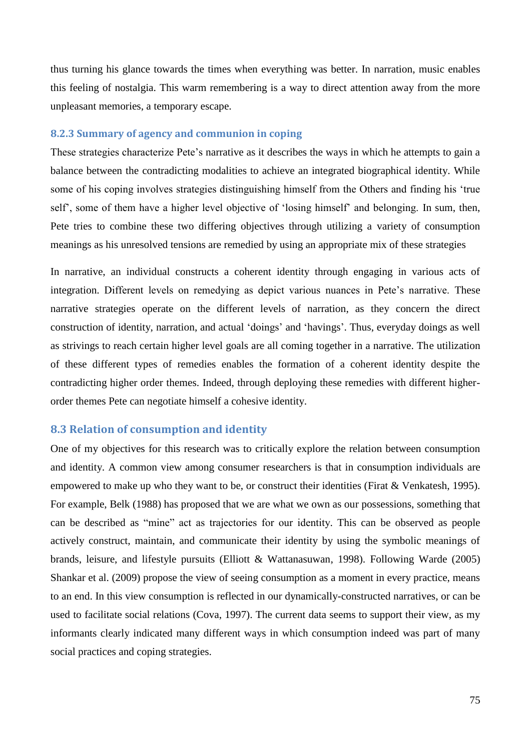thus turning his glance towards the times when everything was better. In narration, music enables this feeling of nostalgia. This warm remembering is a way to direct attention away from the more unpleasant memories, a temporary escape.

# **8.2.3 Summary of agency and communion in coping**

These strategies characterize Pete's narrative as it describes the ways in which he attempts to gain a balance between the contradicting modalities to achieve an integrated biographical identity. While some of his coping involves strategies distinguishing himself from the Others and finding his "true self", some of them have a higher level objective of "losing himself" and belonging. In sum, then, Pete tries to combine these two differing objectives through utilizing a variety of consumption meanings as his unresolved tensions are remedied by using an appropriate mix of these strategies

In narrative, an individual constructs a coherent identity through engaging in various acts of integration. Different levels on remedying as depict various nuances in Pete's narrative. These narrative strategies operate on the different levels of narration, as they concern the direct construction of identity, narration, and actual "doings" and "havings". Thus, everyday doings as well as strivings to reach certain higher level goals are all coming together in a narrative. The utilization of these different types of remedies enables the formation of a coherent identity despite the contradicting higher order themes. Indeed, through deploying these remedies with different higherorder themes Pete can negotiate himself a cohesive identity.

# **8.3 Relation of consumption and identity**

One of my objectives for this research was to critically explore the relation between consumption and identity. A common view among consumer researchers is that in consumption individuals are empowered to make up who they want to be, or construct their identities (Firat & Venkatesh, 1995). For example, Belk (1988) has proposed that we are what we own as our possessions, something that can be described as "mine" act as trajectories for our identity. This can be observed as people actively construct, maintain, and communicate their identity by using the symbolic meanings of brands, leisure, and lifestyle pursuits (Elliott & Wattanasuwan, 1998). Following Warde (2005) Shankar et al. (2009) propose the view of seeing consumption as a moment in every practice, means to an end. In this view consumption is reflected in our dynamically-constructed narratives, or can be used to facilitate social relations (Cova, 1997). The current data seems to support their view, as my informants clearly indicated many different ways in which consumption indeed was part of many social practices and coping strategies.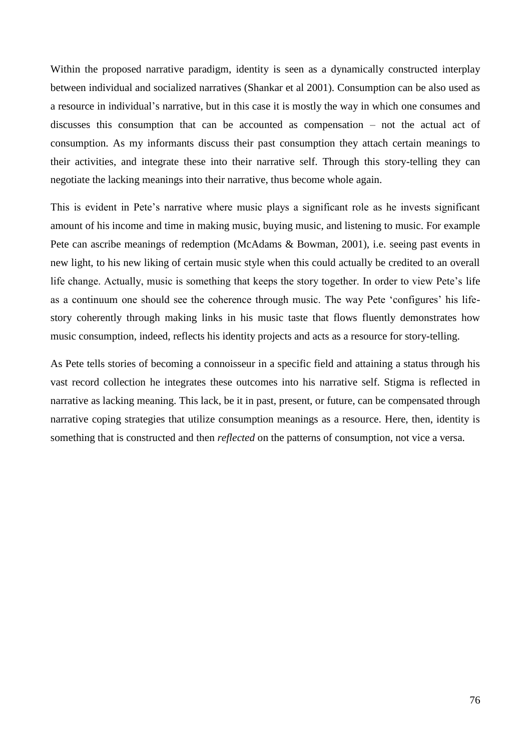Within the proposed narrative paradigm, identity is seen as a dynamically constructed interplay between individual and socialized narratives (Shankar et al 2001). Consumption can be also used as a resource in individual"s narrative, but in this case it is mostly the way in which one consumes and discusses this consumption that can be accounted as compensation – not the actual act of consumption. As my informants discuss their past consumption they attach certain meanings to their activities, and integrate these into their narrative self. Through this story-telling they can negotiate the lacking meanings into their narrative, thus become whole again.

This is evident in Pete"s narrative where music plays a significant role as he invests significant amount of his income and time in making music, buying music, and listening to music. For example Pete can ascribe meanings of redemption (McAdams & Bowman, 2001), i.e. seeing past events in new light, to his new liking of certain music style when this could actually be credited to an overall life change. Actually, music is something that keeps the story together. In order to view Pete"s life as a continuum one should see the coherence through music. The way Pete "configures" his lifestory coherently through making links in his music taste that flows fluently demonstrates how music consumption, indeed, reflects his identity projects and acts as a resource for story-telling.

As Pete tells stories of becoming a connoisseur in a specific field and attaining a status through his vast record collection he integrates these outcomes into his narrative self. Stigma is reflected in narrative as lacking meaning. This lack, be it in past, present, or future, can be compensated through narrative coping strategies that utilize consumption meanings as a resource. Here, then, identity is something that is constructed and then *reflected* on the patterns of consumption, not vice a versa.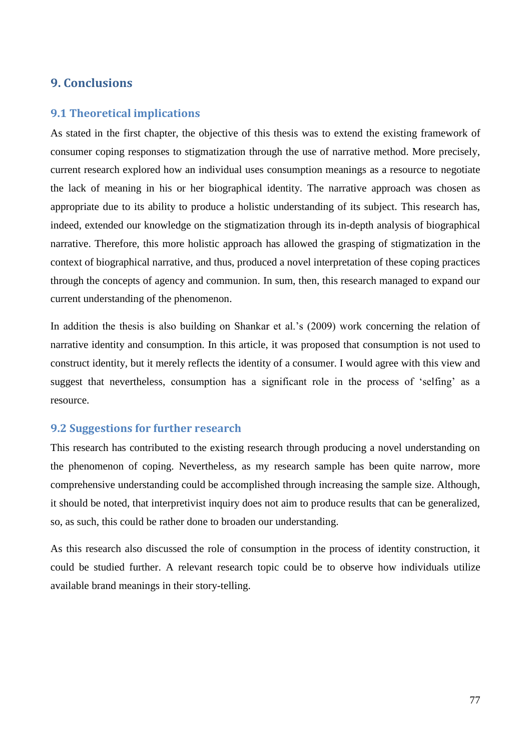# **9. Conclusions**

## **9.1 Theoretical implications**

As stated in the first chapter, the objective of this thesis was to extend the existing framework of consumer coping responses to stigmatization through the use of narrative method. More precisely, current research explored how an individual uses consumption meanings as a resource to negotiate the lack of meaning in his or her biographical identity. The narrative approach was chosen as appropriate due to its ability to produce a holistic understanding of its subject. This research has, indeed, extended our knowledge on the stigmatization through its in-depth analysis of biographical narrative. Therefore, this more holistic approach has allowed the grasping of stigmatization in the context of biographical narrative, and thus, produced a novel interpretation of these coping practices through the concepts of agency and communion. In sum, then, this research managed to expand our current understanding of the phenomenon.

In addition the thesis is also building on Shankar et al.'s (2009) work concerning the relation of narrative identity and consumption. In this article, it was proposed that consumption is not used to construct identity, but it merely reflects the identity of a consumer. I would agree with this view and suggest that nevertheless, consumption has a significant role in the process of 'selfing' as a resource.

# **9.2 Suggestions for further research**

This research has contributed to the existing research through producing a novel understanding on the phenomenon of coping. Nevertheless, as my research sample has been quite narrow, more comprehensive understanding could be accomplished through increasing the sample size. Although, it should be noted, that interpretivist inquiry does not aim to produce results that can be generalized, so, as such, this could be rather done to broaden our understanding.

As this research also discussed the role of consumption in the process of identity construction, it could be studied further. A relevant research topic could be to observe how individuals utilize available brand meanings in their story-telling.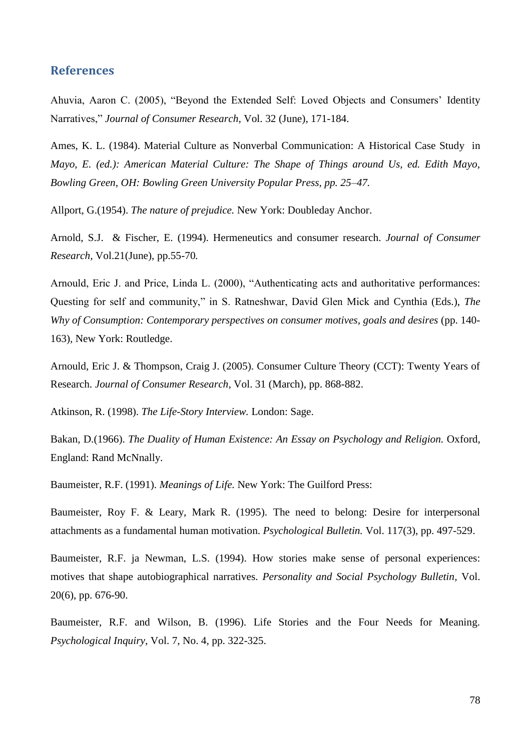# **References**

Ahuvia, Aaron C. (2005), "Beyond the Extended Self: Loved Objects and Consumers" Identity Narratives," *Journal of Consumer Research*, Vol. 32 (June), 171-184.

Ames, K. L. (1984). Material Culture as Nonverbal Communication: A Historical Case Study in *Mayo, E. (ed.): American Material Culture: The Shape of Things around Us, ed. Edith Mayo, Bowling Green, OH: Bowling Green University Popular Press, pp. 25–47.*

Allport, G.(1954). *The nature of prejudice.* New York: Doubleday Anchor.

Arnold, S.J. & Fischer, E. (1994). Hermeneutics and consumer research. *Journal of Consumer Research,* Vol.21(June), pp.55-70*.*

Arnould, Eric J. and Price, Linda L. (2000), "Authenticating acts and authoritative performances: Questing for self and community," in S. Ratneshwar, David Glen Mick and Cynthia (Eds.), *The Why of Consumption: Contemporary perspectives on consumer motives, goals and desires* (pp. 140- 163)*,* New York: Routledge.

Arnould, Eric J. & Thompson, Craig J. (2005). Consumer Culture Theory (CCT): Twenty Years of Research. *Journal of Consumer Research,* Vol. 31 (March), pp. 868-882.

Atkinson, R. (1998). *The Life-Story Interview.* London: Sage.

Bakan, D.(1966). *The Duality of Human Existence: An Essay on Psychology and Religion.* Oxford, England: Rand McNnally.

Baumeister, R.F. (1991). *Meanings of Life.* New York: The Guilford Press:

Baumeister, Roy F. & Leary, Mark R. (1995). The need to belong: Desire for interpersonal attachments as a fundamental human motivation. *Psychological Bulletin.* Vol. 117(3), pp. 497-529.

Baumeister, R.F. ja Newman, L.S. (1994). How stories make sense of personal experiences: motives that shape autobiographical narratives. *Personality and Social Psychology Bulletin,* Vol. 20(6), pp. 676-90.

Baumeister, R.F. and Wilson, B. (1996). Life Stories and the Four Needs for Meaning. *Psychological Inquiry*, Vol. 7, No. 4, pp. 322-325.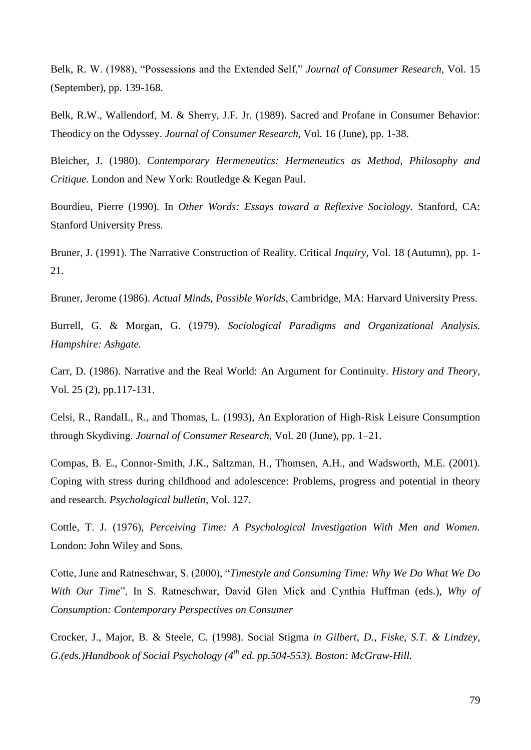Belk, R. W. (1988), "Possessions and the Extended Self," *Journal of Consumer Research,* Vol. 15 (September), pp. 139-168.

Belk, R.W., Wallendorf, M. & Sherry, J.F. Jr. (1989). Sacred and Profane in Consumer Behavior: Theodicy on the Odyssey. *Journal of Consumer Research,* Vol. 16 (June), pp. 1-38.

Bleicher, J. (1980). *Contemporary Hermeneutics: Hermeneutics as Method, Philosophy and Critique.* London and New York: Routledge & Kegan Paul.

Bourdieu, Pierre (1990). In *Other Words: Essays toward a Reflexive Sociology.* Stanford, CA: Stanford University Press.

Bruner, J. (1991). The Narrative Construction of Reality. Critical *Inquiry,* Vol. 18 (Autumn), pp. 1- 21.

Bruner, Jerome (1986). *Actual Minds, Possible Worlds*, Cambridge, MA: Harvard University Press.

Burrell, G. & Morgan, G. (1979). *Sociological Paradigms and Organizational Analysis. Hampshire: Ashgate.*

Carr, D. (1986). Narrative and the Real World: An Argument for Continuity. *History and Theory,*  Vol. 25 (2), pp.117-131.

Celsi, R., RandalL, R., and Thomas, L. (1993), An Exploration of High-Risk Leisure Consumption through Skydiving. *Journal of Consumer Research,* Vol. 20 (June), pp. 1–21.

Compas, B. E., Connor-Smith, J.K., Saltzman, H., Thomsen, A.H., and Wadsworth, M.E. (2001). Coping with stress during childhood and adolescence: Problems, progress and potential in theory and research. *Psychological bulletin*, Vol. 127.

Cottle, T. J. (1976), *Perceiving Time: A Psychological Investigation With Men and Women.* London: John Wiley and Sons.

Cotte, June and Ratneschwar, S. (2000), "*Timestyle and Consuming Time: Why We Do What We Do With Our Time*", In S. Ratneschwar, David Glen Mick and Cynthia Huffman (eds.), *Why of Consumption: Contemporary Perspectives on Consumer*

Crocker, J., Major, B. & Steele, C. (1998). Social Stigma *in Gilbert, D., Fiske, S.T. & Lindzey, G.(eds.)Handbook of Social Psychology (4th ed. pp.504-553). Boston: McGraw-Hill.*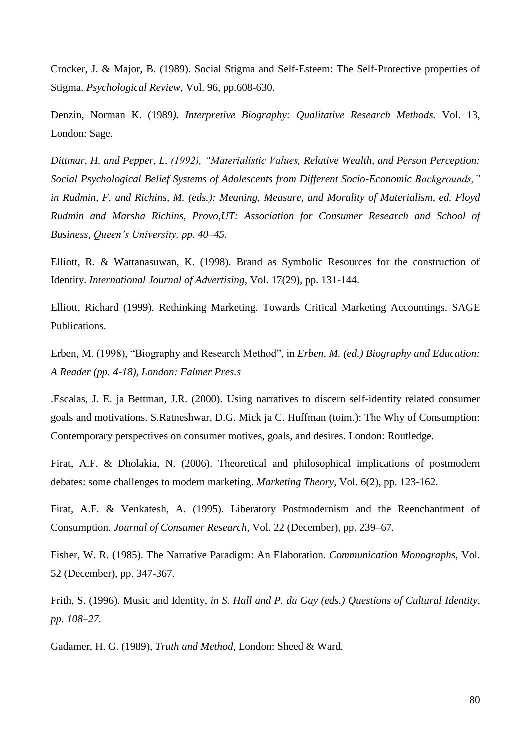Crocker, J. & Major, B. (1989). Social Stigma and Self-Esteem: The Self-Protective properties of Stigma. *Psychological Review,* Vol. 96, pp.608-630.

Denzin, Norman K. (1989*). Interpretive Biography: Qualitative Research Methods.* Vol. 13, London: Sage.

*Dittmar, H. and Pepper, L. (1992), "Materialistic Values, Relative Wealth, and Person Perception: Social Psychological Belief Systems of Adolescents from Different Socio-Economic Backgrounds," in Rudmin, F. and Richins, M. (eds.): Meaning, Measure, and Morality of Materialism, ed. Floyd Rudmin and Marsha Richins, Provo,UT: Association for Consumer Research and School of Business, Queen"s University, pp. 40–45.*

Elliott, R. & Wattanasuwan, K. (1998). Brand as Symbolic Resources for the construction of Identity. *International Journal of Advertising,* Vol. 17(29), pp. 131-144.

Elliott, Richard (1999). Rethinking Marketing. Towards Critical Marketing Accountings. SAGE Publications.

Erben, M. (1998), "Biography and Research Method", in *Erben, M. (ed.) Biography and Education: A Reader (pp. 4-18), London: Falmer Pres.s*

.Escalas, J. E. ja Bettman, J.R. (2000). Using narratives to discern self-identity related consumer goals and motivations. S.Ratneshwar, D.G. Mick ja C. Huffman (toim.): The Why of Consumption: Contemporary perspectives on consumer motives, goals, and desires. London: Routledge.

Firat, A.F. & Dholakia, N. (2006). Theoretical and philosophical implications of postmodern debates: some challenges to modern marketing. *Marketing Theory,* Vol. 6(2), pp. 123-162.

Firat, A.F. & Venkatesh, A. (1995). Liberatory Postmodernism and the Reenchantment of Consumption. *Journal of Consumer Research,* Vol. 22 (December), pp. 239–67*.*

Fisher, W. R. (1985). The Narrative Paradigm: An Elaboration. *Communication Monographs,* Vol. 52 (December), pp. 347-367.

Frith, S. (1996). Music and Identity, *in S. Hall and P. du Gay (eds.) Questions of Cultural Identity, pp. 108–27.*

Gadamer, H. G. (1989), *Truth and Method,* London: Sheed & Ward*.*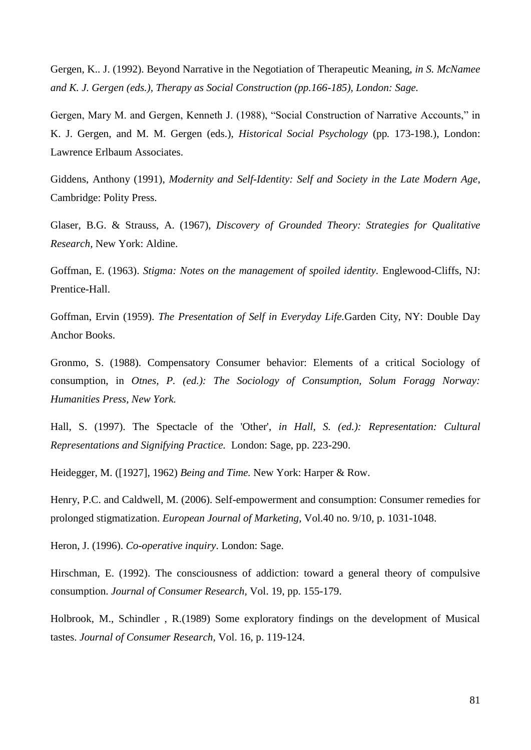Gergen, K.. J. (1992). Beyond Narrative in the Negotiation of Therapeutic Meaning, *in S. McNamee and K. J. Gergen (eds.), Therapy as Social Construction (pp.166-185), London: Sage.*

Gergen, Mary M. and Gergen, Kenneth J. (1988), "Social Construction of Narrative Accounts," in K. J. Gergen, and M. M. Gergen (eds.), *Historical Social Psychology* (pp*.* 173-198.), London: Lawrence Erlbaum Associates.

Giddens, Anthony (1991), *Modernity and Self-Identity: Self and Society in the Late Modern Age*, Cambridge: Polity Press.

Glaser, B.G. & Strauss, A. (1967), *Discovery of Grounded Theory: Strategies for Qualitative Research,* New York: Aldine.

Goffman, E. (1963). *Stigma: Notes on the management of spoiled identity.* Englewood-Cliffs, NJ: Prentice-Hall.

Goffman, Ervin (1959). *The Presentation of Self in Everyday Life.*Garden City, NY: Double Day Anchor Books.

Gronmo, S. (1988). Compensatory Consumer behavior: Elements of a critical Sociology of consumption, in *Otnes, P. (ed.): The Sociology of Consumption, Solum Foragg Norway: Humanities Press, New York.*

Hall, S. (1997). The Spectacle of the 'Other', *in Hall, S. (ed.): Representation: Cultural Representations and Signifying Practice.* London: Sage, pp. 223-290.

Heidegger, M. ([1927], 1962) *Being and Time.* New York: Harper & Row.

Henry, P.C. and Caldwell, M. (2006). Self-empowerment and consumption: Consumer remedies for prolonged stigmatization. *European Journal of Marketing,* Vol.40 no. 9/10, p. 1031-1048.

Heron, J. (1996). *Co-operative inquiry*. London: Sage.

Hirschman, E. (1992). The consciousness of addiction: toward a general theory of compulsive consumption. *Journal of Consumer Research,* Vol. 19, pp. 155-179.

Holbrook, M., Schindler , R.(1989) Some exploratory findings on the development of Musical tastes. *Journal of Consumer Research,* Vol. 16, p. 119-124.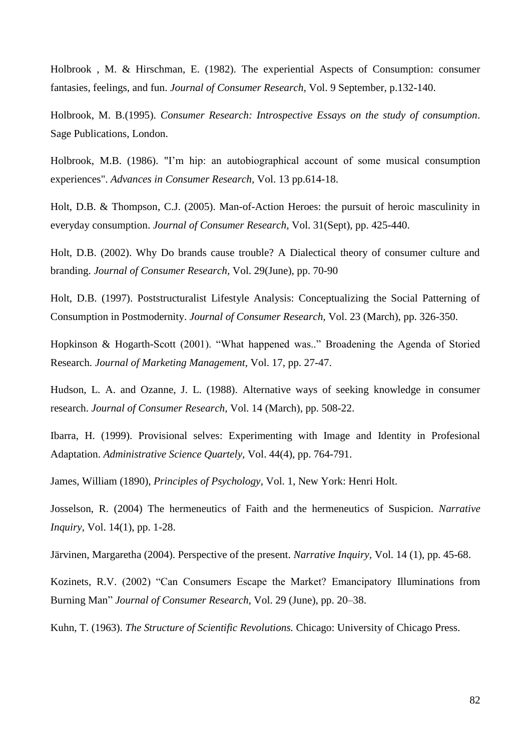Holbrook , M. & Hirschman, E. (1982). The experiential Aspects of Consumption: consumer fantasies, feelings, and fun. *Journal of Consumer Research,* Vol. 9 September, p.132-140.

Holbrook, M. B.(1995). *Consumer Research: Introspective Essays on the study of consumption*. Sage Publications, London.

Holbrook, M.B. (1986). "I"m hip: an autobiographical account of some musical consumption experiences". *Advances in Consumer Research,* Vol. 13 pp.614-18.

Holt, D.B. & Thompson, C.J. (2005). Man-of-Action Heroes: the pursuit of heroic masculinity in everyday consumption. *Journal of Consumer Research,* Vol. 31(Sept), pp. 425-440.

Holt, D.B. (2002). Why Do brands cause trouble? A Dialectical theory of consumer culture and branding. *Journal of Consumer Research,* Vol. 29(June), pp. 70-90

Holt, D.B. (1997). Poststructuralist Lifestyle Analysis: Conceptualizing the Social Patterning of Consumption in Postmodernity. *Journal of Consumer Research,* Vol. 23 (March), pp. 326-350.

Hopkinson & Hogarth-Scott (2001). "What happened was.." Broadening the Agenda of Storied Research. *Journal of Marketing Management,* Vol. 17, pp. 27-47.

Hudson, L. A. and Ozanne, J. L. (1988). Alternative ways of seeking knowledge in consumer research. *Journal of Consumer Research,* Vol. 14 (March), pp. 508-22.

Ibarra, H. (1999). Provisional selves: Experimenting with Image and Identity in Profesional Adaptation. *Administrative Science Quartely,* Vol. 44(4), pp. 764-791.

James, William (1890), *Principles of Psychology*, Vol. 1, New York: Henri Holt.

Josselson, R. (2004) The hermeneutics of Faith and the hermeneutics of Suspicion. *Narrative Inquiry,* Vol. 14(1), pp. 1-28.

Järvinen, Margaretha (2004). Perspective of the present. *Narrative Inquiry,* Vol. 14 (1), pp. 45-68.

Kozinets, R.V. (2002) "Can Consumers Escape the Market? Emancipatory Illuminations from Burning Man" *Journal of Consumer Research,* Vol. 29 (June), pp. 20–38.

Kuhn, T. (1963). *The Structure of Scientific Revolutions.* Chicago: University of Chicago Press.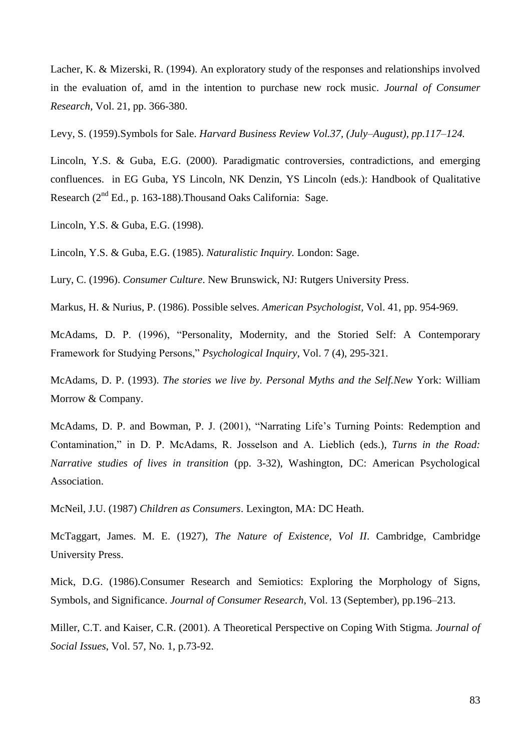Lacher, K. & Mizerski, R. (1994). An exploratory study of the responses and relationships involved in the evaluation of, amd in the intention to purchase new rock music. *Journal of Consumer Research,* Vol. 21, pp. 366-380.

Levy, S. (1959).Symbols for Sale. *Harvard Business Review Vol.37, (July–August), pp.117–124.*

Lincoln, Y.S. & Guba, E.G. (2000). Paradigmatic controversies, contradictions, and emerging confluences. in EG Guba, YS Lincoln, NK Denzin, YS Lincoln (eds.): Handbook of Qualitative Research (2<sup>nd</sup> Ed., p. 163-188). Thousand Oaks California: Sage.

Lincoln, Y.S. & Guba, E.G. (1998).

Lincoln, Y.S. & Guba, E.G. (1985). *Naturalistic Inquiry.* London: Sage.

Lury, C. (1996). *Consumer Culture*. New Brunswick, NJ: Rutgers University Press.

Markus, H. & Nurius, P. (1986). Possible selves. *American Psychologist,* Vol. 41, pp. 954-969.

McAdams, D. P. (1996), "Personality, Modernity, and the Storied Self: A Contemporary Framework for Studying Persons," *Psychological Inquiry*, Vol. 7 (4), 295-321.

McAdams, D. P. (1993). *The stories we live by. Personal Myths and the Self.New* York: William Morrow & Company.

McAdams, D. P. and Bowman, P. J. (2001), "Narrating Life's Turning Points: Redemption and Contamination," in D. P. McAdams, R. Josselson and A. Lieblich (eds.), *Turns in the Road: Narrative studies of lives in transition* (pp. 3-32), Washington, DC: American Psychological Association.

McNeil, J.U. (1987) *Children as Consumers*. Lexington, MA: DC Heath.

McTaggart, James. M. E. (1927), *The Nature of Existence, Vol II*. Cambridge, Cambridge University Press.

Mick, D.G. (1986).Consumer Research and Semiotics: Exploring the Morphology of Signs, Symbols, and Significance. *Journal of Consumer Research,* Vol. 13 (September), pp.196–213.

Miller, C.T. and Kaiser, C.R. (2001). A Theoretical Perspective on Coping With Stigma. *Journal of Social Issues*, Vol. 57, No. 1, p.73-92.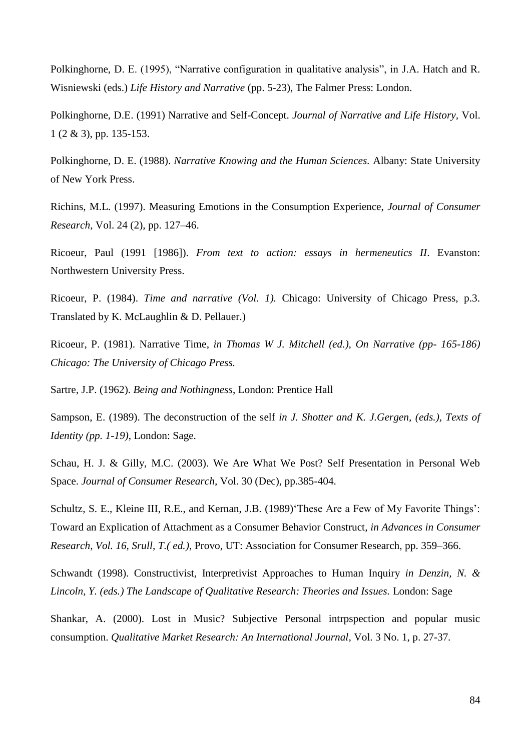Polkinghorne, D. E. (1995), "Narrative configuration in qualitative analysis", in J.A. Hatch and R. Wisniewski (eds.) *Life History and Narrative* (pp. 5-23), The Falmer Press: London.

Polkinghorne, D.E. (1991) Narrative and Self-Concept. *Journal of Narrative and Life History,* Vol. 1 (2 & 3), pp. 135-153.

Polkinghorne, D. E. (1988). *Narrative Knowing and the Human Sciences.* Albany: State University of New York Press.

Richins, M.L. (1997). Measuring Emotions in the Consumption Experience, *Journal of Consumer Research,* Vol. 24 (2), pp. 127–46.

Ricoeur, Paul (1991 [1986]). *From text to action: essays in hermeneutics II*. Evanston: Northwestern University Press.

Ricoeur, P. (1984). *Time and narrative (Vol. 1).* Chicago: University of Chicago Press, p.3. Translated by K. McLaughlin & D. Pellauer.)

Ricoeur, P. (1981). Narrative Time, *in Thomas W J. Mitchell (ed.), On Narrative (pp- 165-186) Chicago: The University of Chicago Press.*

Sartre, J.P. (1962). *Being and Nothingness*, London: Prentice Hall

Sampson, E. (1989). The deconstruction of the self *in J. Shotter and K. J.Gergen, (eds.), Texts of Identity (pp. 1-19)*, London: Sage.

Schau, H. J. & Gilly, M.C. (2003). We Are What We Post? Self Presentation in Personal Web Space. *Journal of Consumer Research,* Vol. 30 (Dec), pp.385-404.

Schultz, S. E., Kleine III, R.E., and Kernan, J.B. (1989) These Are a Few of My Favorite Things': Toward an Explication of Attachment as a Consumer Behavior Construct*, in Advances in Consumer Research, Vol. 16, Srull, T.( ed.)*, Provo, UT: Association for Consumer Research, pp. 359–366.

Schwandt (1998). Constructivist, Interpretivist Approaches to Human Inquiry *in Denzin, N. & Lincoln, Y. (eds.) The Landscape of Qualitative Research: Theories and Issues.* London: Sage

Shankar, A. (2000). Lost in Music? Subjective Personal intrpspection and popular music consumption. *Qualitative Market Research: An International Journal,* Vol. 3 No. 1, p. 27-37*.*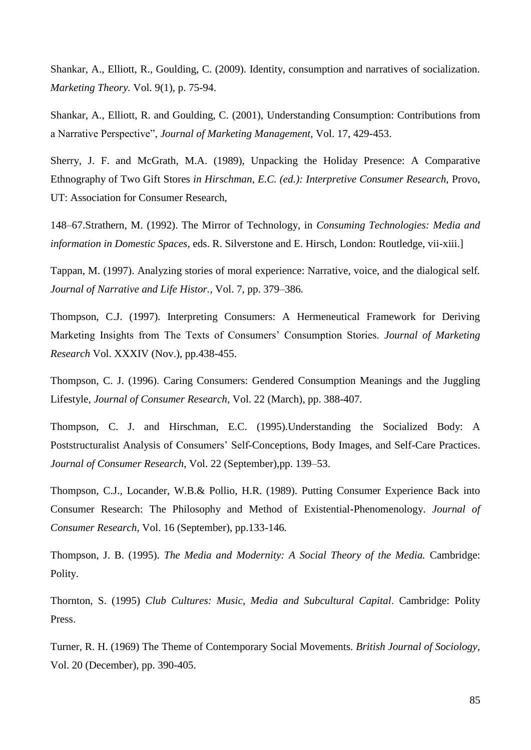Shankar, A., Elliott, R., Goulding, C. (2009). Identity, consumption and narratives of socialization. *Marketing Theory.* Vol. 9(1), p. 75-94.

Shankar, A., Elliott, R. and Goulding, C. (2001), Understanding Consumption: Contributions from a Narrative Perspective", *Journal of Marketing Management,* Vol. 17, 429-453.

Sherry, J. F. and McGrath, M.A. (1989), Unpacking the Holiday Presence: A Comparative Ethnography of Two Gift Stores *in Hirschman, E.C. (ed.): Interpretive Consumer Research,* Provo, UT: Association for Consumer Research,

148–67.Strathern, M. (1992). The Mirror of Technology, in *Consuming Technologies: Media and information in Domestic Spaces,* eds. R. Silverstone and E. Hirsch, London: Routledge, vii-xiii.]

Tappan, M. (1997). Analyzing stories of moral experience: Narrative, voice, and the dialogical self*. Journal of Narrative and Life Histor.,* Vol. 7, pp. 379–386*.*

Thompson, C.J. (1997). Interpreting Consumers: A Hermeneutical Framework for Deriving Marketing Insights from The Texts of Consumers" Consumption Stories. *Journal of Marketing Research* Vol. XXXIV (Nov.), pp.438-455.

Thompson, C. J. (1996). Caring Consumers: Gendered Consumption Meanings and the Juggling Lifestyle, *Journal of Consumer Research,* Vol. 22 (March), pp. 388-407*.*

Thompson, C. J. and Hirschman, E.C. (1995).Understanding the Socialized Body: A Poststructuralist Analysis of Consumers" Self-Conceptions, Body Images, and Self-Care Practices. *Journal of Consumer Research*, Vol. 22 (September),pp. 139–53.

Thompson, C.J., Locander, W.B.& Pollio, H.R. (1989). Putting Consumer Experience Back into Consumer Research: The Philosophy and Method of Existential-Phenomenology. *Journal of Consumer Research,* Vol. 16 (September), pp.133-146*.*

Thompson, J. B. (1995). *The Media and Modernity: A Social Theory of the Media.* Cambridge: Polity.

Thornton, S. (1995) *Club Cultures: Music, Media and Subcultural Capital*. Cambridge: Polity Press.

Turner, R. H. (1969) The Theme of Contemporary Social Movements. *British Journal of Sociology,*  Vol. 20 (December), pp. 390-405.